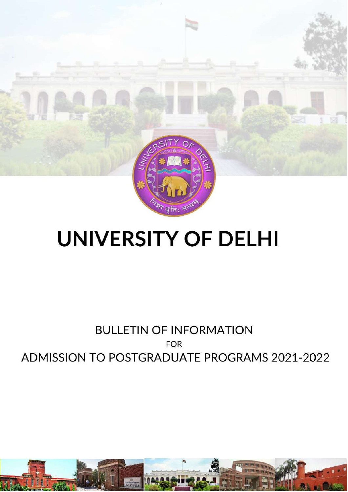

# **UNIVERSITY OF DELHI**

## **FOR ELETTIN OF INFORMATING ADMISSION TO POSTGRADUATE PROGRAMS 2021-2022**

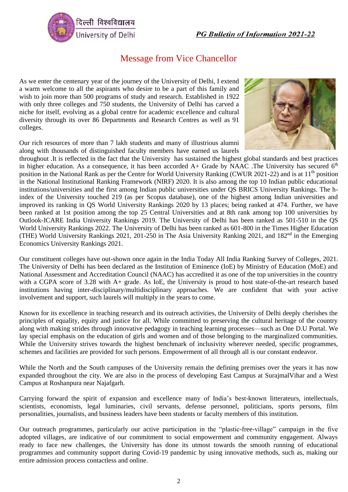

## Message from Vice Chancellor

As we enter the centenary year of the journey of the University of Delhi, I extend a warm welcome to all the aspirants who desire to be a part of this family and wish to join more than 500 programs of study and research. Established in 1922 with only three colleges and 750 students, the University of Delhi has carved a niche for itself, evolving as a global centre for academic excellence and cultural diversity through its over 86 Departments and Research Centres as well as 91 colleges.

Our rich resources of more than 7 lakh students and many of illustrious alumni along with thousands of distinguished faculty members have earned us laurels



throughout .It is reflected in the fact that the University has sustained the highest global standards and best practices in higher education. As a consequence, it has been accorded  $A+$  Grade by NAAC. The University has secured  $6<sup>th</sup>$ position in the National Rank as per the Centre for World University Ranking (CWUR 2021-22) and is at 11<sup>th</sup> position in the National Institutional Ranking Framework (NIRF) 2020. It is also among the top 10 Indian public educational institutions/universities and the first among Indian public universities under QS BRICS University Rankings. The hindex of the University touched 219 (as per Scopus database), one of the highest among Indian universities and improved its ranking in QS World University Rankings 2020 by 13 places; being ranked at 474. Further, we have been ranked at 1st position among the top 25 Central Universities and at 8th rank among top 100 universities by Outlook-ICARE India University Rankings 2019. The University of Delhi has been ranked as 501-510 in the QS World University Rankings 2022. The University of Delhi has been ranked as 601-800 in the Times Higher Education (THE) World University Rankings 2021, 201-250 in The Asia University Ranking 2021, and 182nd in the Emerging Economics University Rankings 2021.

Our constituent colleges have out-shown once again in the India Today All India Ranking Survey of Colleges, 2021. The University of Delhi has been declared as the Institution of Eminence (IoE) by Ministry of Education (MoE) and National Assessment and Accreditation Council (NAAC) has accredited it as one of the top universities in the country with a CGPA score of 3.28 with A+ grade. As IoE, the University is proud to host state-of-the-art research based institutions having inter-disciplinary/multidisciplinary approaches. We are confident that with your active involvement and support, such laurels will multiply in the years to come.

Known for its excellence in teaching research and its outreach activities, the University of Delhi deeply cherishes the principles of equality, equity and justice for all. While committed to preserving the cultural heritage of the country along with making strides through innovative pedagogy in teaching learning processes—such as One D.U Portal. We lay special emphasis on the education of girls and women and of those belonging to the marginalized communities. While the University strives towards the highest benchmark of inclusivity wherever needed, specific programmes, schemes and facilities are provided for such persons. Empowerment of all through all is our constant endeavor.

While the North and the South campuses of the University remain the defining premises over the years it has now expanded throughout the city. We are also in the process of developing East Campus at SurajmalVihar and a West Campus at Roshanpura near Najafgarh.

Carrying forward the spirit of expansion and excellence many of India's best-known litterateurs, intellectuals, scientists, economists, legal luminaries, civil servants, defense personnel, politicians, sports persons, film personalities, journalists, and business leaders have been students or faculty members of this institution.

Our outreach programmes, particularly our active participation in the "plastic-free-village" campaign in the five adopted villages, are indicative of our commitment to social empowerment and community engagement. Always ready to face new challenges, the University has done its utmost towards the smooth running of educational programmes and community support during Covid-19 pandemic by using innovative methods, such as, making our entire admission process contactless and online.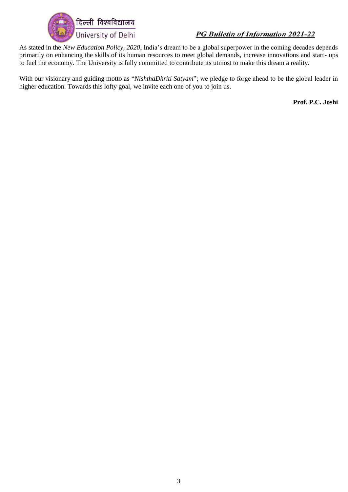

As stated in the *New Education Policy, 2020*, India's dream to be a global superpower in the coming decades depends primarily on enhancing the skills of its human resources to meet global demands, increase innovations and start- ups to fuel the economy. The University is fully committed to contribute its utmost to make this dream a reality.

With our visionary and guiding motto as "*NishthaDhriti Satyam*"; we pledge to forge ahead to be the global leader in higher education. Towards this lofty goal, we invite each one of you to join us.

**Prof. P.C. Joshi**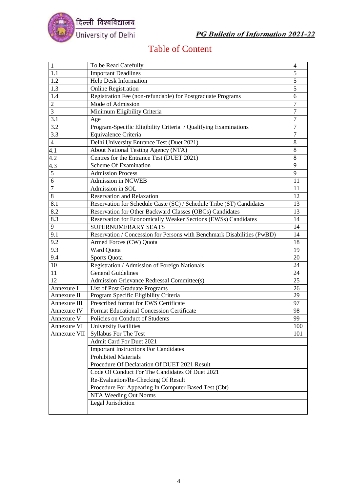

## Table of Content

| $\overline{1}$   | To be Read Carefully                                                    | $\overline{4}$ |
|------------------|-------------------------------------------------------------------------|----------------|
| $1.\overline{1}$ | <b>Important Deadlines</b>                                              | 5              |
| 1.2              | <b>Help Desk Information</b>                                            | 5              |
| 1.3              | <b>Online Registration</b>                                              | 5              |
| 1.4              | Registration Fee (non-refundable) for Postgraduate Programs             | 6              |
| $\overline{c}$   | Mode of Admission                                                       | $\tau$         |
| 3                | Minimum Eligibility Criteria                                            | 7              |
| 3.1              |                                                                         | 7              |
| $\overline{3.2}$ | Age                                                                     | 7              |
|                  | Program-Specific Eligibility Criteria / Qualifying Examinations         |                |
| 3.3              | Equivalence Criteria                                                    | 7              |
| $\overline{4}$   | Delhi University Entrance Test (Duet 2021)                              | 8              |
| 4.1              | <b>About National Testing Agency (NTA)</b>                              | 8              |
| 4.2              | Centres for the Entrance Test (DUET 2021)                               | 8              |
| $\frac{4.3}{5}$  | <b>Scheme Of Examination</b>                                            | 9              |
|                  | <b>Admission Process</b>                                                | 9              |
| $\overline{6}$   | Admission in NCWEB                                                      | 11             |
| $\overline{7}$   | Admission in SOL                                                        | 11             |
| 8                | <b>Reservation and Relaxation</b>                                       | 12             |
| 8.1              | Reservation for Schedule Caste (SC) / Schedule Tribe (ST) Candidates    | 13             |
| 8.2              | Reservation for Other Backward Classes (OBCs) Candidates                | 13             |
| 8.3              | Reservation for Economically Weaker Sections (EWSs) Candidates          | 14             |
| 9                | SUPERNUMERARY SEATS                                                     | 14             |
| 9.1              | Reservation / Concession for Persons with Benchmark Disabilities (PwBD) | 14             |
| 9.2              | Armed Forces (CW) Quota                                                 | 18             |
| 9.3              | Ward Quota                                                              | 19             |
| 9.4              | Sports Quota                                                            | 20             |
| 10               | Registration / Admission of Foreign Nationals                           | 24             |
| 11               | <b>General Guidelines</b>                                               | 24             |
| 12               | Admission Grievance Redressal Committee(s)                              | 25             |
| Annexure I       | List of Post Graduate Programs                                          | 26             |
| Annexure II      | Program Specific Eligibility Criteria                                   | 29             |
| Annexure III     | Prescribed format for EWS Certificate                                   | 97             |
| Annexure IV      | Format Educational Concession Certificate                               | 98             |
| Annexure V       | Policies on Conduct of Students                                         | 99             |
| Annexure VI      | <b>University Facilities</b>                                            | 100            |
| Annexure VII     | <b>Syllabus For The Test</b>                                            | 101            |
|                  | Admit Card For Duet 2021                                                |                |
|                  |                                                                         |                |
|                  | <b>Important Instructions For Candidates</b>                            |                |
|                  | <b>Prohibited Materials</b>                                             |                |
|                  | Procedure Of Declaration Of DUET 2021 Result                            |                |
|                  | Code Of Conduct For The Candidates Of Duet 2021                         |                |
|                  | Re-Evaluation/Re-Checking Of Result                                     |                |
|                  | Procedure For Appearing In Computer Based Test (Cbt)                    |                |
|                  | NTA Weeding Out Norms                                                   |                |
|                  | Legal Jurisdiction                                                      |                |
|                  |                                                                         |                |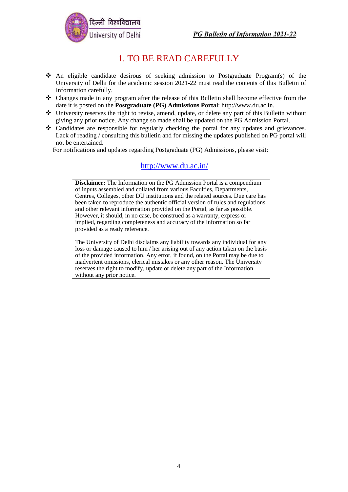



## 1. TO BE READ CAREFULLY

- ❖ An eligible candidate desirous of seeking admission to Postgraduate Program(s) of the University of Delhi for the academic session 2021-22 must read the contents of this Bulletin of Information carefully.
- ❖ Changes made in any program after the release of this Bulletin shall become effective from the date it is posted on the **Postgraduate (PG) Admissions Portal**: [http://www.du.ac.in.](http://www.du.ac.in/)
- ❖ University reserves the right to revise, amend, update, or delete any part of this Bulletin without giving any prior notice. Any change so made shall be updated on the PG Admission Portal.
- ❖ Candidates are responsible for regularly checking the portal for any updates and grievances. Lack of reading / consulting this bulletin and for missing the updates published on PG portal will not be entertained.

For notifications and updates regarding Postgraduate (PG) Admissions, please visit:

#### <http://www.du.ac.in/>

**Disclaimer:** The Information on the PG Admission Portal is a compendium of inputs assembled and collated from various Faculties, Departments, Centres, Colleges, other DU institutions and the related sources. Due care has been taken to reproduce the authentic official version of rules and regulations and other relevant information provided on the Portal, as far as possible. However, it should, in no case, be construed as a warranty, express or implied, regarding completeness and accuracy of the information so far provided as a ready reference.

The University of Delhi disclaims any liability towards any individual for any loss or damage caused to him / her arising out of any action taken on the basis of the provided information. Any error, if found, on the Portal may be due to inadvertent omissions, clerical mistakes or any other reason. The University reserves the right to modify, update or delete any part of the Information without any prior notice.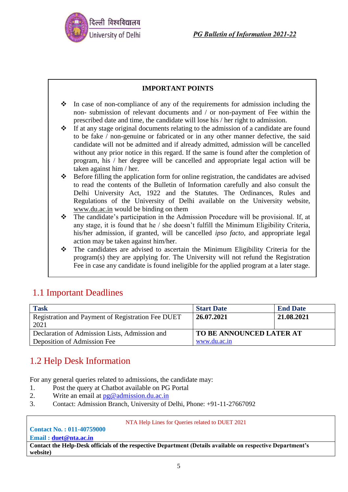

#### **IMPORTANT POINTS**

- ❖ In case of non-compliance of any of the requirements for admission including the non- submission of relevant documents and / or non-payment of Fee within the prescribed date and time, the candidate will lose his / her right to admission.
- ❖ If at any stage original documents relating to the admission of a candidate are found to be fake / non-genuine or fabricated or in any other manner defective, the said candidate will not be admitted and if already admitted, admission will be cancelled without any prior notice in this regard. If the same is found after the completion of program, his / her degree will be cancelled and appropriate legal action will be taken against him / her.
- ❖ Before filling the application form for online registration, the candidates are advised to read the contents of the Bulletin of Information carefully and also consult the Delhi University Act, 1922 and the Statutes. The Ordinances, Rules and Regulations of the University of Delhi available on the University website, www.du.ac.in would be binding on them
- ❖ The candidate's participation in the Admission Procedure will be provisional. If, at any stage, it is found that he / she doesn't fulfill the Minimum Eligibility Criteria, his/her admission, if granted, will be cancelled *ipso facto*, and appropriate legal action may be taken against him/her.
- ❖ The candidates are advised to ascertain the Minimum Eligibility Criteria for the program(s) they are applying for. The University will not refund the Registration Fee in case any candidate is found ineligible for the applied program at a later stage.

## 1.1 Important Deadlines

| <b>Task</b>                                       | <b>Start Date</b>               | <b>End Date</b> |
|---------------------------------------------------|---------------------------------|-----------------|
| Registration and Payment of Registration Fee DUET | 26.07.2021                      | 21.08.2021      |
| 2021                                              |                                 |                 |
| Declaration of Admission Lists, Admission and     | <b>TO BE ANNOUNCED LATER AT</b> |                 |
| Deposition of Admission Fee                       | www.du.ac.in                    |                 |

## 1.2 Help Desk Information

For any general queries related to admissions, the candidate may:

- 1. Post the query at Chatbot available on PG Portal
- 2. Write an email at  $pg@$  admission.du.ac.in
- 3. Contact: Admission Branch, University of Delhi, Phone: +91-11-27667092

NTA Help Lines for Queries related to DUET 2021

#### **Contact No. : 011-40759000 Email : [duet@nta.ac.in](mailto:duet@nta.ac.in)**

**Contact the Help-Desk officials of the respective Department (Details available on respective Department's website)**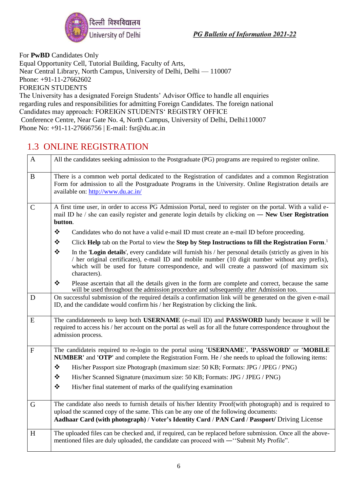

For **PwBD** Candidates Only Equal Opportunity Cell, Tutorial Building, Faculty of Arts, Near Central Library, North Campus, University of Delhi, Delhi — 110007 Phone: +91-11-27662602 FOREIGN STUDENTS The University has a designated Foreign Students' Advisor Office to handle all enquiries

regarding rules and responsibilities for admitting Foreign Candidates. The foreign national Candidates may approach: FOREIGN STUDENTS' REGISTRY OFFICE Conference Centre, Near Gate No. 4, North Campus, University of Delhi, Delhi110007 Phone No: +91-11-27666756 | E-mail: fsr@du.ac.in

## 1.3 ONLINE REGISTRATION

| $\mathbf{A}$ | All the candidates seeking admission to the Postgraduate (PG) programs are required to register online.                                                                                                                                                                                                                       |  |  |
|--------------|-------------------------------------------------------------------------------------------------------------------------------------------------------------------------------------------------------------------------------------------------------------------------------------------------------------------------------|--|--|
| $\bf{B}$     | There is a common web portal dedicated to the Registration of candidates and a common Registration<br>Form for admission to all the Postgraduate Programs in the University. Online Registration details are<br>available on: http://www.du.ac.in/                                                                            |  |  |
| $\mathbf C$  | A first time user, in order to access PG Admission Portal, need to register on the portal. With a valid e-<br>mail ID he / she can easily register and generate login details by clicking on — New User Registration<br>button.                                                                                               |  |  |
|              | ❖<br>Candidates who do not have a valid e-mail ID must create an e-mail ID before proceeding.                                                                                                                                                                                                                                 |  |  |
|              | ❖<br>Click Help tab on the Portal to view the Step by Step Instructions to fill the Registration Form. <sup>1</sup>                                                                                                                                                                                                           |  |  |
|              | ❖<br>In the 'Login details', every candidate will furnish his / her personal details (strictly as given in his<br>/ her original certificates), e-mail ID and mobile number (10 digit number without any prefix),<br>which will be used for future correspondence, and will create a password (of maximum six<br>characters). |  |  |
|              | ❖<br>Please ascertain that all the details given in the form are complete and correct, because the same<br>will be used throughout the admission procedure and subsequently after Admission too.                                                                                                                              |  |  |
| D            | On successful submission of the required details a confirmation link will be generated on the given e-mail<br>ID, and the candidate would confirm his / her Registration by clicking the link.                                                                                                                                |  |  |
| E            | The candidateneeds to keep both USERNAME (e-mail ID) and PASSWORD handy because it will be<br>required to access his / her account on the portal as well as for all the future correspondence throughout the<br>admission process.                                                                                            |  |  |
| $\mathbf{F}$ | The candidateis required to re-login to the portal using 'USERNAME', 'PASSWORD' or 'MOBILE<br><b>NUMBER'</b> and <b>'OTP'</b> and complete the Registration Form. He / she needs to upload the following items:                                                                                                               |  |  |
|              | ❖<br>His/her Passport size Photograph (maximum size: 50 KB; Formats: JPG / JPEG / PNG)                                                                                                                                                                                                                                        |  |  |
|              | ❖<br>His/her Scanned Signature (maximum size: 50 KB; Formats: JPG / JPEG / PNG)                                                                                                                                                                                                                                               |  |  |
|              | $\bullet^{\bullet}_{\bullet} \bullet$<br>His/her final statement of marks of the qualifying examination                                                                                                                                                                                                                       |  |  |
| $\mathsf G$  | The candidate also needs to furnish details of his/her Identity Proof(with photograph) and is required to<br>upload the scanned copy of the same. This can be any one of the following documents:<br>Aadhaar Card (with photograph) / Voter's Identity Card / PAN Card / Passport/ Driving License                            |  |  |
| H            | The uploaded files can be checked and, if required, can be replaced before submission. Once all the above-<br>mentioned files are duly uploaded, the candidate can proceed with -"Submit My Profile".                                                                                                                         |  |  |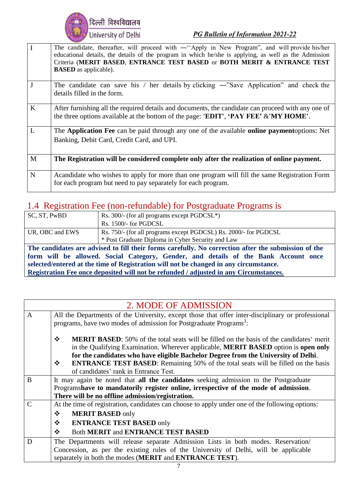

| $\mathbf I$    | The candidate, thereafter, will proceed with — "Apply in New Program", and will provide his/her<br>educational details, the details of the program in which he/she is applying, as well as the Admission<br>Criteria (MERIT BASED, ENTRANCE TEST BASED or BOTH MERIT & ENTRANCE TEST<br><b>BASED</b> as applicable). |
|----------------|----------------------------------------------------------------------------------------------------------------------------------------------------------------------------------------------------------------------------------------------------------------------------------------------------------------------|
| J              | The candidate can save his / her details by clicking $-$ "Save Application" and check the<br>details filled in the form.                                                                                                                                                                                             |
| $\bf K$        | After furnishing all the required details and documents, the candidate can proceed with any one of<br>the three options available at the bottom of the page: 'EDIT', 'PAY FEE' &'MY HOME'.                                                                                                                           |
| $\overline{L}$ | The Application Fee can be paid through any one of the available online paymentoptions: Net<br>Banking, Debit Card, Credit Card, and UPI.                                                                                                                                                                            |
| M              | The Registration will be considered complete only after the realization of online payment.                                                                                                                                                                                                                           |
| $\mathbf N$    | Acandidate who wishes to apply for more than one program will fill the same Registration Form<br>for each program but need to pay separately for each program.                                                                                                                                                       |

## 1.4 Registration Fee (non-refundable) for Postgraduate Programs is

| SC, ST, PwBD                                                                                        | Rs. $300/-$ (for all programs except PGDCSL <sup>*</sup> )       |  |
|-----------------------------------------------------------------------------------------------------|------------------------------------------------------------------|--|
|                                                                                                     | Rs. 1500/- for PGDCSL                                            |  |
| UR, OBC and EWS                                                                                     | Rs. 750/- (for all programs except PGDCSL) Rs. 2000/- for PGDCSL |  |
|                                                                                                     | * Post Graduate Diploma in Cyber Security and Law                |  |
| The candidates are advised to fill their forms carefully. No correction after the submission of the |                                                                  |  |
| form will be allowed. Social Category, Gender, and details of the Bank Account once                 |                                                                  |  |
| selected/entered at the time of Registration will not be changed in any circumstance.               |                                                                  |  |

**Registration Fee once deposited will not be refunded / adjusted in any Circumstances.**

|               | 2. MODE OF ADMISSION                                                                                 |
|---------------|------------------------------------------------------------------------------------------------------|
| $\mathbf{A}$  | All the Departments of the University, except those that offer inter-disciplinary or professional    |
|               | programs, have two modes of admission for Postgraduate Programs <sup>3</sup> :                       |
|               |                                                                                                      |
|               | ❖<br><b>MERIT BASED:</b> 50% of the total seats will be filled on the basis of the candidates' merit |
|               | in the Qualifying Examination. Wherever applicable, <b>MERIT BASED</b> option is <b>open only</b>    |
|               | for the candidates who have eligible Bachelor Degree from the University of Delhi.                   |
|               | <b>ENTRANCE TEST BASED:</b> Remaining 50% of the total seats will be filled on the basis<br>❖        |
|               | of candidates' rank in Entrance Test.                                                                |
| B             | It may again be noted that all the candidates seeking admission to the Postgraduate                  |
|               | Programshave to mandatorily register online, irrespective of the mode of admission.                  |
|               | There will be no offline admission/registration.                                                     |
| $\mathcal{C}$ | At the time of registration, candidates can choose to apply under one of the following options:      |
|               | $\frac{1}{2}$<br><b>MERIT BASED only</b>                                                             |
|               | <b>ENTRANCE TEST BASED only</b><br>$\frac{1}{2}$                                                     |
|               | <b>Both MERIT and ENTRANCE TEST BASED</b><br>❖                                                       |
| D             | The Departments will release separate Admission Lists in both modes. Reservation/                    |
|               | Concession, as per the existing rules of the University of Delhi, will be applicable                 |
|               | separately in both the modes (MERIT and ENTRANCE TEST).                                              |
|               |                                                                                                      |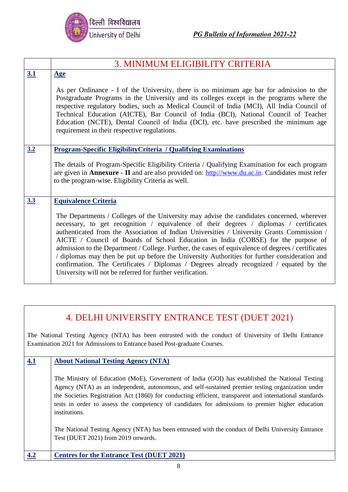

|     | 3. MINIMUM ELIGIBILITY CRITERIA                                                                                                                                                                                                                                                                                                                                                                                                                                                                                                                                                                                                                                                                                                        |
|-----|----------------------------------------------------------------------------------------------------------------------------------------------------------------------------------------------------------------------------------------------------------------------------------------------------------------------------------------------------------------------------------------------------------------------------------------------------------------------------------------------------------------------------------------------------------------------------------------------------------------------------------------------------------------------------------------------------------------------------------------|
| 3.1 | Age                                                                                                                                                                                                                                                                                                                                                                                                                                                                                                                                                                                                                                                                                                                                    |
|     | As per Ordinance - I of the University, there is no minimum age bar for admission to the<br>Postgraduate Programs in the University and its colleges except in the programs where the<br>respective regulatory bodies, such as Medical Council of India (MCI), All India Council of<br>Technical Education (AICTE), Bar Council of India (BCI), National Council of Teacher<br>Education (NCTE), Dental Council of India (DCI), etc. have prescribed the minimum age<br>requirement in their respective regulations.                                                                                                                                                                                                                   |
| 3.2 | <b>Program-Specific EligibilityCriteria / Qualifying Examinations</b>                                                                                                                                                                                                                                                                                                                                                                                                                                                                                                                                                                                                                                                                  |
|     | The details of Program-Specific Eligibility Criteria / Qualifying Examination for each program<br>are given in <b>Annexure</b> - II and are also provided on: http://www.du.ac.in. Candidates must refer<br>to the program-wise. Eligibility Criteria as well.                                                                                                                                                                                                                                                                                                                                                                                                                                                                         |
| 3.3 | <b>Equivalence Criteria</b>                                                                                                                                                                                                                                                                                                                                                                                                                                                                                                                                                                                                                                                                                                            |
|     | The Departments / Colleges of the University may advise the candidates concerned, wherever<br>necessary, to get recognition / equivalence of their degrees / diplomas / certificates<br>authenticated from the Association of Indian Universities / University Grants Commission /<br>AICTE / Council of Boards of School Education in India (COBSE) for the purpose of<br>admission to the Department / College. Further, the cases of equivalence of degrees / certificates<br>/ diplomas may then be put up before the University Authorities for further consideration and<br>confirmation. The Certificates / Diplomas / Degrees already recognized / equated by the<br>University will not be referred for further verification. |

## 4. DELHI UNIVERSITY ENTRANCE TEST (DUET 2021)

The National Testing Agency (NTA) has been entrusted with the conduct of University of Delhi Entrance Examination 2021 for Admissions to Entrance based Post-graduate Courses.

**4.1 About National Testing Agency (NTA)**

The Ministry of Education (MoE), Government of India (GOI) has established the National Testing Agency (NTA) as an independent, autonomous, and self-sustained premier testing organization under the Societies Registration Act (1860) for conducting efficient, transparent and international standards tests in order to assess the competency of candidates for admissions to premier higher education institutions.

The National Testing Agency (NTA) has been entrusted with the conduct of Delhi University Entrance Test (DUET 2021) from 2019 onwards.

**4.2 Centres for the Entrance Test (DUET 2021)**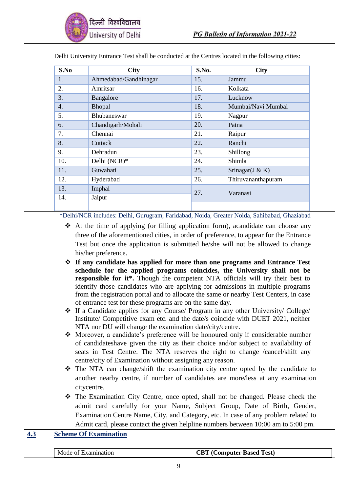

| S.No | <b>City</b>                                                                                                                                                                                                                                                                                                                                                                                                                                                                                                                                                                                                                                                                                                                                                                                                                                                                                                                                                                                                                                                                                                                                                                                                                                                                                                | S.No. | <b>City</b>        |
|------|------------------------------------------------------------------------------------------------------------------------------------------------------------------------------------------------------------------------------------------------------------------------------------------------------------------------------------------------------------------------------------------------------------------------------------------------------------------------------------------------------------------------------------------------------------------------------------------------------------------------------------------------------------------------------------------------------------------------------------------------------------------------------------------------------------------------------------------------------------------------------------------------------------------------------------------------------------------------------------------------------------------------------------------------------------------------------------------------------------------------------------------------------------------------------------------------------------------------------------------------------------------------------------------------------------|-------|--------------------|
| 1.   | Ahmedabad/Gandhinagar                                                                                                                                                                                                                                                                                                                                                                                                                                                                                                                                                                                                                                                                                                                                                                                                                                                                                                                                                                                                                                                                                                                                                                                                                                                                                      | 15.   | Jammu              |
|      | Amritsar                                                                                                                                                                                                                                                                                                                                                                                                                                                                                                                                                                                                                                                                                                                                                                                                                                                                                                                                                                                                                                                                                                                                                                                                                                                                                                   | 16.   | Kolkata            |
|      | Bangalore                                                                                                                                                                                                                                                                                                                                                                                                                                                                                                                                                                                                                                                                                                                                                                                                                                                                                                                                                                                                                                                                                                                                                                                                                                                                                                  | 17.   | Lucknow            |
|      | Bhopal                                                                                                                                                                                                                                                                                                                                                                                                                                                                                                                                                                                                                                                                                                                                                                                                                                                                                                                                                                                                                                                                                                                                                                                                                                                                                                     | 18.   | Mumbai/Navi Mumbai |
|      | Bhubaneswar                                                                                                                                                                                                                                                                                                                                                                                                                                                                                                                                                                                                                                                                                                                                                                                                                                                                                                                                                                                                                                                                                                                                                                                                                                                                                                | 19.   | Nagpur             |
|      | Chandigarh/Mohali                                                                                                                                                                                                                                                                                                                                                                                                                                                                                                                                                                                                                                                                                                                                                                                                                                                                                                                                                                                                                                                                                                                                                                                                                                                                                          | 20.   | Patna              |
|      | Chennai                                                                                                                                                                                                                                                                                                                                                                                                                                                                                                                                                                                                                                                                                                                                                                                                                                                                                                                                                                                                                                                                                                                                                                                                                                                                                                    | 21.   | Raipur             |
|      | Cuttack                                                                                                                                                                                                                                                                                                                                                                                                                                                                                                                                                                                                                                                                                                                                                                                                                                                                                                                                                                                                                                                                                                                                                                                                                                                                                                    | 22.   | Ranchi             |
|      | Dehradun                                                                                                                                                                                                                                                                                                                                                                                                                                                                                                                                                                                                                                                                                                                                                                                                                                                                                                                                                                                                                                                                                                                                                                                                                                                                                                   | 23.   | Shillong           |
| 10.  | Delhi (NCR)*                                                                                                                                                                                                                                                                                                                                                                                                                                                                                                                                                                                                                                                                                                                                                                                                                                                                                                                                                                                                                                                                                                                                                                                                                                                                                               | 24.   | Shimla             |
| 11.  | Guwahati                                                                                                                                                                                                                                                                                                                                                                                                                                                                                                                                                                                                                                                                                                                                                                                                                                                                                                                                                                                                                                                                                                                                                                                                                                                                                                   | 25.   | Srinagar(J & K)    |
| 12.  | Hyderabad                                                                                                                                                                                                                                                                                                                                                                                                                                                                                                                                                                                                                                                                                                                                                                                                                                                                                                                                                                                                                                                                                                                                                                                                                                                                                                  | 26.   | Thiruvananthapuram |
| 13.  | Imphal                                                                                                                                                                                                                                                                                                                                                                                                                                                                                                                                                                                                                                                                                                                                                                                                                                                                                                                                                                                                                                                                                                                                                                                                                                                                                                     |       |                    |
| 14.  | Jaipur                                                                                                                                                                                                                                                                                                                                                                                                                                                                                                                                                                                                                                                                                                                                                                                                                                                                                                                                                                                                                                                                                                                                                                                                                                                                                                     | 27.   | Varanasi           |
|      | *Delhi/NCR includes: Delhi, Gurugram, Faridabad, Noida, Greater Noida, Sahibabad, Ghaziabad                                                                                                                                                                                                                                                                                                                                                                                                                                                                                                                                                                                                                                                                                                                                                                                                                                                                                                                                                                                                                                                                                                                                                                                                                |       |                    |
|      | $\triangleleft$ At the time of applying (or filling application form), acandidate can choose any<br>three of the aforementioned cities, in order of preference, to appear for the Entrance<br>Test but once the application is submitted he/she will not be allowed to change<br>his/her preference.                                                                                                                                                                                                                                                                                                                                                                                                                                                                                                                                                                                                                                                                                                                                                                                                                                                                                                                                                                                                       |       |                    |
| ❖    | ❖ If any candidate has applied for more than one programs and Entrance Test<br>schedule for the applied programs coincides, the University shall not be<br>responsible for it*. Though the competent NTA officials will try their best to<br>identify those candidates who are applying for admissions in multiple programs<br>from the registration portal and to allocate the same or nearby Test Centers, in case<br>of entrance test for these programs are on the same day.<br>Institute/ Competitive exam etc. and the date/s coincide with DUET 2021, neither<br>NTA nor DU will change the examination date/city/centre.<br>Moreover, a candidate's preference will be honoured only if considerable number<br>of candidates have given the city as their choice and/or subject to availability of<br>seats in Test Centre. The NTA reserves the right to change /cancel/shift any<br>centre/city of Examination without assigning any reason.<br>The NTA can change/shift the examination city centre opted by the candidate to<br>another nearby centre, if number of candidates are more/less at any examination<br>citycentre.<br>The Examination City Centre, once opted, shall not be changed. Please check the<br>admit card carefully for your Name, Subject Group, Date of Birth, Gender, |       |                    |
|      | Examination Centre Name, City, and Category, etc. In case of any problem related to<br>Admit card, please contact the given helpline numbers between 10:00 am to 5:00 pm.                                                                                                                                                                                                                                                                                                                                                                                                                                                                                                                                                                                                                                                                                                                                                                                                                                                                                                                                                                                                                                                                                                                                  |       |                    |

- ❖ The NTA can change/shift the examination city centre opted by the candidate to another nearby centre, if number of candidates are more/less at any examination
- ❖ The Examination City Centre, once opted, shall not be changed. Please check the admit card carefully for your Name, Subject Group, Date of Birth, Gender, Examination Centre Name, City, and Category, etc. In case of any problem related to

## **4.3 Scheme Of Examination**

|--|

## **CBT (Computer Based Test)**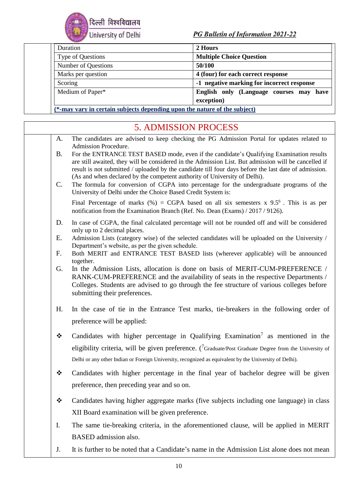

| Duration            | 2 Hours                                    |
|---------------------|--------------------------------------------|
| Type of Questions   | <b>Multiple Choice Question</b>            |
| Number of Questions | 50/100                                     |
| Marks per question  | 4 (four) for each correct response         |
| Scoring             | -1 negative marking for incorrect response |
| Medium of Paper*    | English only (Language courses may<br>have |
|                     | exception)                                 |

**(\*-may vary in certain subjects depending upon the nature of the subject)**

|                 | <b>5. ADMISSION PROCESS</b>                                                                                                                                                                                                                                                                                                                                                                                                                                                                                                                        |
|-----------------|----------------------------------------------------------------------------------------------------------------------------------------------------------------------------------------------------------------------------------------------------------------------------------------------------------------------------------------------------------------------------------------------------------------------------------------------------------------------------------------------------------------------------------------------------|
| A.              | The candidates are advised to keep checking the PG Admission Portal for updates related to<br>Admission Procedure.                                                                                                                                                                                                                                                                                                                                                                                                                                 |
| <b>B.</b><br>C. | For the ENTRANCE TEST BASED mode, even if the candidate's Qualifying Examination results<br>are still awaited, they will be considered in the Admission List. But admission will be cancelled if<br>result is not submitted / uploaded by the candidate till four days before the last date of admission.<br>(As and when declared by the competent authority of University of Delhi).<br>The formula for conversion of CGPA into percentage for the undergraduate programs of the<br>University of Delhi under the Choice Based Credit System is: |
|                 | Final Percentage of marks (%) = CGPA based on all six semesters $x$ 9.5 <sup>6</sup> . This is as per<br>notification from the Examination Branch (Ref. No. Dean (Exams) / 2017 / 9126).                                                                                                                                                                                                                                                                                                                                                           |
| D.              | In case of CGPA, the final calculated percentage will not be rounded off and will be considered<br>only up to 2 decimal places.                                                                                                                                                                                                                                                                                                                                                                                                                    |
| Ε.              | Admission Lists (category wise) of the selected candidates will be uploaded on the University /<br>Department's website, as per the given schedule.                                                                                                                                                                                                                                                                                                                                                                                                |
| F.              | Both MERIT and ENTRANCE TEST BASED lists (wherever applicable) will be announced<br>together.                                                                                                                                                                                                                                                                                                                                                                                                                                                      |
| G.              | In the Admission Lists, allocation is done on basis of MERIT-CUM-PREFERENCE /<br>RANK-CUM-PREFERENCE and the availability of seats in the respective Departments /<br>Colleges. Students are advised to go through the fee structure of various colleges before<br>submitting their preferences.                                                                                                                                                                                                                                                   |
| H.              | In the case of tie in the Entrance Test marks, tie-breakers in the following order of<br>preference will be applied:                                                                                                                                                                                                                                                                                                                                                                                                                               |
| ❖               | Candidates with higher percentage in Qualifying Examination <sup>7</sup> as mentioned in the                                                                                                                                                                                                                                                                                                                                                                                                                                                       |
|                 | eligibility criteria, will be given preference. ( $\frac{7}{1}$ Graduate/Post Graduate Degree from the University of<br>Delhi or any other Indian or Foreign University, recognized as equivalent by the University of Delhi).                                                                                                                                                                                                                                                                                                                     |
| ❖               | Candidates with higher percentage in the final year of bachelor degree will be given<br>preference, then preceding year and so on.                                                                                                                                                                                                                                                                                                                                                                                                                 |
| ❖               | Candidates having higher aggregate marks (five subjects including one language) in class                                                                                                                                                                                                                                                                                                                                                                                                                                                           |
|                 | XII Board examination will be given preference.                                                                                                                                                                                                                                                                                                                                                                                                                                                                                                    |
| Ι.              | The same tie-breaking criteria, in the aforementioned clause, will be applied in MERIT                                                                                                                                                                                                                                                                                                                                                                                                                                                             |
|                 | BASED admission also.                                                                                                                                                                                                                                                                                                                                                                                                                                                                                                                              |
| J.              | It is further to be noted that a Candidate's name in the Admission List alone does not mean                                                                                                                                                                                                                                                                                                                                                                                                                                                        |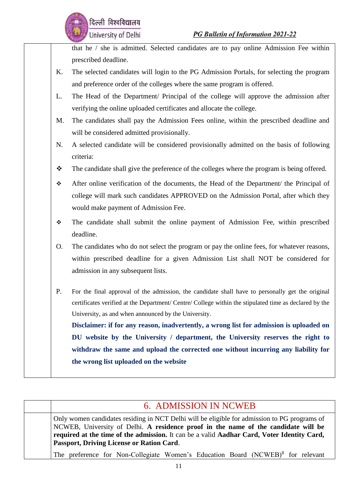

that he / she is admitted. Selected candidates are to pay online Admission Fee within prescribed deadline.

- K. The selected candidates will login to the PG Admission Portals, for selecting the program and preference order of the colleges where the same program is offered.
- L. The Head of the Department/ Principal of the college will approve the admission after verifying the online uploaded certificates and allocate the college.
- M. The candidates shall pay the Admission Fees online, within the prescribed deadline and will be considered admitted provisionally.
- N. A selected candidate will be considered provisionally admitted on the basis of following criteria:

❖ The candidate shall give the preference of the colleges where the program is being offered.

- ❖ After online verification of the documents, the Head of the Department/ the Principal of college will mark such candidates APPROVED on the Admission Portal, after which they would make payment of Admission Fee.
- ❖ The candidate shall submit the online payment of Admission Fee, within prescribed deadline.

O. The candidates who do not select the program or pay the online fees, for whatever reasons, within prescribed deadline for a given Admission List shall NOT be considered for admission in any subsequent lists.

P. For the final approval of the admission, the candidate shall have to personally get the original certificates verified at the Department/ Centre/ College within the stipulated time as declared by the University, as and when announced by the University.

**Disclaimer: if for any reason, inadvertently, a wrong list for admission is uploaded on DU website by the University / department, the University reserves the right to withdraw the same and upload the corrected one without incurring any liability for the wrong list uploaded on the website**

| <b>6. ADMISSION IN NCWEB</b>                                                                                                                                                                                                                                                                                                         |
|--------------------------------------------------------------------------------------------------------------------------------------------------------------------------------------------------------------------------------------------------------------------------------------------------------------------------------------|
| Only women candidates residing in NCT Delhi will be eligible for admission to PG programs of<br>NCWEB, University of Delhi. A residence proof in the name of the candidate will be<br>required at the time of the admission. It can be a valid Aadhar Card, Voter Identity Card,<br><b>Passport, Driving License or Ration Card.</b> |
| The preference for Non-Collegiate Women's Education Board (NCWEB) <sup>8</sup> for relevant                                                                                                                                                                                                                                          |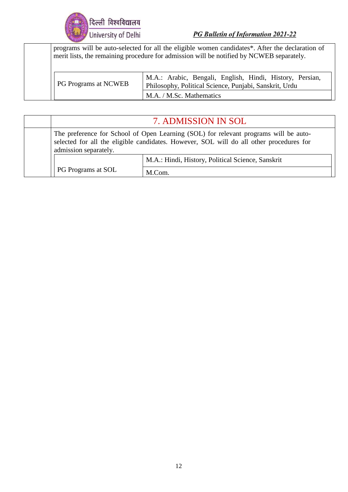

| programs will be auto-selected for all the eligible women candidates*. After the declaration of<br>merit lists, the remaining procedure for admission will be notified by NCWEB separately. |                                                                                                                                                |  |  |
|---------------------------------------------------------------------------------------------------------------------------------------------------------------------------------------------|------------------------------------------------------------------------------------------------------------------------------------------------|--|--|
| <b>PG Programs at NCWEB</b>                                                                                                                                                                 | M.A.: Arabic, Bengali, English, Hindi, History, Persian,<br>Philosophy, Political Science, Punjabi, Sanskrit, Urdu<br>M.A. / M.Sc. Mathematics |  |  |

| 7. ADMISSION IN SOL                                                                                                                                                                                      |                                                   |  |
|----------------------------------------------------------------------------------------------------------------------------------------------------------------------------------------------------------|---------------------------------------------------|--|
| The preference for School of Open Learning (SOL) for relevant programs will be auto-<br>selected for all the eligible candidates. However, SOL will do all other procedures for<br>admission separately. |                                                   |  |
|                                                                                                                                                                                                          | M.A.: Hindi, History, Political Science, Sanskrit |  |
| <b>PG Programs at SOL</b>                                                                                                                                                                                | M.Com.                                            |  |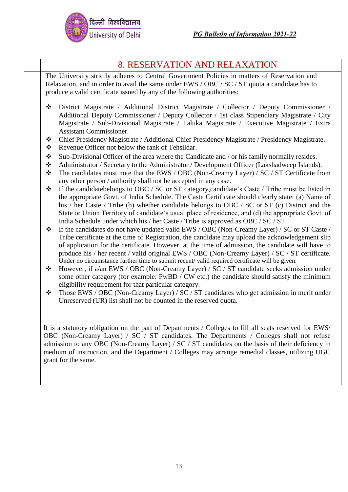

|                       | <b>8. RESERVATION AND RELAXATION</b>                                                                                                                                                                                                                                                                                                                                                                                                                                                                   |  |  |  |
|-----------------------|--------------------------------------------------------------------------------------------------------------------------------------------------------------------------------------------------------------------------------------------------------------------------------------------------------------------------------------------------------------------------------------------------------------------------------------------------------------------------------------------------------|--|--|--|
|                       | The University strictly adheres to Central Government Policies in matters of Reservation and<br>Relaxation, and in order to avail the same under EWS / OBC / SC / ST quota a candidate has to<br>produce a valid certificate issued by any of the following authorities:                                                                                                                                                                                                                               |  |  |  |
| ❖<br>$\ddot{\bullet}$ | District Magistrate / Additional District Magistrate / Collector / Deputy Commissioner /<br>Additional Deputy Commissioner / Deputy Collector / 1st class Stipendiary Magistrate / City<br>Magistrate / Sub-Divisional Magistrate / Taluka Magistrate / Executive Magistrate / Extra<br><b>Assistant Commissioner.</b><br>Chief Presidency Magistrate / Additional Chief Presidency Magistrate / Presidency Magistrate.                                                                                |  |  |  |
| ❖                     | Revenue Officer not below the rank of Tehsildar.                                                                                                                                                                                                                                                                                                                                                                                                                                                       |  |  |  |
| $\bullet$             | Sub-Divisional Officer of the area where the Candidate and / or his family normally resides.                                                                                                                                                                                                                                                                                                                                                                                                           |  |  |  |
| $\bullet$             | Administrator / Secretary to the Administrator / Development Officer (Lakshadweep Islands).                                                                                                                                                                                                                                                                                                                                                                                                            |  |  |  |
| $\bullet \bullet$     | The candidates must note that the EWS / OBC (Non-Creamy Layer) / SC / ST Certificate from<br>any other person / authority shall not be accepted in any case.                                                                                                                                                                                                                                                                                                                                           |  |  |  |
| ❖                     | If the candidate belongs to OBC / SC or ST category, candidate's Caste / Tribe must be listed in<br>the appropriate Govt. of India Schedule. The Caste Certificate should clearly state: (a) Name of<br>his / her Caste / Tribe (b) whether candidate belongs to OBC / SC or ST (c) District and the<br>State or Union Territory of candidate's usual place of residence, and (d) the appropriate Govt. of                                                                                             |  |  |  |
|                       | India Schedule under which his / her Caste / Tribe is approved as OBC / SC / ST.                                                                                                                                                                                                                                                                                                                                                                                                                       |  |  |  |
| ❖                     | If the candidates do not have updated valid EWS / OBC (Non-Creamy Layer) / SC or ST Caste /<br>Tribe certificate at the time of Registration, the candidate may upload the acknowledgement slip<br>of application for the certificate. However, at the time of admission, the candidate will have to<br>produce his / her recent / valid original EWS / OBC (Non-Creamy Layer) / SC / ST certificate.<br>Under no circumstance further time to submit recent/valid required certificate will be given. |  |  |  |
| ❖                     | However, if a/an EWS / OBC (Non-Creamy Layer) / SC / ST candidate seeks admission under<br>some other category (for example: PwBD / CW etc.) the candidate should satisfy the minimum<br>eligibility requirement for that particular category.                                                                                                                                                                                                                                                         |  |  |  |
| $\ddot{\cdot}$        | Those EWS / OBC (Non-Creamy Layer) / SC / ST candidates who get admission in merit under<br>Unreserved (UR) list shall not be counted in the reserved quota.                                                                                                                                                                                                                                                                                                                                           |  |  |  |
|                       | It is a statutory obligation on the part of Departments / Colleges to fill all seats reserved for EWS/<br>OBC (Non-Creamy Layer) / SC / ST candidates. The Departments / Colleges shall not refuse<br>admission to any OBC (Non-Creamy Layer) / SC / ST candidates on the basis of their deficiency in<br>medium of instruction, and the Department / Colleges may arrange remedial classes, utilizing UGC<br>grant for the same.                                                                      |  |  |  |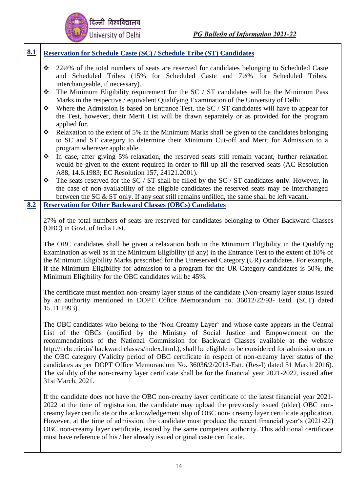

#### **8.1 Reservation for Schedule Caste (SC) / Schedule Tribe (ST) Candidates**

- ❖ 22½% of the total numbers of seats are reserved for candidates belonging to Scheduled Caste and Scheduled Tribes (15% for Scheduled Caste and 7½% for Scheduled Tribes, interchangeable, if necessary).
- ❖ The Minimum Eligibility requirement for the SC / ST candidates will be the Minimum Pass Marks in the respective / equivalent Qualifying Examination of the University of Delhi.
- ❖ Where the Admission is based on Entrance Test, the SC / ST candidates will have to appear for the Test, however, their Merit List will be drawn separately or as provided for the program applied for.
- $\triangleleft$  Relaxation to the extent of 5% in the Minimum Marks shall be given to the candidates belonging to SC and ST category to determine their Minimum Cut-off and Merit for Admission to a program wherever applicable.
- ❖ In case, after giving 5% relaxation, the reserved seats still remain vacant, further relaxation would be given to the extent required in order to fill up all the reserved seats (AC Resolution A88, 14.6.1983; EC Resolution 157, 24121.2001).
- ❖ The seats reserved for the SC / ST shall be filled by the SC / ST candidates **only**. However, in the case of non-availability of the eligible candidates the reserved seats may be interchanged between the SC & ST only. If any seat still remains unfilled, the same shall be left vacant.

#### **8.2 Reservation for Other Backward Classes (OBCs) Candidates**

27% of the total numbers of seats are reserved for candidates belonging to Other Backward Classes (OBC) in Govt. of India List.

The OBC candidates shall be given a relaxation both in the Minimum Eligibility in the Qualifying Examination as well as in the Minimum Eligibility (if any) in the Entrance Test to the extent of 10% of the Minimum Eligibility Marks prescribed for the Unreserved Category (UR) candidates. For example, if the Minimum Eligibility for admission to a program for the UR Category candidates is 50%, the Minimum Eligibility for the OBC candidates will be 45%.

The certificate must mention non-creamy layer status of the candidate (Non-creamy layer status issued by an authority mentioned in DOPT Office Memorandum no. 36012/22/93- Estd. (SCT) dated 15.11.1993).

The OBC candidates who belong to the 'Non-Creamy Layer' and whose caste appears in the Central List of the OBCs (notified by the Ministry of Social Justice and Empowerment on the recommendations of the National Commission for Backward Classes available at the website [http://ncbc.nic.in/ b](http://ncbc.nic.in/)ackward classes/index.html.), shall be eligible to be considered for admission under the OBC category (Validity period of OBC certificate in respect of non-creamy layer status of the candidates as per DOPT Office Memorandum No. 36036/2/2013-Estt. (Res-I) dated 31 March 2016). The validity of the non-creamy layer certificate shall be for the financial year 2021-2022, issued after 31st March, 2021.

If the candidate does not have the OBC non-creamy layer certificate of the latest financial year 2021- 2022 at the time of registration, the candidate may upload the previously issued (older) OBC noncreamy layer certificate or the acknowledgement slip of OBC non- creamy layer certificate application. However, at the time of admission, the candidate must produce the recent financial year's (2021-22) OBC non-creamy layer certificate, issued by the same competent authority. This additional certificate must have reference of his / her already issued original caste certificate.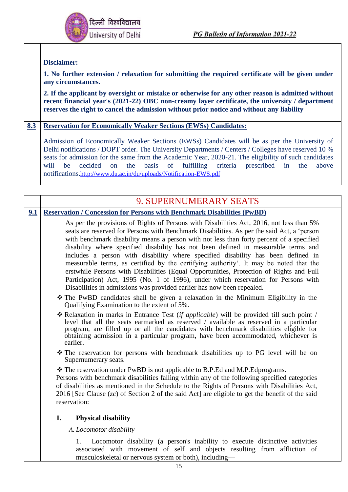

#### **Disclaimer:**

**1. No further extension / relaxation for submitting the required certificate will be given under any circumstances.**

**2. If the applicant by oversight or mistake or otherwise for any other reason is admitted without recent financial year's (2021-22) OBC non-creamy layer certificate, the university / department reserves the right to cancel the admission without prior notice and without any liability**

#### **8.3 Reservation for Economically Weaker Sections (EWSs) Candidates:**

Admission of Economically Weaker Sections (EWSs) Candidates will be as per the University of Delhi notifications / DOPT order. The University Departments / Centers / Colleges have reserved 10 % seats for admission for the same from the Academic Year, 2020-21. The eligibility of such candidates will be decided on the basis of fulfilling criteria prescribed in the above notifications.<http://www.du.ac.in/du/uploads/Notification-EWS.pdf>

|                                                                                                                                                                                                                                                                                                                                                                                                                                                                                                                                                                                                                                                                                                                                                                                                                 | 9. SUPERNUMERARY SEATS                                                                                                                                                                                                                                                                                                                                                                            |  |  |  |
|-----------------------------------------------------------------------------------------------------------------------------------------------------------------------------------------------------------------------------------------------------------------------------------------------------------------------------------------------------------------------------------------------------------------------------------------------------------------------------------------------------------------------------------------------------------------------------------------------------------------------------------------------------------------------------------------------------------------------------------------------------------------------------------------------------------------|---------------------------------------------------------------------------------------------------------------------------------------------------------------------------------------------------------------------------------------------------------------------------------------------------------------------------------------------------------------------------------------------------|--|--|--|
| 9.1                                                                                                                                                                                                                                                                                                                                                                                                                                                                                                                                                                                                                                                                                                                                                                                                             | <b>Reservation / Concession for Persons with Benchmark Disabilities (PwBD)</b>                                                                                                                                                                                                                                                                                                                    |  |  |  |
| As per the provisions of Rights of Persons with Disabilities Act, 2016, not less than 5%<br>seats are reserved for Persons with Benchmark Disabilities. As per the said Act, a 'person<br>with benchmark disability means a person with not less than forty percent of a specified<br>disability where specified disability has not been defined in measurable terms and<br>includes a person with disability where specified disability has been defined in<br>measurable terms, as certified by the certifying authority. It may be noted that the<br>erstwhile Persons with Disabilities (Equal Opportunities, Protection of Rights and Full<br>Participation) Act, 1995 (No. 1 of 1996), under which reservation for Persons with<br>Disabilities in admissions was provided earlier has now been repealed. |                                                                                                                                                                                                                                                                                                                                                                                                   |  |  |  |
|                                                                                                                                                                                                                                                                                                                                                                                                                                                                                                                                                                                                                                                                                                                                                                                                                 | * The PwBD candidates shall be given a relaxation in the Minimum Eligibility in the<br>Qualifying Examination to the extent of 5%.                                                                                                                                                                                                                                                                |  |  |  |
|                                                                                                                                                                                                                                                                                                                                                                                                                                                                                                                                                                                                                                                                                                                                                                                                                 | $\triangle$ Relaxation in marks in Entrance Test (if applicable) will be provided till such point /<br>level that all the seats earmarked as reserved / available as reserved in a particular<br>program, are filled up or all the candidates with benchmark disabilities eligible for<br>obtaining admission in a particular program, have been accommodated, whichever is<br>earlier.           |  |  |  |
|                                                                                                                                                                                                                                                                                                                                                                                                                                                                                                                                                                                                                                                                                                                                                                                                                 | * The reservation for persons with benchmark disabilities up to PG level will be on<br>Supernumerary seats.                                                                                                                                                                                                                                                                                       |  |  |  |
|                                                                                                                                                                                                                                                                                                                                                                                                                                                                                                                                                                                                                                                                                                                                                                                                                 | ❖ The reservation under PwBD is not applicable to B.P.Ed and M.P.Edprograms.<br>Persons with benchmark disabilities falling within any of the following specified categories<br>of disabilities as mentioned in the Schedule to the Rights of Persons with Disabilities Act,<br>2016 [See Clause $(zc)$ of Section 2 of the said Act] are eligible to get the benefit of the said<br>reservation: |  |  |  |
|                                                                                                                                                                                                                                                                                                                                                                                                                                                                                                                                                                                                                                                                                                                                                                                                                 | <b>Physical disability</b><br>I.                                                                                                                                                                                                                                                                                                                                                                  |  |  |  |

*A. Locomotor disability*

1. Locomotor disability (a person's inability to execute distinctive activities associated with movement of self and objects resulting from affliction of musculoskeletal or nervous system or both), including—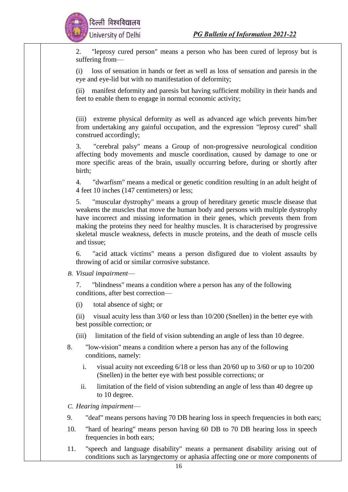

2. "leprosy cured person" means a person who has been cured of leprosy but is suffering from—

(i) loss of sensation in hands or feet as well as loss of sensation and paresis in the eye and eye-lid but with no manifestation of deformity;

(ii) manifest deformity and paresis but having sufficient mobility in their hands and feet to enable them to engage in normal economic activity;

(iii) extreme physical deformity as well as advanced age which prevents him/her from undertaking any gainful occupation, and the expression "leprosy cured" shall construed accordingly;

3. "cerebral palsy" means a Group of non-progressive neurological condition affecting body movements and muscle coordination, caused by damage to one or more specific areas of the brain, usually occurring before, during or shortly after birth;

4. "dwarfism" means a medical or genetic condition resulting in an adult height of 4 feet 10 inches (147 centimeters) or less;

5. "muscular dystrophy" means a group of hereditary genetic muscle disease that weakens the muscles that move the human body and persons with multiple dystrophy have incorrect and missing information in their genes, which prevents them from making the proteins they need for healthy muscles. It is characterised by progressive skeletal muscle weakness, defects in muscle proteins, and the death of muscle cells and tissue;

6. "acid attack victims" means a person disfigured due to violent assaults by throwing of acid or similar corrosive substance.

*B. Visual impairment*—

7. "blindness" means a condition where a person has any of the following conditions, after best correction—

(i) total absence of sight; or

(ii) visual acuity less than 3/60 or less than 10/200 (Snellen) in the better eye with best possible correction; or

- (iii) limitation of the field of vision subtending an angle of less than 10 degree.
- 8. "low-vision" means a condition where a person has any of the following conditions, namely:
	- i. visual acuity not exceeding 6/18 or less than 20/60 up to 3/60 or up to 10/200 (Snellen) in the better eye with best possible corrections; or
	- ii. limitation of the field of vision subtending an angle of less than 40 degree up to 10 degree.

*C. Hearing impairment*—

- 9. "deaf" means persons having 70 DB hearing loss in speech frequencies in both ears;
- 10. "hard of hearing" means person having 60 DB to 70 DB hearing loss in speech frequencies in both ears;
- 11. "speech and language disability" means a permanent disability arising out of conditions such as laryngectomy or aphasia affecting one or more components of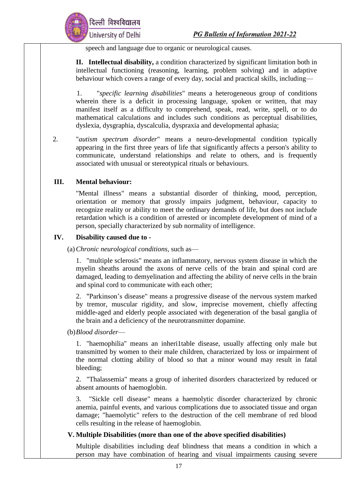

speech and language due to organic or neurological causes.

**II. Intellectual disability,** a condition characterized by significant limitation both in intellectual functioning (reasoning, learning, problem solving) and in adaptive behaviour which covers a range of every day, social and practical skills, including—

1. "*specific learning disabilities*" means a heterogeneous group of conditions wherein there is a deficit in processing language, spoken or written, that may manifest itself as a difficulty to comprehend, speak, read, write, spell, or to do mathematical calculations and includes such conditions as perceptual disabilities, dyslexia, dysgraphia, dyscalculia, dyspraxia and developmental aphasia;

2. "*autism spectrum disorder*" means a neuro-developmental condition typically appearing in the first three years of life that significantly affects a person's ability to communicate, understand relationships and relate to others, and is frequently associated with unusual or stereotypical rituals or behaviours.

#### **III. Mental behaviour:**

"Mental illness" means a substantial disorder of thinking, mood, perception, orientation or memory that grossly impairs judgment, behaviour, capacity to recognize reality or ability to meet the ordinary demands of life, but does not include retardation which is a condition of arrested or incomplete development of mind of a person, specially characterized by sub normality of intelligence.

#### **IV. Disability caused due to -**

(a)*Chronic neurological conditions,* such as—

1. "multiple sclerosis" means an inflammatory, nervous system disease in which the myelin sheaths around the axons of nerve cells of the brain and spinal cord are damaged, leading to demyelination and affecting the ability of nerve cells in the brain and spinal cord to communicate with each other;

2. "Parkinson's disease" means a progressive disease of the nervous system marked by tremor, muscular rigidity, and slow, imprecise movement, chiefly affecting middle-aged and elderly people associated with degeneration of the basal ganglia of the brain and a deficiency of the neurotransmitter dopamine.

#### (b)*Blood disorder*—

1. "haemophilia" means an inheri1table disease, usually affecting only male but transmitted by women to their male children, characterized by loss or impairment of the normal clotting ability of blood so that a minor wound may result in fatal bleeding;

2. "Thalassemia" means a group of inherited disorders characterized by reduced or absent amounts of haemoglobin.

3. "Sickle cell disease" means a haemolytic disorder characterized by chronic anemia, painful events, and various complications due to associated tissue and organ damage; "haemolytic" refers to the destruction of the cell membrane of red blood cells resulting in the release of haemoglobin.

#### **V. Multiple Disabilities (more than one of the above specified disabilities)**

Multiple disabilities including deaf blindness that means a condition in which a person may have combination of hearing and visual impairments causing severe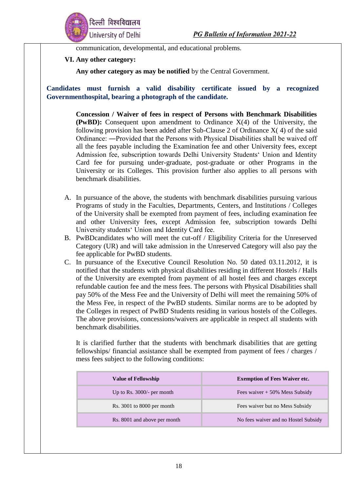

communication, developmental, and educational problems.

#### **VI. Any other category:**

**Any other category as may be notified** by the Central Government.

**Candidates must furnish a valid disability certificate issued by a recognized Governmenthospital, bearing a photograph of the candidate.**

> **Concession / Waiver of fees in respect of Persons with Benchmark Disabilities (PwBD):** Consequent upon amendment to Ordinance X(4) of the University, the following provision has been added after Sub-Clause 2 of Ordinance X( 4) of the said Ordinance: ―Provided that the Persons with Physical Disabilities shall be waived off all the fees payable including the Examination fee and other University fees, except Admission fee, subscription towards Delhi University Students' Union and Identity Card fee for pursuing under-graduate, post-graduate or other Programs in the University or its Colleges. This provision further also applies to all persons with benchmark disabilities.

- A. In pursuance of the above, the students with benchmark disabilities pursuing various Programs of study in the Faculties, Departments, Centers, and Institutions / Colleges of the University shall be exempted from payment of fees, including examination fee and other University fees, except Admission fee, subscription towards Delhi University students' Union and Identity Card fee.
- B. PwBDcandidates who will meet the cut-off / Eligibility Criteria for the Unreserved Category (UR) and will take admission in the Unreserved Category will also pay the fee applicable for PwBD students.
- C. In pursuance of the Executive Council Resolution No. 50 dated 03.11.2012, it is notified that the students with physical disabilities residing in different Hostels / Halls of the University are exempted from payment of all hostel fees and charges except refundable caution fee and the mess fees. The persons with Physical Disabilities shall pay 50% of the Mess Fee and the University of Delhi will meet the remaining 50% of the Mess Fee, in respect of the PwBD students. Similar norms are to be adopted by the Colleges in respect of PwBD Students residing in various hostels of the Colleges. The above provisions, concessions/waivers are applicable in respect all students with benchmark disabilities.

It is clarified further that the students with benchmark disabilities that are getting fellowships/ financial assistance shall be exempted from payment of fees / charges / mess fees subject to the following conditions:

| <b>Value of Fellowship</b>   | <b>Exemption of Fees Waiver etc.</b> |
|------------------------------|--------------------------------------|
| Up to Rs. $3000/-$ per month | Fees waiver $+50\%$ Mess Subsidy     |
| $Rs. 3001$ to 8000 per month | Fees waiver but no Mess Subsidy      |
| Rs. 8001 and above per month | No fees waiver and no Hostel Subsidy |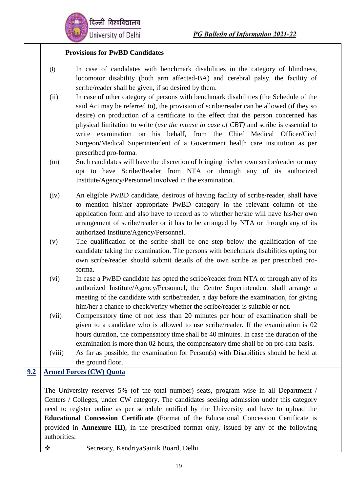

#### **Provisions for PwBD Candidates**

- (i) In case of candidates with benchmark disabilities in the category of blindness, locomotor disability (both arm affected-BA) and cerebral palsy, the facility of scribe/reader shall be given, if so desired by them.
- (ii) In case of other category of persons with benchmark disabilities (the Schedule of the said Act may be referred to), the provision of scribe/reader can be allowed (if they so desire) on production of a certificate to the effect that the person concerned has physical limitation to write (*use the mouse in case of CBT)* and scribe is essential to write examination on his behalf, from the Chief Medical Officer/Civil Surgeon/Medical Superintendent of a Government health care institution as per prescribed pro-forma.
- (iii) Such candidates will have the discretion of bringing his/her own scribe/reader or may opt to have Scribe/Reader from NTA or through any of its authorized Institute/Agency/Personnel involved in the examination.
- (iv) An eligible PwBD candidate, desirous of having facility of scribe/reader, shall have to mention his/her appropriate PwBD category in the relevant column of the application form and also have to record as to whether he/she will have his/her own arrangement of scribe/reader or it has to be arranged by NTA or through any of its authorized Institute/Agency/Personnel.
- (v) The qualification of the scribe shall be one step below the qualification of the candidate taking the examination. The persons with benchmark disabilities opting for own scribe/reader should submit details of the own scribe as per prescribed proforma.
- (vi) In case a PwBD candidate has opted the scribe/reader from NTA or through any of its authorized Institute/Agency/Personnel, the Centre Superintendent shall arrange a meeting of the candidate with scribe/reader, a day before the examination, for giving him/her a chance to check/verify whether the scribe/reader is suitable or not.
- (vii) Compensatory time of not less than 20 minutes per hour of examination shall be given to a candidate who is allowed to use scribe/reader. If the examination is 02 hours duration, the compensatory time shall be 40 minutes. In case the duration of the examination is more than 02 hours, the compensatory time shall be on pro-rata basis.
- (viii) As far as possible, the examination for Person(s) with Disabilities should be held at the ground floor.

#### **9.2 Armed Forces (CW) Quota**

The University reserves 5% (of the total number) seats, program wise in all Department / Centers / Colleges, under CW category. The candidates seeking admission under this category need to register online as per schedule notified by the University and have to upload the **Educational Concession Certificate (**Format of the Educational Concession Certificate is provided in **Annexure III)**, in the prescribed format only, issued by any of the following authorities:

❖ Secretary, KendriyaSainik Board, Delhi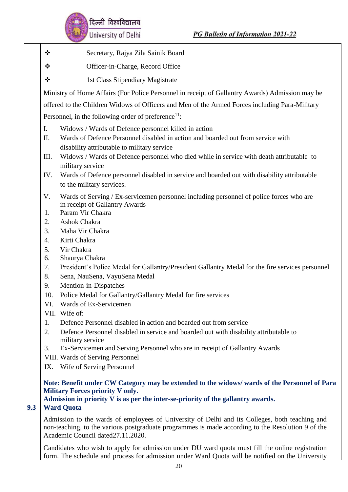

- ❖ Secretary, Rajya Zila Sainik Board
- ❖ Officer-in-Charge, Record Office
- ❖ 1st Class Stipendiary Magistrate

Ministry of Home Affairs (For Police Personnel in receipt of Gallantry Awards) Admission may be

offered to the Children Widows of Officers and Men of the Armed Forces including Para-Military

Personnel, in the following order of preference $1!$ :

- I. Widows / Wards of Defence personnel killed in action
- II. Wards of Defence Personnel disabled in action and boarded out from service with disability attributable to military service
- III. Widows / Wards of Defence personnel who died while in service with death attributable to military service
- IV. Wards of Defence personnel disabled in service and boarded out with disability attributable to the military services.
- V. Wards of Serving / Ex-servicemen personnel including personnel of police forces who are in receipt of Gallantry Awards
- 1. Param Vir Chakra
- 2. Ashok Chakra
- 3. Maha Vir Chakra
- 4. Kirti Chakra
- 5. Vir Chakra
- 6. Shaurya Chakra
- 7. President's Police Medal for Gallantry/President Gallantry Medal for the fire services personnel
- 8. Sena, NauSena, VayuSena Medal
- 9. Mention-in-Dispatches
- 10. Police Medal for Gallantry/Gallantry Medal for fire services
- VI. Wards of Ex-Servicemen
- VII. Wife of:
- 1. Defence Personnel disabled in action and boarded out from service
- 2. Defence Personnel disabled in service and boarded out with disability attributable to military service
- 3. Ex-Servicemen and Serving Personnel who are in receipt of Gallantry Awards
- VIII. Wards of Serving Personnel
- IX. Wife of Serving Personnel

#### **Note: Benefit under CW Category may be extended to the widows/ wards of the Personnel of Para Military Forces priority V only.**

**Admission in priority V is as per the inter-se-priority of the gallantry awards.**

#### **9.3 Ward Quota**

Admission to the wards of employees of University of Delhi and its Colleges, both teaching and non-teaching, to the various postgraduate programmes is made according to the Resolution 9 of the Academic Council dated27.11.2020.

Candidates who wish to apply for admission under DU ward quota must fill the online registration form. The schedule and process for admission under Ward Quota will be notified on the University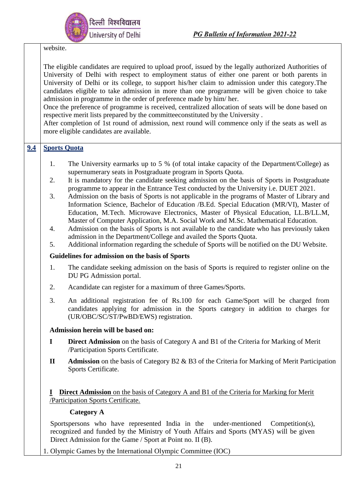website.

The eligible candidates are required to upload proof, issued by the legally authorized Authorities of University of Delhi with respect to employment status of either one parent or both parents in University of Delhi or its college, to support his/her claim to admission under this category.The candidates eligible to take admission in more than one programme will be given choice to take admission in programme in the order of preference made by him/ her.

Once the preference of programme is received, centralized allocation of seats will be done based on respective merit lists prepared by the committeeconstituted by the University .

After completion of 1st round of admission, next round will commence only if the seats as well as more eligible candidates are available.

#### **9.4 Sports Quota**

- 1. The University earmarks up to 5 % (of total intake capacity of the Department/College) as supernumerary seats in Postgraduate program in Sports Quota.
- 2. It is mandatory for the candidate seeking admission on the basis of Sports in Postgraduate programme to appear in the Entrance Test conducted by the University i.e. DUET 2021.
- 3. Admission on the basis of Sports is not applicable in the programs of Master of Library and Information Science, Bachelor of Education /B.Ed. Special Education (MR/VI), Master of Education, M.Tech. Microwave Electronics, Master of Physical Education, LL.B/LL.M, Master of Computer Application, M.A. Social Work and M.Sc. Mathematical Education.
- 4. Admission on the basis of Sports is not available to the candidate who has previously taken admission in the Department/College and availed the Sports Quota.
- 5. Additional information regarding the schedule of Sports will be notified on the DU Website.

#### **Guidelines for admission on the basis of Sports**

- 1. The candidate seeking admission on the basis of Sports is required to register online on the DU PG Admission portal.
- 2. Acandidate can register for a maximum of three Games/Sports.
- 3. An additional registration fee of Rs.100 for each Game/Sport will be charged from candidates applying for admission in the Sports category in addition to charges for (UR/OBC/SC/ST/PwBD/EWS) registration.

#### **Admission herein will be based on:**

- **I Direct Admission** on the basis of Category A and B1 of the Criteria for Marking of Merit /Participation Sports Certificate.
- **II Admission** on the basis of Category B2 & B3 of the Criteria for Marking of Merit Participation Sports Certificate.

**I Direct Admission** on the basis of Category A and B1 of the Criteria for Marking for Merit /Participation Sports Certificate.

#### **Category A**

Sportspersons who have represented India in the under-mentioned Competition(s), recognized and funded by the Ministry of Youth Affairs and Sports (MYAS) will be given Direct Admission for the Game / Sport at Point no. II (B).

1. Olympic Games by the International Olympic Committee (IOC)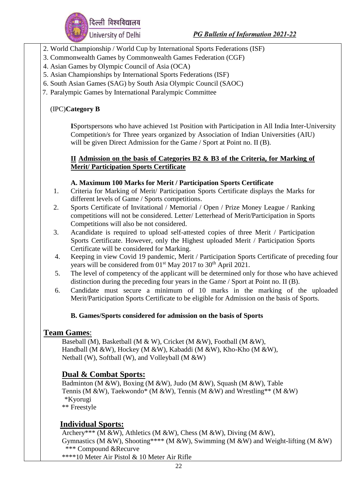

- 2. World Championship / World Cup by International Sports Federations (ISF)
- 3. Commonwealth Games by Commonwealth Games Federation (CGF)
- 4. Asian Games by Olympic Council of Asia (OCA)
- 5. Asian Championships by International Sports Federations (ISF)
- 6. South Asian Games (SAG) by South Asia Olympic Council (SAOC)
- 7. Paralympic Games by International Paralympic Committee

#### (IPC)**Category B**

**I**Sportspersons who have achieved 1st Position with Participation in All India Inter-University Competition/s for Three years organized by Association of Indian Universities (AIU) will be given Direct Admission for the Game / Sport at Point no. II (B).

#### **II Admission on the basis of Categories B2 & B3 of the Criteria, for Marking of Merit/ Participation Sports Certificate**

#### **A. Maximum 100 Marks for Merit / Participation Sports Certificate**

- 1. Criteria for Marking of Merit/ Participation Sports Certificate displays the Marks for different levels of Game / Sports competitions.
- 2. Sports Certificate of Invitational / Memorial / Open / Prize Money League / Ranking competitions will not be considered. Letter/ Letterhead of Merit/Participation in Sports Competitions will also be not considered.
- 3. Acandidate is required to upload self-attested copies of three Merit / Participation Sports Certificate. However, only the Highest uploaded Merit / Participation Sports Certificate will be considered for Marking.
- 4. Keeping in view Covid 19 pandemic, Merit / Participation Sports Certificate of preceding four years will be considered from 01<sup>st</sup> May 2017 to 30<sup>th</sup> April 2021.
- 5. The level of competency of the applicant will be determined only for those who have achieved distinction during the preceding four years in the Game / Sport at Point no. II (B).
- 6. Candidate must secure a minimum of 10 marks in the marking of the uploaded Merit/Participation Sports Certificate to be eligible for Admission on the basis of Sports.

#### **B. Games/Sports considered for admission on the basis of Sports**

#### **Team Games**:

Baseball (M), Basketball (M & W), Cricket (M &W), Football (M &W), Handball (M &W), Hockey (M &W), Kabaddi (M &W), Kho-Kho (M &W), Netball (W), Softball (W), and Volleyball (M &W)

#### **Dual & Combat Sports:**

Badminton (M &W), Boxing (M &W), Judo (M &W), Squash (M &W), Table Tennis (M &W), Taekwondo\* (M &W), Tennis (M &W) and Wrestling\*\* (M &W) \*Kyorugi \*\* Freestyle

## **Individual Sports:**

Archery\*\*\* (M &W), Athletics (M &W), Chess (M &W), Diving (M &W), Gymnastics (M &W), Shooting\*\*\*\* (M &W), Swimming (M &W) and Weight-lifting (M &W) \*\*\* Compound &Recurve

\*\*\*\*10 Meter Air Pistol & 10 Meter Air Rifle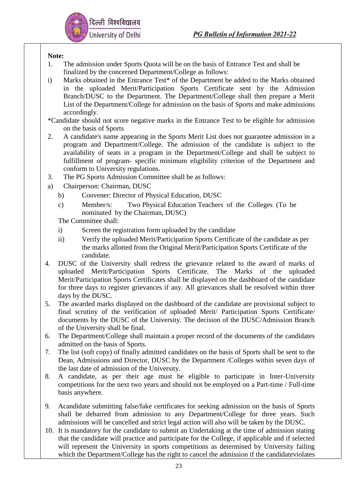

#### **Note:**

- 1. The admission under Sports Quota will be on the basis of Entrance Test and shall be finalized by the concerned Department/College as follows:
- i) Marks obtained in the Entrance Test\* of the Department be added to the Marks obtained in the uploaded Merit/Participation Sports Certificate sent by the Admission Branch/DUSC to the Department. The Department/College shall then prepare a Merit List of the Department/College for admission on the basis of Sports and make admissions accordingly.
- \*Candidate should not score negative marks in the Entrance Test to be eligible for admission on the basis of Sports
- 2. A candidate's name appearing in the Sports Merit List does not guarantee admission in a program and Department/College. The admission of the candidate is subject to the availability of seats in a program in the Department/College and shall be subject to fulfillment of program- specific minimum eligibility criterion of the Department and conform to University regulations.
- 3. The PG Sports Admission Committee shall be as follows:
- a) Chairperson: Chairman, DUSC
	- b) Convener: Director of Physical Education, DUSC
	- c) Member/s: Two Physical Education Teachers of the Colleges (To be nominated by the Chairman, DUSC)

The Committee shall:

- i) Screen the registration form uploaded by the candidate
- ii) Verify the uploaded Merit/Participation Sports Certificate of the candidate as per the marks allotted from the Original Merit/Participation Sports Certificate of the candidate.
- 4. DUSC of the University shall redress the grievance related to the award of marks of uploaded Merit/Participation Sports Certificate. The Marks of the uploaded Merit/Participation Sports Certificates shall be displayed on the dashboard of the candidate for three days to register grievances if any. All grievances shall be resolved within three days by the DUSC.
- 5. The awarded marks displayed on the dashboard of the candidate are provisional subject to final scrutiny of the verification of uploaded Merit/ Participation Sports Certificate/ documents by the DUSC of the University. The decision of the DUSC/Admission Branch of the University shall be final.
- 6. The Department/College shall maintain a proper record of the documents of the candidates admitted on the basis of Sports.
- 7. The list (soft copy) of finally admitted candidates on the basis of Sports shall be sent to the Dean, Admissions and Director, DUSC by the Department /Colleges within seven days of the last date of admission of the University.
- 8. A candidate, as per their age must be eligible to participate in Inter-University competitions for the next two years and should not be employed on a Part-time / Full-time basis anywhere.
- 9. Acandidate submitting false/fake certificates for seeking admission on the basis of Sports shall be debarred from admission to any Department/College for three years. Such admissions will be cancelled and strict legal action will also will be taken by the DUSC.
- 10. It is mandatory for the candidate to submit an Undertaking at the time of admission stating that the candidate will practice and participate for the College, if applicable and if selected will represent the University in sports competitions as determined by University failing which the Department/College has the right to cancel the admission if the candidateviolates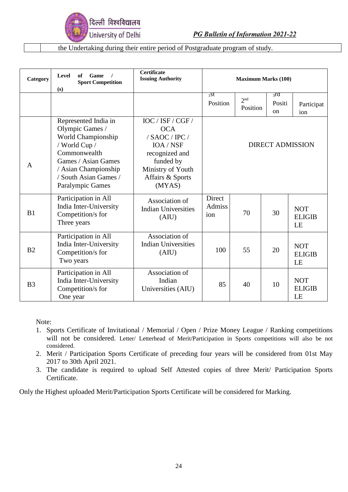

the Undertaking during their entire period of Postgraduate program of study.

| Category       | Level<br>Game<br>of<br>$\sqrt{ }$<br><b>Sport Competition</b><br>(s)                                                                                                                              | Certificate<br><b>Issuing Authority</b>                                                                                                          | <b>Maximum Marks (100)</b>     |                             |                                |                                   |
|----------------|---------------------------------------------------------------------------------------------------------------------------------------------------------------------------------------------------|--------------------------------------------------------------------------------------------------------------------------------------------------|--------------------------------|-----------------------------|--------------------------------|-----------------------------------|
|                |                                                                                                                                                                                                   |                                                                                                                                                  | $_{1}$ st<br>Position          | 2 <sub>nd</sub><br>Position | 3rd<br>Positi<br><sub>on</sub> | Participat<br>ion                 |
| $\mathbf{A}$   | Represented India in<br>Olympic Games /<br>World Championship<br>/ World Cup /<br>Commonwealth<br>Games / Asian Games<br>/ Asian Championship<br>/ South Asian Games /<br><b>Paralympic Games</b> | IOC / ISF / CGF /<br><b>OCA</b><br>/ SAOC / IPC /<br>IOA / NSF<br>recognized and<br>funded by<br>Ministry of Youth<br>Affairs & Sports<br>(MYAS) |                                |                             |                                | <b>DIRECT ADMISSION</b>           |
| B1             | Participation in All<br>India Inter-University<br>Competition/s for<br>Three years                                                                                                                | Association of<br><b>Indian Universities</b><br>(AIU)                                                                                            | Direct<br><b>Admiss</b><br>ion | 70                          | 30                             | <b>NOT</b><br><b>ELIGIB</b><br>LE |
| B <sub>2</sub> | Participation in All<br>India Inter-University<br>Competition/s for<br>Two years                                                                                                                  | Association of<br><b>Indian Universities</b><br>(AIU)                                                                                            | 100                            | 55                          | 20                             | <b>NOT</b><br><b>ELIGIB</b><br>LE |
| B <sub>3</sub> | Participation in All<br>India Inter-University<br>Competition/s for<br>One year                                                                                                                   | Association of<br>Indian<br>Universities (AIU)                                                                                                   | 85                             | 40                          | 10                             | <b>NOT</b><br><b>ELIGIB</b><br>LE |

Note:

- 1. Sports Certificate of Invitational / Memorial / Open / Prize Money League / Ranking competitions will not be considered. Letter/ Letterhead of Merit/Participation in Sports competitions will also be not considered.
- 2. Merit / Participation Sports Certificate of preceding four years will be considered from 01st May 2017 to 30th April 2021.
- 3. The candidate is required to upload Self Attested copies of three Merit/ Participation Sports Certificate.

Only the Highest uploaded Merit/Participation Sports Certificate will be considered for Marking.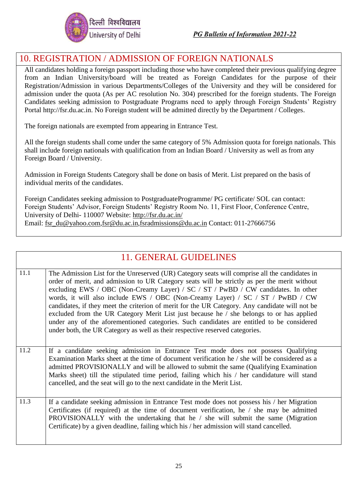

## 10. REGISTRATION / ADMISSION OF FOREIGN NATIONALS

All candidates holding a foreign passport including those who have completed their previous qualifying degree from an Indian University/board will be treated as Foreign Candidates for the purpose of their Registration/Admission in various Departments/Colleges of the University and they will be considered for admission under the quota (As per AC resolution No. 304) prescribed for the foreign students. The Foreign Candidates seeking admission to Postgraduate Programs need to apply through Foreign Students' Registry Portal [http://fsr.du.ac.in. N](http://fsr.du.ac.in/)o Foreign student will be admitted directly by the Department / Colleges.

The foreign nationals are exempted from appearing in Entrance Test.

All the foreign students shall come under the same category of 5% Admission quota for foreign nationals. This shall include foreign nationals with qualification from an Indian Board / University as well as from any Foreign Board / University.

Admission in Foreign Students Category shall be done on basis of Merit. List prepared on the basis of individual merits of the candidates.

Foreign Candidates seeking admission to PostgraduateProgramme/ PG certificate/ SOL can contact: Foreign Students' Advisor, Foreign Students' Registry Room No. 11, First Floor, Conference Centre, University of Delhi- 110007 Website:<http://fsr.du.ac.in/> Email: [fsr\\_du@yahoo.com,](mailto:fsr_du@yahoo.com)[fsr@du.ac.in,](mailto:fsr@du.ac.in)[fsradmissions@du.ac.in](mailto:fsradmissions@du.ac.in) Contact: 011-27666756

|      | <b>11. GENERAL GUIDELINES</b>                                                                                                                                                                                                                                                                                                                                                                                                                                                                                                                                                                                                                                                                                                                   |
|------|-------------------------------------------------------------------------------------------------------------------------------------------------------------------------------------------------------------------------------------------------------------------------------------------------------------------------------------------------------------------------------------------------------------------------------------------------------------------------------------------------------------------------------------------------------------------------------------------------------------------------------------------------------------------------------------------------------------------------------------------------|
| 11.1 | The Admission List for the Unreserved (UR) Category seats will comprise all the candidates in<br>order of merit, and admission to UR Category seats will be strictly as per the merit without<br>excluding EWS / OBC (Non-Creamy Layer) / SC / ST / PwBD / CW candidates. In other<br>words, it will also include EWS / OBC (Non-Creamy Layer) / SC / ST / PwBD / CW<br>candidates, if they meet the criterion of merit for the UR Category. Any candidate will not be<br>excluded from the UR Category Merit List just because he / she belongs to or has applied<br>under any of the aforementioned categories. Such candidates are entitled to be considered<br>under both, the UR Category as well as their respective reserved categories. |
| 11.2 | If a candidate seeking admission in Entrance Test mode does not possess Qualifying<br>Examination Marks sheet at the time of document verification he / she will be considered as a<br>admitted PROVISIONALLY and will be allowed to submit the same (Qualifying Examination<br>Marks sheet) till the stipulated time period, failing which his / her candidature will stand<br>cancelled, and the seat will go to the next candidate in the Merit List.                                                                                                                                                                                                                                                                                        |
| 11.3 | If a candidate seeking admission in Entrance Test mode does not possess his / her Migration<br>Certificates (if required) at the time of document verification, he / she may be admitted<br>PROVISIONALLY with the undertaking that he / she will submit the same (Migration<br>Certificate) by a given deadline, failing which his / her admission will stand cancelled.                                                                                                                                                                                                                                                                                                                                                                       |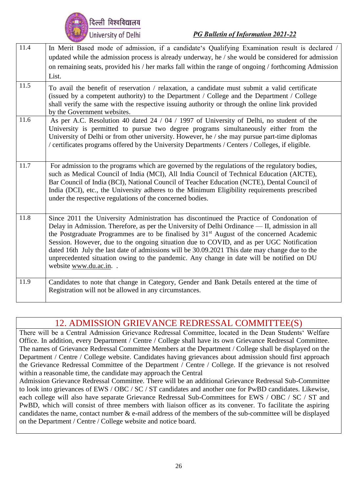

| 11.4 | In Merit Based mode of admission, if a candidate's Qualifying Examination result is declared /<br>updated while the admission process is already underway, he / she would be considered for admission                                                                                                                                                                                                                                                                                                                                                                                                                |
|------|----------------------------------------------------------------------------------------------------------------------------------------------------------------------------------------------------------------------------------------------------------------------------------------------------------------------------------------------------------------------------------------------------------------------------------------------------------------------------------------------------------------------------------------------------------------------------------------------------------------------|
|      | on remaining seats, provided his / her marks fall within the range of ongoing / forthcoming Admission                                                                                                                                                                                                                                                                                                                                                                                                                                                                                                                |
|      | List.                                                                                                                                                                                                                                                                                                                                                                                                                                                                                                                                                                                                                |
| 11.5 | To avail the benefit of reservation / relaxation, a candidate must submit a valid certificate<br>(issued by a competent authority) to the Department / College and the Department / College<br>shall verify the same with the respective issuing authority or through the online link provided<br>by the Government websites.                                                                                                                                                                                                                                                                                        |
| 11.6 | As per A.C. Resolution 40 dated 24 / 04 / 1997 of University of Delhi, no student of the<br>University is permitted to pursue two degree programs simultaneously either from the<br>University of Delhi or from other university. However, he / she may pursue part-time diplomas<br>/ certificates programs offered by the University Departments / Centers / Colleges, if eligible.                                                                                                                                                                                                                                |
| 11.7 | For admission to the programs which are governed by the regulations of the regulatory bodies,<br>such as Medical Council of India (MCI), All India Council of Technical Education (AICTE),<br>Bar Council of India (BCI), National Council of Teacher Education (NCTE), Dental Council of<br>India (DCI), etc., the University adheres to the Minimum Eligibility requirements prescribed<br>under the respective regulations of the concerned bodies.                                                                                                                                                               |
| 11.8 | Since 2011 the University Administration has discontinued the Practice of Condonation of<br>Delay in Admission. Therefore, as per the University of Delhi Ordinance — II, admission in all<br>the Postgraduate Programmes are to be finalised by 31 <sup>st</sup> August of the concerned Academic<br>Session. However, due to the ongoing situation due to COVID, and as per UGC Notification<br>dated 16th July the last date of admissions will be 30.09.2021 This date may change due to the<br>unprecedented situation owing to the pandemic. Any change in date will be notified on DU<br>website www.du.ac.in |
| 11.9 | Candidates to note that change in Category, Gender and Bank Details entered at the time of<br>Registration will not be allowed in any circumstances.                                                                                                                                                                                                                                                                                                                                                                                                                                                                 |

## 12. ADMISSION GRIEVANCE REDRESSAL COMMITTEE(S)

There will be a Central Admission Grievance Redressal Committee, located in the Dean Students' Welfare Office. In addition, every Department / Centre / College shall have its own Grievance Redressal Committee. The names of Grievance Redressal Committee Members at the Department / College shall be displayed on the Department / Centre / College website. Candidates having grievances about admission should first approach the Grievance Redressal Committee of the Department / Centre / College. If the grievance is not resolved within a reasonable time, the candidate may approach the Central

Admission Grievance Redressal Committee. There will be an additional Grievance Redressal Sub-Committee to look into grievances of EWS / OBC / SC / ST candidates and another one for PwBD candidates. Likewise, each college will also have separate Grievance Redressal Sub-Committees for EWS / OBC / SC / ST and PwBD, which will consist of three members with liaison officer as its convener. To facilitate the aspiring candidates the name, contact number & e-mail address of the members of the sub-committee will be displayed on the Department / Centre / College website and notice board.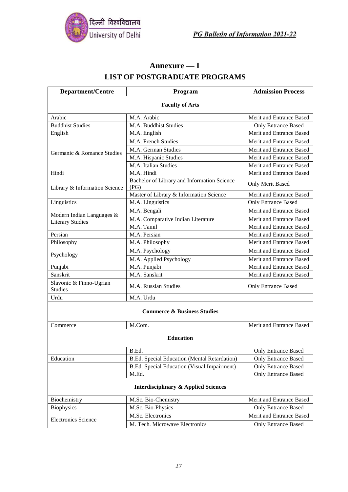

## **Annexure — I LIST OF POSTGRADUATE PROGRAMS**

| <b>Department/Centre</b>                                        | Program                                             | <b>Admission Process</b>   |  |  |  |
|-----------------------------------------------------------------|-----------------------------------------------------|----------------------------|--|--|--|
| <b>Faculty of Arts</b>                                          |                                                     |                            |  |  |  |
| Arabic                                                          | M.A. Arabic                                         | Merit and Entrance Based   |  |  |  |
| <b>Buddhist Studies</b>                                         | M.A. Buddhist Studies                               | <b>Only Entrance Based</b> |  |  |  |
| English                                                         | M.A. English                                        | Merit and Entrance Based   |  |  |  |
|                                                                 | M.A. French Studies                                 | Merit and Entrance Based   |  |  |  |
| Germanic & Romance Studies                                      | M.A. German Studies                                 | Merit and Entrance Based   |  |  |  |
|                                                                 | M.A. Hispanic Studies                               | Merit and Entrance Based   |  |  |  |
|                                                                 | M.A. Italian Studies                                | Merit and Entrance Based   |  |  |  |
| Hindi                                                           | M.A. Hindi                                          | Merit and Entrance Based   |  |  |  |
| Library & Information Science                                   | Bachelor of Library and Information Science<br>(PG) | Only Merit Based           |  |  |  |
|                                                                 | Master of Library & Information Science             | Merit and Entrance Based   |  |  |  |
| Linguistics                                                     | M.A. Linguistics                                    | <b>Only Entrance Based</b> |  |  |  |
|                                                                 | M.A. Bengali                                        | Merit and Entrance Based   |  |  |  |
| Modern Indian Languages &<br><b>Literary Studies</b>            | M.A. Comparative Indian Literature                  | Merit and Entrance Based   |  |  |  |
|                                                                 | M.A. Tamil                                          | Merit and Entrance Based   |  |  |  |
| Persian                                                         | M.A. Persian                                        | Merit and Entrance Based   |  |  |  |
| Philosophy                                                      | M.A. Philosophy                                     | Merit and Entrance Based   |  |  |  |
| Psychology                                                      | M.A. Psychology                                     | Merit and Entrance Based   |  |  |  |
|                                                                 | M.A. Applied Psychology                             | Merit and Entrance Based   |  |  |  |
| Punjabi                                                         | M.A. Punjabi                                        | Merit and Entrance Based   |  |  |  |
| Sanskrit                                                        | M.A. Sanskrit                                       | Merit and Entrance Based   |  |  |  |
| Slavonic & Finno-Ugrian<br><b>Studies</b>                       | M.A. Russian Studies                                | Only Entrance Based        |  |  |  |
| Urdu                                                            | M.A. Urdu                                           |                            |  |  |  |
| <b>Commerce &amp; Business Studies</b>                          |                                                     |                            |  |  |  |
| Commerce                                                        | M.Com.                                              | Merit and Entrance Based   |  |  |  |
| <b>Education</b>                                                |                                                     |                            |  |  |  |
|                                                                 | B.Ed.                                               | <b>Only Entrance Based</b> |  |  |  |
| Education                                                       | B.Ed. Special Education (Mental Retardation)        | <b>Only Entrance Based</b> |  |  |  |
|                                                                 | B.Ed. Special Education (Visual Impairment)         | Only Entrance Based        |  |  |  |
|                                                                 | M.Ed.                                               | <b>Only Entrance Based</b> |  |  |  |
| <b>Interdisciplinary &amp; Applied Sciences</b>                 |                                                     |                            |  |  |  |
| Biochemistry<br>M.Sc. Bio-Chemistry<br>Merit and Entrance Based |                                                     |                            |  |  |  |
| <b>Biophysics</b>                                               | M.Sc. Bio-Physics                                   | <b>Only Entrance Based</b> |  |  |  |
| M.Sc. Electronics<br>Merit and Entrance Based                   |                                                     |                            |  |  |  |
| <b>Electronics Science</b>                                      | M. Tech. Microwave Electronics                      | <b>Only Entrance Based</b> |  |  |  |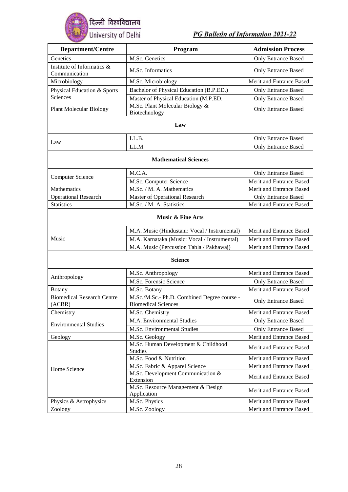

| <b>Department/Centre</b>                    | Program                                                                   | <b>Admission Process</b>   |  |  |
|---------------------------------------------|---------------------------------------------------------------------------|----------------------------|--|--|
| Genetics                                    | M.Sc. Genetics                                                            |                            |  |  |
| Institute of Informatics &                  |                                                                           | <b>Only Entrance Based</b> |  |  |
| Communication                               | M.Sc. Informatics                                                         | <b>Only Entrance Based</b> |  |  |
| Microbiology                                | M.Sc. Microbiology                                                        | Merit and Entrance Based   |  |  |
| Physical Education & Sports                 | Bachelor of Physical Education (B.P.ED.)                                  | <b>Only Entrance Based</b> |  |  |
| Sciences                                    | Master of Physical Education (M.P.ED.                                     | <b>Only Entrance Based</b> |  |  |
| <b>Plant Molecular Biology</b>              | $\overline{\text{M.S}}$ c. Plant Molecular Biology &<br>Biotechnology     | <b>Only Entrance Based</b> |  |  |
|                                             | Law                                                                       |                            |  |  |
|                                             | LL.B.                                                                     | <b>Only Entrance Based</b> |  |  |
| Law                                         | LL.M.                                                                     | <b>Only Entrance Based</b> |  |  |
|                                             | <b>Mathematical Sciences</b>                                              |                            |  |  |
|                                             | M.C.A.                                                                    | <b>Only Entrance Based</b> |  |  |
| <b>Computer Science</b>                     | M.Sc. Computer Science                                                    | Merit and Entrance Based   |  |  |
| Mathematics                                 | M.Sc. / M. A. Mathematics                                                 | Merit and Entrance Based   |  |  |
| <b>Operational Research</b>                 | Master of Operational Research                                            | <b>Only Entrance Based</b> |  |  |
| <b>Statistics</b>                           | M.Sc. / M. A. Statistics                                                  | Merit and Entrance Based   |  |  |
| <b>Music &amp; Fine Arts</b>                |                                                                           |                            |  |  |
|                                             | M.A. Music (Hindustani: Vocal / Instrumental)                             | Merit and Entrance Based   |  |  |
| Music                                       | M.A. Karnataka (Music: Vocal / Instrumental)                              | Merit and Entrance Based   |  |  |
|                                             | M.A. Music (Percussion Tabla / Pakhawaj)                                  | Merit and Entrance Based   |  |  |
|                                             | <b>Science</b>                                                            |                            |  |  |
|                                             | M.Sc. Anthropology                                                        | Merit and Entrance Based   |  |  |
| Anthropology                                | M.Sc. Forensic Science                                                    | <b>Only Entrance Based</b> |  |  |
| Botany                                      | M.Sc. Botany                                                              | Merit and Entrance Based   |  |  |
| <b>Biomedical Research Centre</b><br>(ACBR) | M.Sc./M.Sc.- Ph.D. Combined Degree course -<br><b>Biomedical Sciences</b> | <b>Only Entrance Based</b> |  |  |
| Chemistry                                   | M.Sc. Chemistry                                                           | Merit and Entrance Based   |  |  |
|                                             | M.A. Environmental Studies                                                | <b>Only Entrance Based</b> |  |  |
| <b>Environmental Studies</b>                | M.Sc. Environmental Studies                                               | Only Entrance Based        |  |  |
| Geology                                     | M.Sc. Geology                                                             | Merit and Entrance Based   |  |  |
|                                             | M.Sc. Human Development & Childhood<br><b>Studies</b>                     | Merit and Entrance Based   |  |  |
|                                             | M.Sc. Food & Nutrition                                                    | Merit and Entrance Based   |  |  |
| Home Science                                | M.Sc. Fabric & Apparel Science                                            | Merit and Entrance Based   |  |  |
|                                             | M.Sc. Development Communication &<br>Extension                            | Merit and Entrance Based   |  |  |
|                                             | M.Sc. Resource Management & Design<br>Application                         | Merit and Entrance Based   |  |  |
| Physics & Astrophysics                      | M.Sc. Physics                                                             | Merit and Entrance Based   |  |  |
| Zoology                                     | M.Sc. Zoology                                                             | Merit and Entrance Based   |  |  |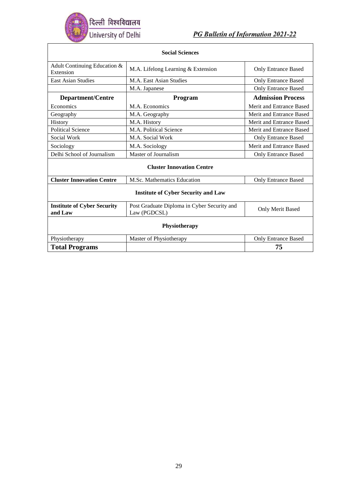

| <b>Social Sciences</b>                                                                        |                                                             |                            |  |  |  |
|-----------------------------------------------------------------------------------------------|-------------------------------------------------------------|----------------------------|--|--|--|
| Adult Continuing Education &<br>Extension                                                     | M.A. Lifelong Learning & Extension                          | <b>Only Entrance Based</b> |  |  |  |
| <b>East Asian Studies</b>                                                                     | M.A. East Asian Studies                                     | <b>Only Entrance Based</b> |  |  |  |
|                                                                                               | M.A. Japanese                                               | <b>Only Entrance Based</b> |  |  |  |
| <b>Department/Centre</b>                                                                      | <b>Program</b>                                              | <b>Admission Process</b>   |  |  |  |
| Economics                                                                                     | M.A. Economics                                              | Merit and Entrance Based   |  |  |  |
| Geography                                                                                     | M.A. Geography                                              | Merit and Entrance Based   |  |  |  |
| History                                                                                       | M.A. History                                                | Merit and Entrance Based   |  |  |  |
| <b>Political Science</b>                                                                      | M.A. Political Science                                      | Merit and Entrance Based   |  |  |  |
| Social Work                                                                                   | M.A. Social Work                                            | <b>Only Entrance Based</b> |  |  |  |
| Sociology                                                                                     | M.A. Sociology                                              | Merit and Entrance Based   |  |  |  |
| Delhi School of Journalism                                                                    | Master of Journalism                                        | <b>Only Entrance Based</b> |  |  |  |
| <b>Cluster Innovation Centre</b>                                                              |                                                             |                            |  |  |  |
| <b>Cluster Innovation Centre</b><br>M.Sc. Mathematics Education<br><b>Only Entrance Based</b> |                                                             |                            |  |  |  |
| <b>Institute of Cyber Security and Law</b>                                                    |                                                             |                            |  |  |  |
| <b>Institute of Cyber Security</b><br>and Law                                                 | Post Graduate Diploma in Cyber Security and<br>Law (PGDCSL) | Only Merit Based           |  |  |  |
| Physiotherapy                                                                                 |                                                             |                            |  |  |  |
| Physiotherapy                                                                                 | Master of Physiotherapy                                     | <b>Only Entrance Based</b> |  |  |  |
| <b>Total Programs</b>                                                                         |                                                             | 75                         |  |  |  |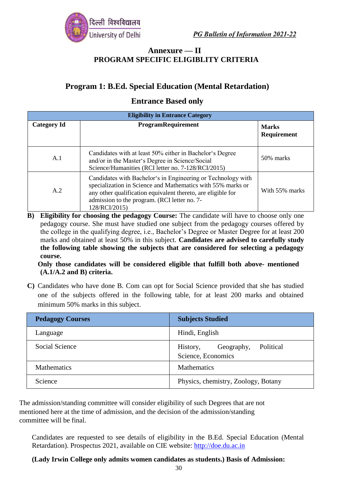#### **Annexure — II PROGRAM SPECIFIC ELIGIBLITY CRITERIA**

## **Program 1: B.Ed. Special Education (Mental Retardation)**

#### **Entrance Based only**

| <b>Eligibility in Entrance Category</b> |                                                                                                                                                                                                                                                              |                                    |  |  |
|-----------------------------------------|--------------------------------------------------------------------------------------------------------------------------------------------------------------------------------------------------------------------------------------------------------------|------------------------------------|--|--|
| <b>Category Id</b>                      | ProgramRequirement                                                                                                                                                                                                                                           | <b>Marks</b><br><b>Requirement</b> |  |  |
| A.1                                     | Candidates with at least 50% either in Bachelor's Degree<br>and/or in the Master's Degree in Science/Social<br>Science/Humanities (RCI letter no. 7-128/RCI/2015)                                                                                            | 50% marks                          |  |  |
| A.2                                     | Candidates with Bachelor's in Engineering or Technology with<br>specialization in Science and Mathematics with 55% marks or<br>any other qualification equivalent thereto, are eligible for<br>admission to the program. (RCI letter no. 7-<br>128/RCI/2015) | With 55% marks                     |  |  |

**B) Eligibility for choosing the pedagogy Course:** The candidate will have to choose only one pedagogy course. She must have studied one subject from the pedagogy courses offered by the college in the qualifying degree, i.e., Bachelor's Degree or Master Degree for at least 200 marks and obtained at least 50% in this subject. **Candidates are advised to carefully study the following table showing the subjects that are considered for selecting a pedagogy course.**

**Only those candidates will be considered eligible that fulfill both above- mentioned (A.1/A.2 and B) criteria.**

**C)** Candidates who have done B. Com can opt for Social Science provided that she has studied one of the subjects offered in the following table, for at least 200 marks and obtained minimum 50% marks in this subject.

| <b>Pedagogy Courses</b> | <b>Subjects Studied</b>                                   |  |
|-------------------------|-----------------------------------------------------------|--|
| Language                | Hindi, English                                            |  |
| Social Science          | Political<br>Geography,<br>History,<br>Science, Economics |  |
| <b>Mathematics</b>      | <b>Mathematics</b>                                        |  |
| Science                 | Physics, chemistry, Zoology, Botany                       |  |

The admission/standing committee will consider eligibility of such Degrees that are not mentioned here at the time of admission, and the decision of the admission/standing committee will be final.

Candidates are requested to see details of eligibility in the B.Ed. Special Education (Mental Retardation). Prospectus 2021, available on CIE website: [http://doe.du.ac.in](http://doe.du.ac.in/)

**(Lady Irwin College only admits women candidates as students.) Basis of Admission:**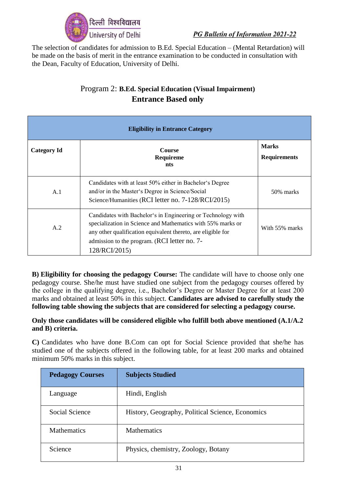

The selection of candidates for admission to B.Ed. Special Education – (Mental Retardation) will be made on the basis of merit in the entrance examination to be conducted in consultation with the Dean, Faculty of Education, University of Delhi.

## Program 2: **B.Ed. Special Education (Visual Impairment) Entrance Based only**

| <b>Eligibility in Entrance Category</b> |                                                                                                                                                                                                                                                              |                                     |
|-----------------------------------------|--------------------------------------------------------------------------------------------------------------------------------------------------------------------------------------------------------------------------------------------------------------|-------------------------------------|
| <b>Category Id</b>                      | <b>Course</b><br>Requireme<br>nts                                                                                                                                                                                                                            | <b>Marks</b><br><b>Requirements</b> |
| A.1                                     | Candidates with at least 50% either in Bachelor's Degree<br>and/or in the Master's Degree in Science/Social<br>Science/Humanities (RCI letter no. 7-128/RCI/2015)                                                                                            | 50% marks                           |
| A.2                                     | Candidates with Bachelor's in Engineering or Technology with<br>specialization in Science and Mathematics with 55% marks or<br>any other qualification equivalent thereto, are eligible for<br>admission to the program. (RCI letter no. 7-<br>128/RCI/2015) | With 55% marks                      |

**B) Eligibility for choosing the pedagogy Course:** The candidate will have to choose only one pedagogy course. She/he must have studied one subject from the pedagogy courses offered by the college in the qualifying degree, i.e., Bachelor's Degree or Master Degree for at least 200 marks and obtained at least 50% in this subject. **Candidates are advised to carefully study the following table showing the subjects that are considered for selecting a pedagogy course.**

#### **Only those candidates will be considered eligible who fulfill both above mentioned (A.1/A.2 and B) criteria.**

**C)** Candidates who have done B.Com can opt for Social Science provided that she/he has studied one of the subjects offered in the following table, for at least 200 marks and obtained minimum 50% marks in this subject.

| <b>Pedagogy Courses</b> | <b>Subjects Studied</b>                          |
|-------------------------|--------------------------------------------------|
| Language                | Hindi, English                                   |
| Social Science          | History, Geography, Political Science, Economics |
| <b>Mathematics</b>      | <b>Mathematics</b>                               |
| Science                 | Physics, chemistry, Zoology, Botany              |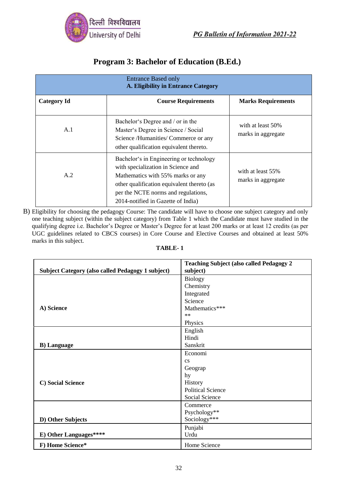

## **Program 3: Bachelor of Education (B.Ed.)**

| <b>Entrance Based only</b><br>A. Eligibility in Entrance Category |                                                                                                                                                                                                                                               |                                         |
|-------------------------------------------------------------------|-----------------------------------------------------------------------------------------------------------------------------------------------------------------------------------------------------------------------------------------------|-----------------------------------------|
| <b>Category Id</b>                                                | <b>Course Requirements</b>                                                                                                                                                                                                                    | <b>Marks Requirements</b>               |
| A.1                                                               | Bachelor's Degree and / or in the<br>Master's Degree in Science / Social<br>Science /Humanities/ Commerce or any<br>other qualification equivalent thereto.                                                                                   | with at least 50%<br>marks in aggregate |
| A.2                                                               | Bachelor's in Engineering or technology<br>with specialization in Science and<br>Mathematics with 55% marks or any<br>other qualification equivalent thereto (as<br>per the NCTE norms and regulations,<br>2014-notified in Gazette of India) | with at least 55%<br>marks in aggregate |

B) Eligibility for choosing the pedagogy Course: The candidate will have to choose one subject category and only one teaching subject (within the subject category) from Table 1 which the Candidate must have studied in the qualifying degree i.e. Bachelor's Degree or Master's Degree for at least 200 marks or at least 12 credits (as per UGC guidelines related to CBCS courses) in Core Course and Elective Courses and obtained at least 50% marks in this subject.

#### **TABLE- 1**

| <b>Subject Category (also called Pedagogy 1 subject)</b> | <b>Teaching Subject (also called Pedagogy 2</b><br>subject) |
|----------------------------------------------------------|-------------------------------------------------------------|
|                                                          | <b>Biology</b>                                              |
|                                                          | Chemistry                                                   |
|                                                          | Integrated                                                  |
|                                                          | Science                                                     |
| A) Science                                               | Mathematics***                                              |
|                                                          | $**$                                                        |
|                                                          | Physics                                                     |
|                                                          | English                                                     |
|                                                          | Hindi                                                       |
| <b>B</b> ) Language                                      | Sanskrit                                                    |
|                                                          | Economi                                                     |
|                                                          | $\mathbf{c}\mathbf{s}$                                      |
|                                                          | Geograp                                                     |
|                                                          | hy                                                          |
| C) Social Science                                        | History                                                     |
|                                                          | <b>Political Science</b>                                    |
|                                                          | Social Science                                              |
|                                                          | Commerce                                                    |
|                                                          | Psychology**                                                |
| D) Other Subjects                                        | Sociology***                                                |
|                                                          | Punjabi                                                     |
| E) Other Languages****                                   | Urdu                                                        |
| F) Home Science*                                         | Home Science                                                |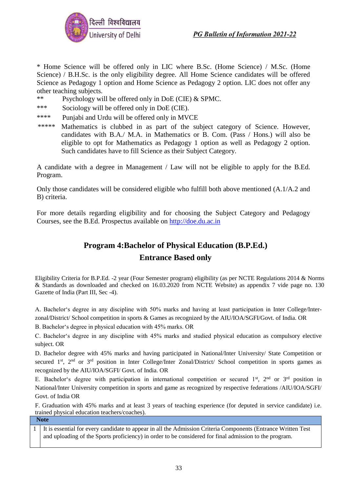

\* Home Science will be offered only in LIC where B.Sc. (Home Science) / M.Sc. (Home Science) / B.H.Sc. is the only eligibility degree. All Home Science candidates will be offered Science as Pedagogy 1 option and Home Science as Pedagogy 2 option. LIC does not offer any other teaching subjects.

- \*\* Psychology will be offered only in DoE (CIE) & SPMC.
- \*\*\* Sociology will be offered only in DoE (CIE).
- \*\*\*\* Punjabi and Urdu will be offered only in MVCE
- \*\*\*\*\* Mathematics is clubbed in as part of the subject category of Science. However, candidates with B.A./ M.A. in Mathematics or B. Com. (Pass / Hons.) will also be eligible to opt for Mathematics as Pedagogy 1 option as well as Pedagogy 2 option. Such candidates have to fill Science as their Subject Category.

A candidate with a degree in Management / Law will not be eligible to apply for the B.Ed. Program.

Only those candidates will be considered eligible who fulfill both above mentioned (A.1/A.2 and B) criteria.

For more details regarding eligibility and for choosing the Subject Category and Pedagogy Courses, see the B.Ed. Prospectus available on [http://doe.du.ac.in](http://doe.du.ac.in/)

## **Program 4:Bachelor of Physical Education (B.P.Ed.) Entrance Based only**

Eligibility Criteria for B.P.Ed. -2 year (Four Semester program) eligibility (as per NCTE Regulations 2014 & Norms & Standards as downloaded and checked on 16.03.2020 from NCTE Website) as appendix 7 vide page no. 130 Gazette of India (Part III, Sec -4).

A. Bachelor's degree in any discipline with 50% marks and having at least participation in Inter College/Interzonal/District/ School competition in sports & Games as recognized by the AIU/IOA/SGFI/Govt. of India. OR

B. Bachelor's degree in physical education with 45% marks. OR

C. Bachelor's degree in any discipline with 45% marks and studied physical education as compulsory elective subject. OR

D. Bachelor degree with 45% marks and having participated in National/Inter University/ State Competition or secured 1<sup>st</sup>, 2<sup>nd</sup> or 3<sup>rd</sup> position in Inter College/Inter Zonal/District/ School competition in sports games as recognized by the AIU/IOA/SGFI/ Govt. of India. OR

E. Bachelor's degree with participation in international competition or secured 1st,  $2<sup>nd</sup>$  or  $3<sup>rd</sup>$  position in National/Inter University competition in sports and game as recognized by respective federations /AIU/IOA/SGFI/ Govt. of India OR

F. Graduation with 45% marks and at least 3 years of teaching experience (for deputed in service candidate) i.e. trained physical education teachers/coaches).

**Note**

1 . and uploading of the Sports proficiency) in order to be considered for final admission to the program.It is essential for every candidate to appear in all the Admission Criteria Components (Entrance Written Test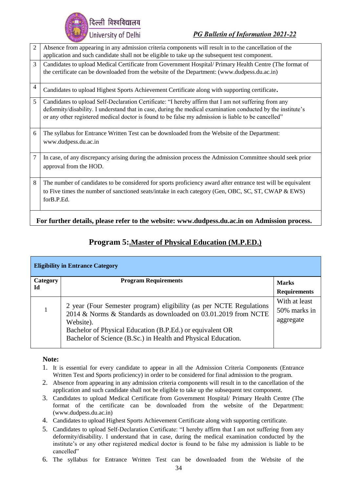देल्ली विश्वविद्यालय University of Delhi

PG Bulletin of Information 2021-22

| $\overline{2}$ | Absence from appearing in any admission criteria components will result in to the cancellation of the         |  |
|----------------|---------------------------------------------------------------------------------------------------------------|--|
|                | application and such candidate shall not be eligible to take up the subsequent test component.                |  |
| 3              | Candidates to upload Medical Certificate from Government Hospital/ Primary Health Centre (The format of       |  |
|                | the certificate can be downloaded from the website of the Department: (www.dudpess.du.ac.in)                  |  |
| $\overline{4}$ | Candidates to upload Highest Sports Achievement Certificate along with supporting certificate.                |  |
| 5              | Candidates to upload Self-Declaration Certificate: "I hereby affirm that I am not suffering from any          |  |
|                | deformity/disability. I understand that in case, during the medical examination conducted by the institute's  |  |
|                | or any other registered medical doctor is found to be false my admission is liable to be cancelled"           |  |
| 6              | The syllabus for Entrance Written Test can be downloaded from the Website of the Department:                  |  |
|                | www.dudpess.du.ac.in                                                                                          |  |
| 7              | In case, of any discrepancy arising during the admission process the Admission Committee should seek prior    |  |
|                | approval from the HOD.                                                                                        |  |
|                |                                                                                                               |  |
| 8              | The number of candidates to be considered for sports proficiency award after entrance test will be equivalent |  |
|                | to Five times the number of sanctioned seats/intake in each category (Gen, OBC, SC, ST, CWAP & EWS)           |  |
|                | forB.P.Ed.                                                                                                    |  |
|                |                                                                                                               |  |
|                | For further details, please refer to the website: www.dudpess.du.ac.in on Admission process.                  |  |

|  | Program 5: Master of Physical Education (M.P.ED.) |  |
|--|---------------------------------------------------|--|
|  |                                                   |  |

| <b>Eligibility in Entrance Category</b> |                                                                                                                                                                                                                                                                                  |                                            |  |
|-----------------------------------------|----------------------------------------------------------------------------------------------------------------------------------------------------------------------------------------------------------------------------------------------------------------------------------|--------------------------------------------|--|
| Category<br><b>Id</b>                   | <b>Program Requirements</b>                                                                                                                                                                                                                                                      | <b>Marks</b>                               |  |
|                                         |                                                                                                                                                                                                                                                                                  | <b>Requirements</b>                        |  |
|                                         | 2 year (Four Semester program) eligibility (as per NCTE Regulations<br>2014 & Norms & Standards as downloaded on 03.01.2019 from NCTE<br>Website).<br>Bachelor of Physical Education (B.P.Ed.) or equivalent OR<br>Bachelor of Science (B.Sc.) in Health and Physical Education. | With at least<br>50% marks in<br>aggregate |  |

#### **Note:**

- 1. It is essential for every candidate to appear in all the Admission Criteria Components (Entrance Written Test and Sports proficiency) in order to be considered for final admission to the program.
- 2. Absence from appearing in any admission criteria components will result in to the cancellation of the application and such candidate shall not be eligible to take up the subsequent test component.
- 3. Candidates to upload Medical Certificate from Government Hospital/ Primary Health Centre (The format of the certificate can be downloaded from the website of the Department: (www.dudpess.du.ac.in)
- 4. Candidates to upload Highest Sports Achievement Certificate along with supporting certificate.
- 5. Candidates to upload Self-Declaration Certificate: "I hereby affirm that I am not suffering from any deformity/disability. I understand that in case, during the medical examination conducted by the institute's or any other registered medical doctor is found to be false my admission is liable to be cancelled"
- 6. The syllabus for Entrance Written Test can be downloaded from the Website of the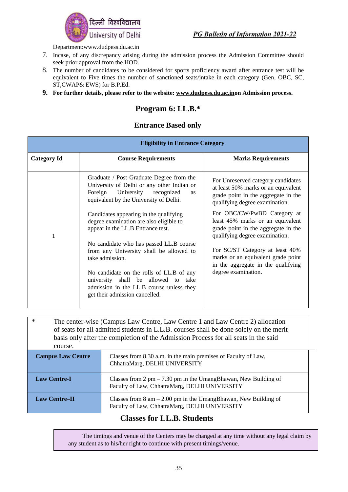

Department[:www.dudpess.du.ac.in](http://www.dudpess.du.ac.in/)

- 7. Incase, of any discrepancy arising during the admission process the Admission Committee should seek prior approval from the HOD.
- 8. The number of candidates to be considered for sports proficiency award after entrance test will be equivalent to Five times the number of sanctioned seats/intake in each category (Gen, OBC, SC, ST,CWAP& EWS) for B.P.Ed.
- **9. For further details, please refer to the website: [www.dudpess.du.ac.ino](http://www.dudpess.du.ac.in/)n Admission process.**

### **Program 6: LL.B.\***

#### **Entrance Based only**

|                    | <b>Eligibility in Entrance Category</b>                                                                                                                                        |                                                                                                                                                    |  |
|--------------------|--------------------------------------------------------------------------------------------------------------------------------------------------------------------------------|----------------------------------------------------------------------------------------------------------------------------------------------------|--|
| <b>Category Id</b> | <b>Course Requirements</b>                                                                                                                                                     | <b>Marks Requirements</b>                                                                                                                          |  |
|                    | Graduate / Post Graduate Degree from the<br>University of Delhi or any other Indian or<br>Foreign University recognized<br><b>as</b><br>equivalent by the University of Delhi. | For Unreserved category candidates<br>at least 50% marks or an equivalent<br>grade point in the aggregate in the<br>qualifying degree examination. |  |
|                    | Candidates appearing in the qualifying<br>degree examination are also eligible to<br>appear in the LL.B Entrance test.                                                         | For OBC/CW/PwBD Category at<br>least 45% marks or an equivalent<br>grade point in the aggregate in the<br>qualifying degree examination.           |  |
|                    | No candidate who has passed LL.B course<br>from any University shall be allowed to<br>take admission.                                                                          | For SC/ST Category at least 40%<br>marks or an equivalent grade point<br>in the aggregate in the qualifying                                        |  |
|                    | No candidate on the rolls of LL.B of any<br>university shall be allowed to take<br>admission in the LL.B course unless they<br>get their admission cancelled.                  | degree examination.                                                                                                                                |  |

| $\ast$<br>The center-wise (Campus Law Centre, Law Centre 1 and Law Centre 2) allocation<br>of seats for all admitted students in L.L.B. courses shall be done solely on the merit<br>basis only after the completion of the Admission Process for all seats in the said<br>course. |                                                                                                                                    |  |
|------------------------------------------------------------------------------------------------------------------------------------------------------------------------------------------------------------------------------------------------------------------------------------|------------------------------------------------------------------------------------------------------------------------------------|--|
| <b>Campus Law Centre</b>                                                                                                                                                                                                                                                           | Classes from 8.30 a.m. in the main premises of Faculty of Law,<br>ChhatraMarg, DELHI UNIVERSITY                                    |  |
| <b>Law Centre-I</b>                                                                                                                                                                                                                                                                | Classes from $2 \text{ pm} - 7.30 \text{ pm}$ in the UmangBhawan, New Building of<br>Faculty of Law, ChhatraMarg, DELHI UNIVERSITY |  |
| <b>Law Centre-II</b>                                                                                                                                                                                                                                                               | Classes from $8 \text{ am} - 2.00 \text{ pm}$ in the UmangBhawan, New Building of<br>Faculty of Law, ChhatraMarg, DELHI UNIVERSITY |  |

#### **Classes for LL.B. Students**

The timings and venue of the Centers may be changed at any time without any legal claim by any student as to his/her right to continue with present timings/venue.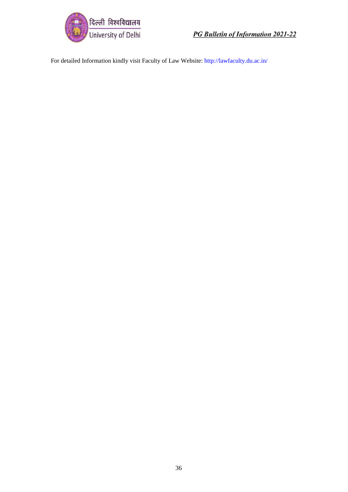

For detailed Information kindly visit Faculty of Law Website:<http://lawfaculty.du.ac.in/>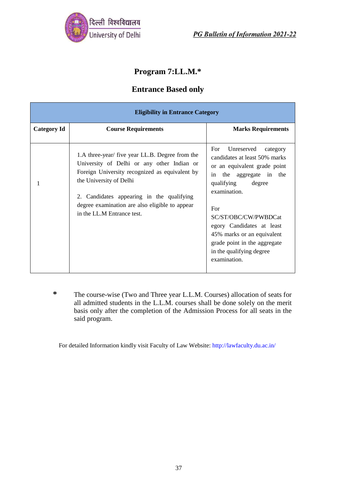

## **Program 7:LL.M.\***

### **Entrance Based only**

| <b>Eligibility in Entrance Category</b> |                                                                                                                                                                                                                                                                                                         |                                                                                                                                                                                                                                                                                                                                            |  |
|-----------------------------------------|---------------------------------------------------------------------------------------------------------------------------------------------------------------------------------------------------------------------------------------------------------------------------------------------------------|--------------------------------------------------------------------------------------------------------------------------------------------------------------------------------------------------------------------------------------------------------------------------------------------------------------------------------------------|--|
| <b>Category Id</b>                      | <b>Course Requirements</b>                                                                                                                                                                                                                                                                              | <b>Marks Requirements</b>                                                                                                                                                                                                                                                                                                                  |  |
|                                         | 1.A three-year/ five year LL.B. Degree from the<br>University of Delhi or any other Indian or<br>Foreign University recognized as equivalent by<br>the University of Delhi<br>2. Candidates appearing in the qualifying<br>degree examination are also eligible to appear<br>in the LL.M Entrance test. | Unreserved<br>For<br>category<br>candidates at least 50% marks<br>or an equivalent grade point<br>the aggregate in the<br>in<br>qualifying<br>degree<br>examination.<br>For<br>SC/ST/OBC/CW/PWBDCat<br>egory Candidates at least<br>45% marks or an equivalent<br>grade point in the aggregate<br>in the qualifying degree<br>examination. |  |

**\*** The course-wise (Two and Three year L.L.M. Courses) allocation of seats for all admitted students in the L.L.M. courses shall be done solely on the merit basis only after the completion of the Admission Process for all seats in the said program.

For detailed Information kindly visit Faculty of Law Website:<http://lawfaculty.du.ac.in/>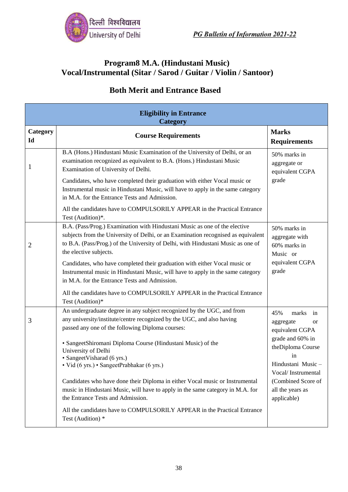

### **Program8 M.A. (Hindustani Music) Vocal/Instrumental (Sitar / Sarod / Guitar / Violin / Santoor)**

| <b>Eligibility in Entrance</b><br>Category |                                                                                                                                                                                                                                                                                                                                                                                                                                                                                                                                                                                                   |                                                                                                                                                                                                      |  |
|--------------------------------------------|---------------------------------------------------------------------------------------------------------------------------------------------------------------------------------------------------------------------------------------------------------------------------------------------------------------------------------------------------------------------------------------------------------------------------------------------------------------------------------------------------------------------------------------------------------------------------------------------------|------------------------------------------------------------------------------------------------------------------------------------------------------------------------------------------------------|--|
| Category<br>Id                             | <b>Course Requirements</b>                                                                                                                                                                                                                                                                                                                                                                                                                                                                                                                                                                        | <b>Marks</b><br><b>Requirements</b>                                                                                                                                                                  |  |
| $\mathbf{1}$                               | B.A (Hons.) Hindustani Music Examination of the University of Delhi, or an<br>examination recognized as equivalent to B.A. (Hons.) Hindustani Music<br>Examination of University of Delhi.<br>Candidates, who have completed their graduation with either Vocal music or<br>Instrumental music in Hindustani Music, will have to apply in the same category<br>in M.A. for the Entrance Tests and Admission.<br>All the candidates have to COMPULSORILY APPEAR in the Practical Entrance<br>Test (Audition)*.                                                                                     | 50% marks in<br>aggregate or<br>equivalent CGPA<br>grade                                                                                                                                             |  |
| $\overline{2}$                             | B.A. (Pass/Prog.) Examination with Hindustani Music as one of the elective<br>subjects from the University of Delhi, or an Examination recognised as equivalent<br>to B.A. (Pass/Prog.) of the University of Delhi, with Hindustani Music as one of<br>the elective subjects.<br>Candidates, who have completed their graduation with either Vocal music or<br>Instrumental music in Hindustani Music, will have to apply in the same category<br>in M.A. for the Entrance Tests and Admission.<br>All the candidates have to COMPULSORILY APPEAR in the Practical Entrance                       | 50% marks in<br>aggregate with<br>60% marks in<br>Music or<br>equivalent CGPA<br>grade                                                                                                               |  |
| 3                                          | Test (Audition)*<br>An undergraduate degree in any subject recognized by the UGC, and from<br>any university/institute/centre recognized by the UGC, and also having<br>passed any one of the following Diploma courses:<br>· SangeetShiromani Diploma Course (Hindustani Music) of the<br>University of Delhi<br>· SangeetVisharad (6 yrs.)<br>· Vid (6 yrs.) · SangeetPrabhakar (6 yrs.)<br>Candidates who have done their Diploma in either Vocal music or Instrumental<br>music in Hindustani Music, will have to apply in the same category in M.A. for<br>the Entrance Tests and Admission. | 45%<br>marks<br>in<br>aggregate<br><b>or</b><br>equivalent CGPA<br>grade and 60% in<br>theDiploma Course<br>in<br>Hindustani Music –<br>Vocal/Instrumental<br>(Combined Score of<br>all the years as |  |
|                                            | All the candidates have to COMPULSORILY APPEAR in the Practical Entrance<br>Test (Audition) *                                                                                                                                                                                                                                                                                                                                                                                                                                                                                                     | applicable)                                                                                                                                                                                          |  |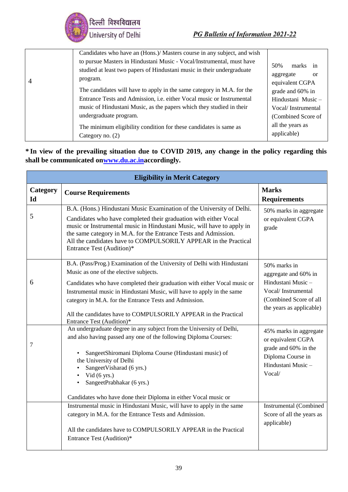

|                | Candidates who have an (Hons.)/ Masters course in any subject, and wish                                                                                                                                                                                                                                                                                                                                                                                                                                   |                                                                                                                                                                                  |
|----------------|-----------------------------------------------------------------------------------------------------------------------------------------------------------------------------------------------------------------------------------------------------------------------------------------------------------------------------------------------------------------------------------------------------------------------------------------------------------------------------------------------------------|----------------------------------------------------------------------------------------------------------------------------------------------------------------------------------|
| $\overline{4}$ | to pursue Masters in Hindustani Music - Vocal/Instrumental, must have<br>studied at least two papers of Hindustani music in their undergraduate<br>program.<br>The candidates will have to apply in the same category in M.A. for the<br>Entrance Tests and Admission, i.e. either Vocal music or Instrumental<br>music of Hindustani Music, as the papers which they studied in their<br>undergraduate program.<br>The minimum eligibility condition for these candidates is same as<br>Category no. (2) | 50%<br>marks<br>in<br>aggregate<br>or<br>equivalent CGPA<br>grade and 60% in<br>Hindustani Music-<br>Vocal/Instrumental<br>(Combined Score of<br>all the years as<br>applicable) |

**\* In view of the prevailing situation due to COVID 2019, any change in the policy regarding this shall be communicated o[nwww.du.ac.ina](http://www.du.ac.in/)ccordingly.**

| <b>Eligibility in Merit Category</b> |                                                                                                                                                                                                                                                                                                                                                                                                                                     |                                                                                                                                        |  |
|--------------------------------------|-------------------------------------------------------------------------------------------------------------------------------------------------------------------------------------------------------------------------------------------------------------------------------------------------------------------------------------------------------------------------------------------------------------------------------------|----------------------------------------------------------------------------------------------------------------------------------------|--|
| Category<br>$Id$                     | <b>Course Requirements</b>                                                                                                                                                                                                                                                                                                                                                                                                          | <b>Marks</b><br><b>Requirements</b>                                                                                                    |  |
| 5                                    | B.A. (Hons.) Hindustani Music Examination of the University of Delhi.<br>Candidates who have completed their graduation with either Vocal<br>music or Instrumental music in Hindustani Music, will have to apply in<br>the same category in M.A. for the Entrance Tests and Admission.<br>All the candidates have to COMPULSORILY APPEAR in the Practical<br>Entrance Test (Audition)*                                              | 50% marks in aggregate<br>or equivalent CGPA<br>grade                                                                                  |  |
| 6                                    | B.A. (Pass/Prog.) Examination of the University of Delhi with Hindustani<br>Music as one of the elective subjects.<br>Candidates who have completed their graduation with either Vocal music or<br>Instrumental music in Hindustani Music, will have to apply in the same<br>category in M.A. for the Entrance Tests and Admission.<br>All the candidates have to COMPULSORILY APPEAR in the Practical<br>Entrance Test (Audition)* | 50% marks in<br>aggregate and 60% in<br>Hindustani Music -<br>Vocal/Instrumental<br>(Combined Score of all<br>the years as applicable) |  |
| 7                                    | An undergraduate degree in any subject from the University of Delhi,<br>and also having passed any one of the following Diploma Courses:<br>SangeetShiromani Diploma Course (Hindustani music) of<br>the University of Delhi<br>SangeetVisharad (6 yrs.)<br>Vid $(6 \text{ yrs.})$<br>SangeetPrabhakar (6 yrs.)<br>Candidates who have done their Diploma in either Vocal music or                                                  | 45% marks in aggregate<br>or equivalent CGPA<br>grade and 60% in the<br>Diploma Course in<br>Hindustani Music -<br>Vocal/              |  |
|                                      | Instrumental music in Hindustani Music, will have to apply in the same<br>category in M.A. for the Entrance Tests and Admission.<br>All the candidates have to COMPULSORILY APPEAR in the Practical<br>Entrance Test (Audition)*                                                                                                                                                                                                    | Instrumental (Combined<br>Score of all the years as<br>applicable)                                                                     |  |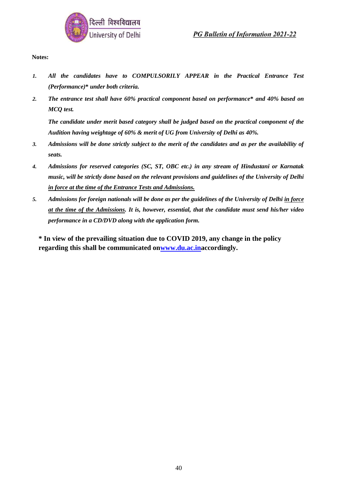

**Notes:**

- *1. All the candidates have to COMPULSORILY APPEAR in the Practical Entrance Test (Performance)***\*** *under both criteria.*
- *2. The entrance test shall have 60% practical component based on performance***\*** *and 40% based on MCQ test.*

*The candidate under merit based category shall be judged based on the practical component of the Audition having weightage of 60% & merit of UG from University of Delhi as 40%.*

- *3. Admissions will be done strictly subject to the merit of the candidates and as per the availability of seats.*
- *4. Admissions for reserved categories (SC, ST, OBC etc.) in any stream of Hindustani or Karnatak music, will be strictly done based on the relevant provisions and guidelines of the University of Delhi in force at the time of the Entrance Tests and Admissions.*
- *5. Admissions for foreign nationals will be done as per the guidelines of the University of Delhi in force at the time of the Admissions. It is, however, essential, that the candidate must send his/her video performance in a CD/DVD along with the application form.*

**\* In view of the prevailing situation due to COVID 2019, any change in the policy regarding this shall be communicated o[nwww.du.ac.ina](http://www.du.ac.in/)ccordingly.**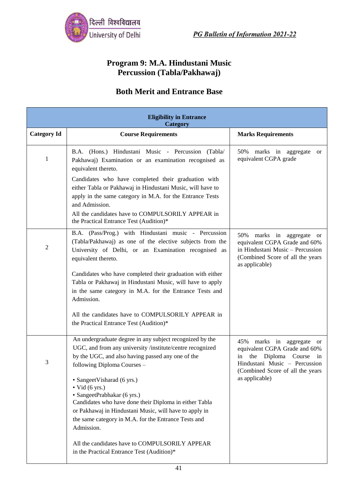

### **Program 9: M.A. Hindustani Music Percussion (Tabla/Pakhawaj)**

| <b>Eligibility in Entrance</b><br>Category |                                                                                                                                                                                                                                                                               |                                                                                                                                                                         |  |
|--------------------------------------------|-------------------------------------------------------------------------------------------------------------------------------------------------------------------------------------------------------------------------------------------------------------------------------|-------------------------------------------------------------------------------------------------------------------------------------------------------------------------|--|
| <b>Category Id</b>                         | <b>Course Requirements</b>                                                                                                                                                                                                                                                    | <b>Marks Requirements</b>                                                                                                                                               |  |
| 1                                          | B.A. (Hons.) Hindustani Music - Percussion (Tabla/<br>Pakhawaj) Examination or an examination recognised as<br>equivalent thereto.                                                                                                                                            | 50%<br>marks in aggregate<br><sub>or</sub><br>equivalent CGPA grade                                                                                                     |  |
|                                            | Candidates who have completed their graduation with<br>either Tabla or Pakhawaj in Hindustani Music, will have to<br>apply in the same category in M.A. for the Entrance Tests<br>and Admission.                                                                              |                                                                                                                                                                         |  |
|                                            | All the candidates have to COMPULSORILY APPEAR in<br>the Practical Entrance Test (Audition)*                                                                                                                                                                                  |                                                                                                                                                                         |  |
| $\overline{2}$                             | B.A. (Pass/Prog.) with Hindustani music - Percussion<br>(Tabla/Pakhawaj) as one of the elective subjects from the<br>University of Delhi, or an Examination recognised as<br>equivalent thereto.                                                                              | 50%<br>marks in aggregate or<br>equivalent CGPA Grade and 60%<br>in Hindustani Music - Percussion<br>(Combined Score of all the years<br>as applicable)                 |  |
|                                            | Candidates who have completed their graduation with either<br>Tabla or Pakhawaj in Hindustani Music, will have to apply<br>in the same category in M.A. for the Entrance Tests and<br>Admission.                                                                              |                                                                                                                                                                         |  |
|                                            | All the candidates have to COMPULSORILY APPEAR in<br>the Practical Entrance Test (Audition)*                                                                                                                                                                                  |                                                                                                                                                                         |  |
| 3                                          | An undergraduate degree in any subject recognized by the<br>UGC, and from any university /institute/centre recognized<br>by the UGC, and also having passed any one of the<br>following Diploma Courses -                                                                     | 45%<br>marks in aggregate or<br>equivalent CGPA Grade and 60%<br>Diploma Course<br>in<br>the<br>in<br>Hindustani Music - Percussion<br>(Combined Score of all the years |  |
|                                            | • SangeetVisharad (6 yrs.)<br>$\bullet$ Vid (6 yrs.)<br>· SangeetPrabhakar (6 yrs.)<br>Candidates who have done their Diploma in either Tabla<br>or Pakhawaj in Hindustani Music, will have to apply in<br>the same category in M.A. for the Entrance Tests and<br>Admission. | as applicable)                                                                                                                                                          |  |
|                                            | All the candidates have to COMPULSORILY APPEAR<br>in the Practical Entrance Test (Audition)*                                                                                                                                                                                  |                                                                                                                                                                         |  |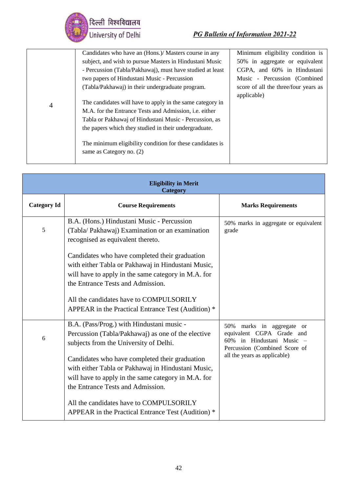

| Minimum eligibility condition is                                                                                                                                                                                                                                                                                                                                                                                                                                                                                                                                                                                           |
|----------------------------------------------------------------------------------------------------------------------------------------------------------------------------------------------------------------------------------------------------------------------------------------------------------------------------------------------------------------------------------------------------------------------------------------------------------------------------------------------------------------------------------------------------------------------------------------------------------------------------|
| 50% in aggregate or equivalent                                                                                                                                                                                                                                                                                                                                                                                                                                                                                                                                                                                             |
| CGPA, and 60% in Hindustani                                                                                                                                                                                                                                                                                                                                                                                                                                                                                                                                                                                                |
| Music - Percussion (Combined                                                                                                                                                                                                                                                                                                                                                                                                                                                                                                                                                                                               |
| score of all the three/four years as<br>applicable)                                                                                                                                                                                                                                                                                                                                                                                                                                                                                                                                                                        |
|                                                                                                                                                                                                                                                                                                                                                                                                                                                                                                                                                                                                                            |
|                                                                                                                                                                                                                                                                                                                                                                                                                                                                                                                                                                                                                            |
|                                                                                                                                                                                                                                                                                                                                                                                                                                                                                                                                                                                                                            |
|                                                                                                                                                                                                                                                                                                                                                                                                                                                                                                                                                                                                                            |
|                                                                                                                                                                                                                                                                                                                                                                                                                                                                                                                                                                                                                            |
| Candidates who have an (Hons.)/ Masters course in any<br>subject, and wish to pursue Masters in Hindustani Music<br>- Percussion (Tabla/Pakhawaj), must have studied at least<br>two papers of Hindustani Music - Percussion<br>(Tabla/Pakhawaj) in their undergraduate program.<br>The candidates will have to apply in the same category in<br>M.A. for the Entrance Tests and Admission, <i>i.e.</i> either<br>Tabla or Pakhawaj of Hindustani Music - Percussion, as<br>the papers which they studied in their undergraduate.<br>The minimum eligibility condition for these candidates is<br>same as Category no. (2) |

| <b>Eligibility in Merit</b><br><b>Category</b> |                                                                                                                                                                                                  |                                                                                                                         |  |
|------------------------------------------------|--------------------------------------------------------------------------------------------------------------------------------------------------------------------------------------------------|-------------------------------------------------------------------------------------------------------------------------|--|
| <b>Category Id</b>                             | <b>Course Requirements</b>                                                                                                                                                                       | <b>Marks Requirements</b>                                                                                               |  |
| 5                                              | B.A. (Hons.) Hindustani Music - Percussion<br>(Tabla/ Pakhawaj) Examination or an examination<br>recognised as equivalent thereto.                                                               | 50% marks in aggregate or equivalent<br>grade                                                                           |  |
|                                                | Candidates who have completed their graduation<br>with either Tabla or Pakhawaj in Hindustani Music,<br>will have to apply in the same category in M.A. for<br>the Entrance Tests and Admission. |                                                                                                                         |  |
|                                                | All the candidates have to COMPULSORILY<br>APPEAR in the Practical Entrance Test (Audition) *                                                                                                    |                                                                                                                         |  |
| 6                                              | B.A. (Pass/Prog.) with Hindustani music -<br>Percussion (Tabla/Pakhawaj) as one of the elective<br>subjects from the University of Delhi.                                                        | marks in aggregate or<br>50%<br>equivalent CGPA Grade and<br>60% in Hindustani Music -<br>Percussion (Combined Score of |  |
|                                                | Candidates who have completed their graduation<br>with either Tabla or Pakhawaj in Hindustani Music,<br>will have to apply in the same category in M.A. for<br>the Entrance Tests and Admission. | all the years as applicable)                                                                                            |  |
|                                                | All the candidates have to COMPULSORILY<br>APPEAR in the Practical Entrance Test (Audition) *                                                                                                    |                                                                                                                         |  |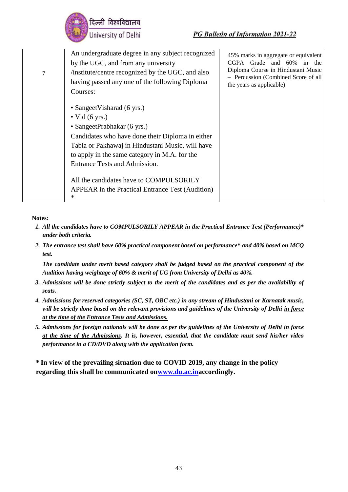

| 7 | An undergraduate degree in any subject recognized<br>by the UGC, and from any university<br>institute/centre recognized by the UGC, and also<br>having passed any one of the following Diploma<br>Courses:                                                                            | 45% marks in aggregate or equivalent<br>CGPA<br>Grade and 60%<br>in<br>the<br>Diploma Course in Hindustani Music<br>- Percussion (Combined Score of all<br>the years as applicable) |
|---|---------------------------------------------------------------------------------------------------------------------------------------------------------------------------------------------------------------------------------------------------------------------------------------|-------------------------------------------------------------------------------------------------------------------------------------------------------------------------------------|
|   | • Sangeet Visharad (6 yrs.)<br>$\bullet$ Vid (6 yrs.)<br>• SangeetPrabhakar (6 yrs.)<br>Candidates who have done their Diploma in either<br>Tabla or Pakhawaj in Hindustani Music, will have<br>to apply in the same category in M.A. for the<br><b>Entrance Tests and Admission.</b> |                                                                                                                                                                                     |
|   | All the candidates have to COMPULSORILY<br>APPEAR in the Practical Entrance Test (Audition)<br>*                                                                                                                                                                                      |                                                                                                                                                                                     |

**Notes:**

- *1. All the candidates have to COMPULSORILY APPEAR in the Practical Entrance Test (Performance)***\***  *under both criteria.*
- *2. The entrance test shall have 60% practical component based on performance***\*** *and 40% based on MCQ test.*

*The candidate under merit based category shall be judged based on the practical component of the Audition having weightage of 60% & merit of UG from University of Delhi as 40%.*

- *3. Admissions will be done strictly subject to the merit of the candidates and as per the availability of seats.*
- *4. Admissions for reserved categories (SC, ST, OBC etc.) in any stream of Hindustani or Karnatak music, will be strictly done based on the relevant provisions and guidelines of the University of Delhi in force at the time of the Entrance Tests and Admissions.*
- *5. Admissions for foreign nationals will be done as per the guidelines of the University of Delhi in force at the time of the Admissions. It is, however, essential, that the candidate must send his/her video performance in a CD/DVD along with the application form.*

**\* In view of the prevailing situation due to COVID 2019, any change in the policy regarding this shall be communicated o[nwww.du.ac.ina](http://www.du.ac.in/)ccordingly.**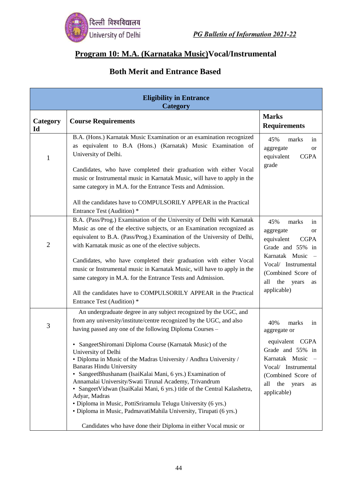

## **Program 10: M.A. (Karnataka Music)Vocal/Instrumental**

| <b>Eligibility in Entrance</b><br><b>Category</b> |                                                                                                                                                                                                                                                                                                                                                                                                                                                                                                                                                                                                                                                                                                                                                                                                                                  |                                                                                                                                                                                                            |
|---------------------------------------------------|----------------------------------------------------------------------------------------------------------------------------------------------------------------------------------------------------------------------------------------------------------------------------------------------------------------------------------------------------------------------------------------------------------------------------------------------------------------------------------------------------------------------------------------------------------------------------------------------------------------------------------------------------------------------------------------------------------------------------------------------------------------------------------------------------------------------------------|------------------------------------------------------------------------------------------------------------------------------------------------------------------------------------------------------------|
| Category<br>Id                                    | <b>Course Requirements</b>                                                                                                                                                                                                                                                                                                                                                                                                                                                                                                                                                                                                                                                                                                                                                                                                       | <b>Marks</b><br><b>Requirements</b>                                                                                                                                                                        |
| 1                                                 | B.A. (Hons.) Karnatak Music Examination or an examination recognized<br>as equivalent to B.A (Hons.) (Karnatak) Music Examination of<br>University of Delhi.<br>Candidates, who have completed their graduation with either Vocal<br>music or Instrumental music in Karnatak Music, will have to apply in the<br>same category in M.A. for the Entrance Tests and Admission.                                                                                                                                                                                                                                                                                                                                                                                                                                                     | 45%<br>marks<br>in<br>aggregate<br><b>or</b><br><b>CGPA</b><br>equivalent<br>grade                                                                                                                         |
|                                                   | All the candidates have to COMPULSORILY APPEAR in the Practical<br>Entrance Test (Audition) *                                                                                                                                                                                                                                                                                                                                                                                                                                                                                                                                                                                                                                                                                                                                    |                                                                                                                                                                                                            |
| $\overline{2}$                                    | B.A. (Pass/Prog.) Examination of the University of Delhi with Karnatak<br>Music as one of the elective subjects, or an Examination recognized as<br>equivalent to B.A. (Pass/Prog.) Examination of the University of Delhi,<br>with Karnatak music as one of the elective subjects.<br>Candidates, who have completed their graduation with either Vocal<br>music or Instrumental music in Karnatak Music, will have to apply in the<br>same category in M.A. for the Entrance Tests and Admission.<br>All the candidates have to COMPULSORILY APPEAR in the Practical<br>Entrance Test (Audition) *                                                                                                                                                                                                                             | 45%<br>marks<br>in<br>aggregate<br><b>or</b><br>equivalent<br><b>CGPA</b><br>Grade and 55% in<br>Karnatak Music -<br>Vocal/ Instrumental<br>(Combined Score of<br>the<br>all<br>years<br>as<br>applicable) |
| 3                                                 | An undergraduate degree in any subject recognized by the UGC, and<br>from any university/institute/centre recognized by the UGC, and also<br>having passed any one of the following Diploma Courses -<br>• SangeetShiromani Diploma Course (Karnatak Music) of the<br>University of Delhi<br>• Diploma in Music of the Madras University / Andhra University /<br><b>Banaras Hindu University</b><br>· SangeetBhushanam (IsaiKalai Mani, 6 yrs.) Examination of<br>Annamalai University/Swati Tirunal Academy, Trivandrum<br>• SangeetVidwan (IsaiKalai Mani, 6 yrs.) title of the Central Kalashetra,<br>Adyar, Madras<br>· Diploma in Music, PottiSriramulu Telugu University (6 yrs.)<br>· Diploma in Music, PadmavatiMahila University, Tirupati (6 yrs.)<br>Candidates who have done their Diploma in either Vocal music or | 40%<br>marks<br>in<br>aggregate or<br>equivalent CGPA<br>Grade and 55% in<br>Karnatak Music<br>Vocal/ Instrumental<br>(Combined Score of<br>the<br>all<br>years<br>as<br>applicable)                       |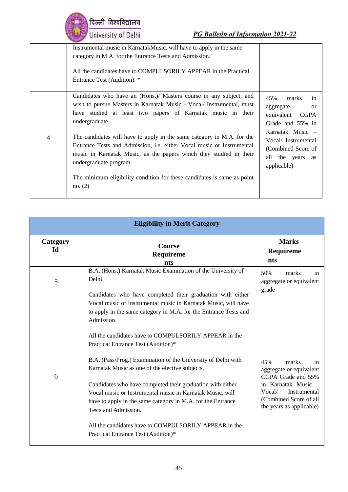| दिल्ली विश्वविद्यालय<br>University of Delhi                                                   |
|-----------------------------------------------------------------------------------------------|
| Instrumental music in KarnatakMusic, will ha<br>category in M.A. for the Entrance Tests and A |
|                                                                                               |

|                | Instrumental music in KarnatakMusic, will have to apply in the same<br>category in M.A. for the Entrance Tests and Admission.<br>All the candidates have to COMPULSORILY APPEAR in the Practical<br>Entrance Test (Audition). *                                                                                                                                                                                                                                                                                                                                             |                                                                                                                                                                                               |
|----------------|-----------------------------------------------------------------------------------------------------------------------------------------------------------------------------------------------------------------------------------------------------------------------------------------------------------------------------------------------------------------------------------------------------------------------------------------------------------------------------------------------------------------------------------------------------------------------------|-----------------------------------------------------------------------------------------------------------------------------------------------------------------------------------------------|
| $\overline{4}$ | Candidates who have an (Hons.)/ Masters course in any subject, and<br>wish to pursue Masters in Karnatak Music - Vocal/ Instrumental, must<br>have studied at least two papers of Karnatak music in their<br>undergraduate.<br>The candidates will have to apply in the same category in M.A. for the<br>Entrance Tests and Admission, <i>i.e.</i> either Vocal music or Instrumental<br>music in Karnatak Music, as the papers which they studied in their<br>undergraduate program.<br>The minimum eligibility condition for these candidates is same as point<br>no. (2) | 45%<br>in<br>marks<br>aggregate<br><sub>or</sub><br>equivalent CGPA<br>Grade and 55% in<br>Karnatak Music –<br>Vocal/Instrumental<br>(Combined Score of<br>all the years<br>as<br>applicable) |

| <b>Eligibility in Merit Category</b> |                                                                                                                                                                                                                                                                                                                                                                                                                                    |                                                                                                                                                                            |
|--------------------------------------|------------------------------------------------------------------------------------------------------------------------------------------------------------------------------------------------------------------------------------------------------------------------------------------------------------------------------------------------------------------------------------------------------------------------------------|----------------------------------------------------------------------------------------------------------------------------------------------------------------------------|
| Category<br>Id                       | <b>Course</b><br>Requireme<br>nts                                                                                                                                                                                                                                                                                                                                                                                                  | <b>Marks</b><br>Requireme<br>nts                                                                                                                                           |
| 5                                    | B.A. (Hons.) Karnatak Music Examination of the University of<br>Delhi.<br>Candidates who have completed their graduation with either<br>Vocal music or Instrumental music in Karnatak Music, will have<br>to apply in the same category in M.A. for the Entrance Tests and<br>Admission.<br>All the candidates have to COMPULSORILY APPEAR in the<br>Practical Entrance Test (Audition)*                                           | 50%<br>marks<br>in<br>aggregate or equivalent<br>grade                                                                                                                     |
| 6                                    | B.A. (Pass/Prog.) Examination of the University of Delhi with<br>Karnatak Music as one of the elective subjects.<br>Candidates who have completed their graduation with either<br>Vocal music or Instrumental music in Karnatak Music, will<br>have to apply in the same category in M.A. for the Entrance<br>Tests and Admission.<br>All the candidates have to COMPULSORILY APPEAR in the<br>Practical Entrance Test (Audition)* | 45%<br>marks<br>in<br>aggregate or equivalent<br>CGPA Grade and 55%<br>in Karnatak Music -<br>Instrumental<br>Vocal/<br>(Combined Score of all<br>the years as applicable) |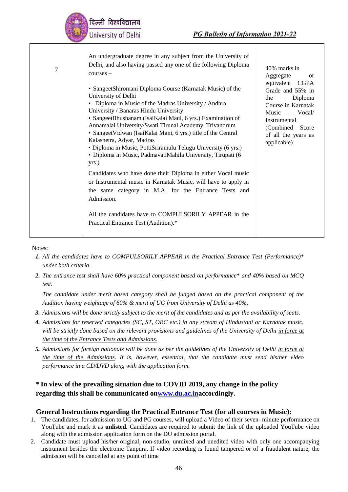|   | दिल्ली विश्वविद्यालय<br>University of Delhi<br><b>PG Bulletin of Information 2021-22</b>                                                                                                                                                                                                                                                                                                                                                                                                                                                                                                                                                                                                                                                                                                                                                                                                                                                                                                                   |                                                                                                                                                                                                                            |
|---|------------------------------------------------------------------------------------------------------------------------------------------------------------------------------------------------------------------------------------------------------------------------------------------------------------------------------------------------------------------------------------------------------------------------------------------------------------------------------------------------------------------------------------------------------------------------------------------------------------------------------------------------------------------------------------------------------------------------------------------------------------------------------------------------------------------------------------------------------------------------------------------------------------------------------------------------------------------------------------------------------------|----------------------------------------------------------------------------------------------------------------------------------------------------------------------------------------------------------------------------|
| 7 | An undergraduate degree in any subject from the University of<br>Delhi, and also having passed any one of the following Diploma<br>$course -$<br>• SangeetShiromani Diploma Course (Karnatak Music) of the<br>University of Delhi<br>• Diploma in Music of the Madras University / Andhra<br>University / Banaras Hindu University<br>· SangeetBhushanam (IsaiKalai Mani, 6 yrs.) Examination of<br>Annamalai University/Swati Tirunal Academy, Trivandrum<br>· SangeetVidwan (IsaiKalai Mani, 6 yrs.) title of the Central<br>Kalashetra, Adyar, Madras<br>· Diploma in Music, PottiSriramulu Telugu University (6 yrs.)<br>· Diploma in Music, PadmavatiMahila University, Tirupati (6<br>yrs.)<br>Candidates who have done their Diploma in either Vocal music<br>or Instrumental music in Karnatak Music, will have to apply in<br>the same category in M.A. for the Entrance Tests and<br>Admission.<br>All the candidates have to COMPULSORILY APPEAR in the<br>Practical Entrance Test (Audition).* | 40% marks in<br>Aggregate<br><sub>or</sub><br>equivalent CGPA<br>Grade and 55% in<br>Diploma<br>the<br>Course in Karnatak<br>$Music - Vocal/$<br>Instrumental<br>(Combined)<br>Score<br>of all the years as<br>applicable) |

Notes:

- *1. All the candidates have to COMPULSORILY APPEAR in the Practical Entrance Test (Performance)*\* *under both criteria.*
- *2. The entrance test shall have 60% practical component based on performance*\* *and 40% based on MCQ test.*

*The candidate under merit based category shall be judged based on the practical component of the Audition having weightage of 60% & merit of UG from University of Delhi as 40%.*

- *3. Admissions will be done strictly subject to the merit of the candidates and as per the availability of seats.*
- *4. Admissions for reserved categories (SC, ST, OBC etc.) in any stream of Hindustani or Karnatak music, will be strictly done based on the relevant provisions and guidelines of the University of Delhi in force at the time of the Entrance Tests and Admissions.*
- *5. Admissions for foreign nationals will be done as per the guidelines of the University of Delhi in force at the time of the Admissions. It is, however, essential, that the candidate must send his/her video performance in a CD/DVD along with the application form.*

#### **\* In view of the prevailing situation due to COVID 2019, any change in the policy regarding this shall be communicated o[nwww.du.ac.ina](http://www.du.ac.in/)ccordingly.**

#### **General Instructions regarding the Practical Entrance Test (for all courses in Music):**

- 1. The candidates, for admission to UG and PG courses, will upload a Video of their seven- minute performance on YouTube and mark it as **unlisted.** Candidates are required to submit the link of the uploaded YouTube video along with the admission application form on the DU admission portal.
- 2. Candidate must upload his/her original, non-studio, unmixed and unedited video with only one accompanying instrument besides the electronic Tanpura. If video recording is found tampered or of a fraudulent nature, the admission will be cancelled at any point of time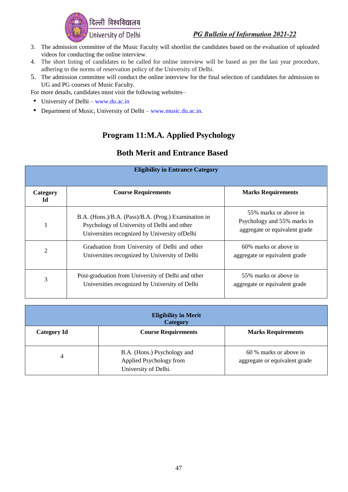

- 3. The admission committee of the Music Faculty will shortlist the candidates based on the evaluation of uploaded videos for conducting the online interview.
- 4. The short listing of candidates to be called for online interview will be based as per the last year procedure, adhering to the norms of reservation policy of the University of Delhi.
- 5. The admission committee will conduct the online interview for the final selection of candidates for admission to UG and PG courses of Music Faculty.

For more details, candidates must visit the following websites–

- University of Delhi [www.du.ac.in](http://www.du.ac.in/)
- Department of Music, University of Delhi [www.music.du.ac.in.](http://www.music.du.ac.in/)

### **Program 11:M.A. Applied Psychology**

| <b>Eligibility in Entrance Category</b> |                                                                                                                                                       |                                                                                       |  |
|-----------------------------------------|-------------------------------------------------------------------------------------------------------------------------------------------------------|---------------------------------------------------------------------------------------|--|
| Category<br>Id                          | <b>Course Requirements</b>                                                                                                                            | <b>Marks Requirements</b>                                                             |  |
|                                         | B.A. (Hons.)/B.A. (Pass)/B.A. (Prog.) Examination in<br>Psychology of University of Delhi and other<br>Universities recognized by University of Delhi | 55% marks or above in<br>Psychology and 55% marks in<br>aggregate or equivalent grade |  |
| $\overline{2}$                          | Graduation from University of Delhi and other<br>Universities recognized by University of Delhi                                                       | 60% marks or above in<br>aggregate or equivalent grade                                |  |
| 3                                       | Post-graduation from University of Delhi and other<br>Universities recognized by University of Delhi                                                  | 55% marks or above in<br>aggregate or equivalent grade                                |  |

| <b>Eligibility in Merit</b><br><b>Category</b> |                                                                                |                                                         |
|------------------------------------------------|--------------------------------------------------------------------------------|---------------------------------------------------------|
| <b>Category Id</b>                             | <b>Course Requirements</b>                                                     | <b>Marks Requirements</b>                               |
| 4                                              | B.A. (Hons.) Psychology and<br>Applied Psychology from<br>University of Delhi. | 60 % marks or above in<br>aggregate or equivalent grade |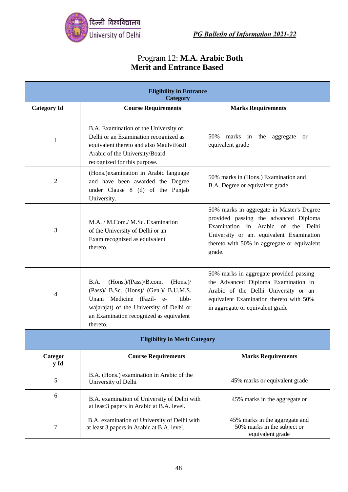

#### Program 12: **M.A. Arabic Both Merit and Entrance Based**

|                                      | <b>Eligibility in Entrance</b><br>Category                                                                                                                                                                                   |                                                                                                                                                                                                                               |  |
|--------------------------------------|------------------------------------------------------------------------------------------------------------------------------------------------------------------------------------------------------------------------------|-------------------------------------------------------------------------------------------------------------------------------------------------------------------------------------------------------------------------------|--|
| <b>Category Id</b>                   | <b>Course Requirements</b>                                                                                                                                                                                                   | <b>Marks Requirements</b>                                                                                                                                                                                                     |  |
| 1                                    | B.A. Examination of the University of<br>Delhi or an Examination recognized as<br>equivalent thereto and also MaulviFazil<br>Arabic of the University/Board<br>recognized for this purpose.                                  | 50%<br>marks in the aggregate<br>or<br>equivalent grade                                                                                                                                                                       |  |
| 2                                    | (Hons.) examination in Arabic language<br>and have been awarded the Degree<br>under Clause 8 (d) of the Punjab<br>University.                                                                                                | 50% marks in (Hons.) Examination and<br>B.A. Degree or equivalent grade                                                                                                                                                       |  |
| 3                                    | M.A. / M.Com./ M.Sc. Examination<br>of the University of Delhi or an<br>Exam recognized as equivalent<br>thereto.                                                                                                            | 50% marks in aggregate in Master's Degree<br>provided passing the advanced Diploma<br>Examination in Arabic of the Delhi<br>University or an. equivalent Examination<br>thereto with 50% in aggregate or equivalent<br>grade. |  |
| 4                                    | (Hons.)/(Pass)/B.com.<br>(Hons.)/<br>B.A.<br>(Pass)/ B.Sc. (Hons)/ (Gen.)/ B.U.M.S.<br>Unani Medicine (Fazil- e-<br>tibb-<br>wajarajat) of the University of Delhi or<br>an Examination recognized as equivalent<br>thereto. | 50% marks in aggregate provided passing<br>the Advanced Diploma Examination in<br>Arabic of the Delhi University or an<br>equivalent Examination thereto with 50%<br>in aggregate or equivalent grade                         |  |
| <b>Eligibility in Merit Category</b> |                                                                                                                                                                                                                              |                                                                                                                                                                                                                               |  |
| Categor<br>y Id                      | <b>Course Requirements</b>                                                                                                                                                                                                   | <b>Marks Requirements</b>                                                                                                                                                                                                     |  |
| 5                                    | B.A. (Hons.) examination in Arabic of the<br>University of Delhi                                                                                                                                                             | 45% marks or equivalent grade                                                                                                                                                                                                 |  |
| 6                                    | B.A. examination of University of Delhi with<br>at least3 papers in Arabic at B.A. level.                                                                                                                                    | 45% marks in the aggregate or                                                                                                                                                                                                 |  |
| 7                                    | B.A. examination of University of Delhi with<br>at least 3 papers in Arabic at B.A. level.                                                                                                                                   | 45% marks in the aggregate and<br>50% marks in the subject or<br>equivalent grade                                                                                                                                             |  |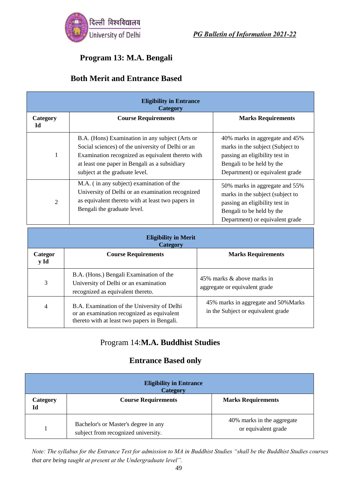

## **Program 13: M.A. Bengali**

#### **Both Merit and Entrance Based**

| <b>Eligibility in Entrance</b><br><b>Category</b> |                                                                                                                                                                                                                                              |                                                                                                                                                                      |  |
|---------------------------------------------------|----------------------------------------------------------------------------------------------------------------------------------------------------------------------------------------------------------------------------------------------|----------------------------------------------------------------------------------------------------------------------------------------------------------------------|--|
| Category<br>Id                                    | <b>Course Requirements</b>                                                                                                                                                                                                                   | <b>Marks Requirements</b>                                                                                                                                            |  |
| 1                                                 | B.A. (Hons) Examination in any subject (Arts or<br>Social sciences) of the university of Delhi or an<br>Examination recognized as equivalent thereto with<br>at least one paper in Bengali as a subsidiary<br>subject at the graduate level. | 40% marks in aggregate and 45%<br>marks in the subject (Subject to<br>passing an eligibility test in<br>Bengali to be held by the<br>Department) or equivalent grade |  |
| 2                                                 | M.A. (in any subject) examination of the<br>University of Delhi or an examination recognized<br>as equivalent thereto with at least two papers in<br>Bengali the graduate level.                                                             | 50% marks in aggregate and 55%<br>marks in the subject (subject to<br>passing an eligibility test in<br>Bengali to be held by the<br>Department) or equivalent grade |  |

| <b>Eligibility in Merit</b><br>Category |                                                                                                                                           |                                                                            |  |
|-----------------------------------------|-------------------------------------------------------------------------------------------------------------------------------------------|----------------------------------------------------------------------------|--|
| Categor<br>y Id                         | <b>Course Requirements</b>                                                                                                                | <b>Marks Requirements</b>                                                  |  |
| 3                                       | B.A. (Hons.) Bengali Examination of the<br>University of Delhi or an examination<br>recognized as equivalent thereto.                     | 45% marks & above marks in<br>aggregate or equivalent grade                |  |
| $\overline{4}$                          | B.A. Examination of the University of Delhi<br>or an examination recognized as equivalent<br>thereto with at least two papers in Bengali. | 45% marks in aggregate and 50% Marks<br>in the Subject or equivalent grade |  |

### Program 14:**M.A. Buddhist Studies**

#### **Entrance Based only**

| <b>Eligibility in Entrance</b><br><b>Category</b> |                                                                             |                                                   |
|---------------------------------------------------|-----------------------------------------------------------------------------|---------------------------------------------------|
| Category<br>Id                                    | <b>Course Requirements</b>                                                  | <b>Marks Requirements</b>                         |
|                                                   | Bachelor's or Master's degree in any<br>subject from recognized university. | 40% marks in the aggregate<br>or equivalent grade |

*Note: The syllabus for the Entrance Test for admission to MA in Buddhist Studies "shall be the Buddhist Studies courses that are being taught at present at the Undergraduate level".*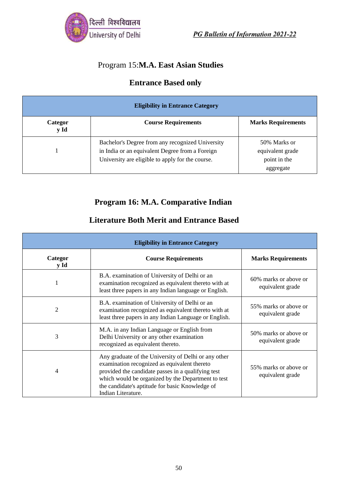

## Program 15:**M.A. East Asian Studies**

## **Entrance Based only**

| <b>Eligibility in Entrance Category</b> |                                                                                                                                                         |                                                  |
|-----------------------------------------|---------------------------------------------------------------------------------------------------------------------------------------------------------|--------------------------------------------------|
| Categor<br>y Id                         | <b>Course Requirements</b>                                                                                                                              | <b>Marks Requirements</b>                        |
|                                         | Bachelor's Degree from any recognized University<br>in India or an equivalent Degree from a Foreign<br>University are eligible to apply for the course. | 50% Marks or<br>equivalent grade<br>point in the |
|                                         |                                                                                                                                                         | aggregate                                        |

#### **Program 16: M.A. Comparative Indian**

#### **Literature Both Merit and Entrance Based**

| <b>Eligibility in Entrance Category</b> |                                                                                                                                                                                                                                                                                           |                                           |
|-----------------------------------------|-------------------------------------------------------------------------------------------------------------------------------------------------------------------------------------------------------------------------------------------------------------------------------------------|-------------------------------------------|
| Categor<br>y Id                         | <b>Course Requirements</b>                                                                                                                                                                                                                                                                | <b>Marks Requirements</b>                 |
| 1                                       | B.A. examination of University of Delhi or an<br>examination recognized as equivalent thereto with at<br>least three papers in any Indian language or English.                                                                                                                            | 60% marks or above or<br>equivalent grade |
| $\overline{2}$                          | B.A. examination of University of Delhi or an<br>examination recognized as equivalent thereto with at<br>least three papers in any Indian Language or English.                                                                                                                            | 55% marks or above or<br>equivalent grade |
| 3                                       | M.A. in any Indian Language or English from<br>Delhi University or any other examination<br>recognized as equivalent thereto.                                                                                                                                                             | 50% marks or above or<br>equivalent grade |
| 4                                       | Any graduate of the University of Delhi or any other<br>examination recognized as equivalent thereto<br>provided the candidate passes in a qualifying test<br>which would be organized by the Department to test<br>the candidate's aptitude for basic Knowledge of<br>Indian Literature. | 55% marks or above or<br>equivalent grade |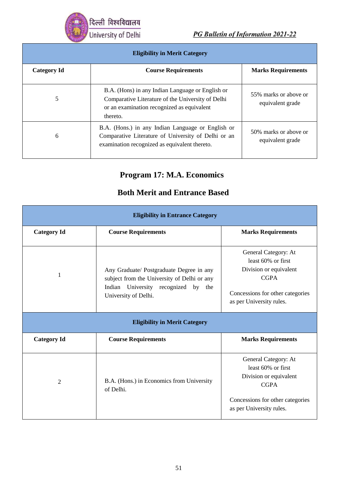दिल्ली विश्वविद्यालय University of Delhi

PG Bulletin of Information 2021-22

| <b>Eligibility in Merit Category</b> |                                                                                                                                                                 |                                           |
|--------------------------------------|-----------------------------------------------------------------------------------------------------------------------------------------------------------------|-------------------------------------------|
| <b>Category Id</b>                   | <b>Course Requirements</b>                                                                                                                                      | <b>Marks Requirements</b>                 |
| 5                                    | B.A. (Hons) in any Indian Language or English or<br>Comparative Literature of the University of Delhi<br>or an examination recognized as equivalent<br>thereto. | 55% marks or above or<br>equivalent grade |
| 6                                    | B.A. (Hons.) in any Indian Language or English or<br>Comparative Literature of University of Delhi or an<br>examination recognized as equivalent thereto.       | 50% marks or above or<br>equivalent grade |

## **Program 17: M.A. Economics**

| <b>Eligibility in Entrance Category</b> |                                                                                                                                                           |                                                                                                                                                     |
|-----------------------------------------|-----------------------------------------------------------------------------------------------------------------------------------------------------------|-----------------------------------------------------------------------------------------------------------------------------------------------------|
| <b>Category Id</b>                      | <b>Course Requirements</b>                                                                                                                                | <b>Marks Requirements</b>                                                                                                                           |
| 1                                       | Any Graduate/ Postgraduate Degree in any<br>subject from the University of Delhi or any<br>Indian University recognized by<br>the<br>University of Delhi. | General Category: At<br>least 60% or first<br>Division or equivalent<br><b>CGPA</b><br>Concessions for other categories<br>as per University rules. |
|                                         | <b>Eligibility in Merit Category</b>                                                                                                                      |                                                                                                                                                     |
| <b>Category Id</b>                      | <b>Course Requirements</b>                                                                                                                                | <b>Marks Requirements</b>                                                                                                                           |
| $\overline{2}$                          | B.A. (Hons.) in Economics from University<br>of Delhi.                                                                                                    | General Category: At<br>least 60% or first<br>Division or equivalent<br><b>CGPA</b><br>Concessions for other categories<br>as per University rules. |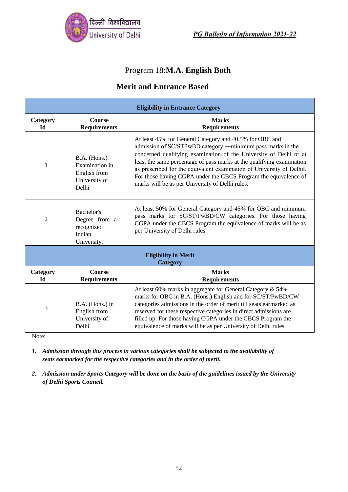

#### Program 18:**M.A. English Both**

#### **Merit and Entrance Based**

| <b>Eligibility in Entrance Category</b> |                                                                          |                                                                                                                                                                                                                                                                                                                                                                                                                                                                    |  |
|-----------------------------------------|--------------------------------------------------------------------------|--------------------------------------------------------------------------------------------------------------------------------------------------------------------------------------------------------------------------------------------------------------------------------------------------------------------------------------------------------------------------------------------------------------------------------------------------------------------|--|
| Category<br><b>Id</b>                   | Course<br><b>Requirements</b>                                            | <b>Marks</b><br><b>Requirements</b>                                                                                                                                                                                                                                                                                                                                                                                                                                |  |
| 1                                       | B.A. (Hons.)<br>Examination in<br>English from<br>University of<br>Delhi | At least 45% for General Category and 40.5% for OBC and<br>admission of SC/STPwBD category —minimum pass marks in the<br>concerned qualifying examination of the University of Delhi or at<br>least the same percentage of pass marks at the qualifying examination<br>as prescribed for the equivalent examination of University of Delhil.<br>For those having CGPA under the CBCS Program the equivalence of<br>marks will be as per University of Delhi rules. |  |
| $\overline{2}$                          | Bachelor's<br>Degree from a<br>recognized<br>Indian<br>University.       | At least 50% for General Category and 45% for OBC and minimum<br>pass marks for SC/ST/PwBD/CW categories. For those having<br>CGPA under the CBCS Program the equivalence of marks will be as<br>per University of Delhi rules.                                                                                                                                                                                                                                    |  |
| <b>Eligibility in Merit</b><br>Category |                                                                          |                                                                                                                                                                                                                                                                                                                                                                                                                                                                    |  |
| Category<br><b>Id</b>                   | <b>Course</b><br><b>Requirements</b>                                     | <b>Marks</b><br><b>Requirements</b>                                                                                                                                                                                                                                                                                                                                                                                                                                |  |
| 3                                       | B.A. (Hons.) in<br>English from<br>University of<br>Delhi.               | At least 60% marks in aggregate for General Category & 54%<br>marks for OBC in B.A. (Hons.) English and for SC/ST/PwBD/CW<br>categories admissions in the order of merit till seats earmarked as<br>reserved for these respective categories in direct admissions are<br>filled up. For those having CGPA under the CBCS Program the<br>equivalence of marks will be as per University of Delhi rules.                                                             |  |

Note:

- *1. Admission through this process in various categories shall be subjected to the availability of seats earmarked for the respective categories and in the order of merit.*
- *2. Admission under Sports Category will be done on the basis of the guidelines issued by the University of Delhi Sports Council.*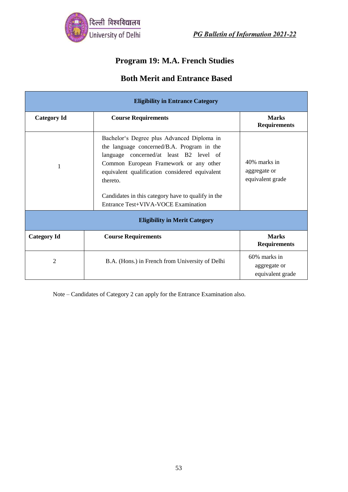

#### **Program 19: M.A. French Studies**

#### **Both Merit and Entrance Based**

| <b>Eligibility in Entrance Category</b> |                                                                                                                                                                                                                                                                                                                                          |                                                     |
|-----------------------------------------|------------------------------------------------------------------------------------------------------------------------------------------------------------------------------------------------------------------------------------------------------------------------------------------------------------------------------------------|-----------------------------------------------------|
| <b>Category Id</b>                      | <b>Course Requirements</b>                                                                                                                                                                                                                                                                                                               | <b>Marks</b><br><b>Requirements</b>                 |
| 1                                       | Bachelor's Degree plus Advanced Diploma in<br>the language concerned/B.A. Program in the<br>language concerned/at least B2 level of<br>Common European Framework or any other<br>equivalent qualification considered equivalent<br>thereto.<br>Candidates in this category have to qualify in the<br>Entrance Test+VIVA-VOCE Examination | 40% marks in<br>aggregate or<br>equivalent grade    |
| <b>Eligibility in Merit Category</b>    |                                                                                                                                                                                                                                                                                                                                          |                                                     |
| <b>Category Id</b>                      | <b>Course Requirements</b>                                                                                                                                                                                                                                                                                                               | <b>Marks</b><br><b>Requirements</b>                 |
| $\overline{2}$                          | B.A. (Hons.) in French from University of Delhi                                                                                                                                                                                                                                                                                          | $60\%$ marks in<br>aggregate or<br>equivalent grade |

Note – Candidates of Category 2 can apply for the Entrance Examination also.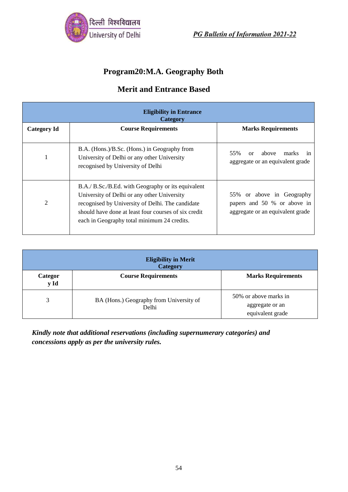

## **Program20:M.A. Geography Both**

## **Merit and Entrance Based**

| <b>Eligibility in Entrance</b><br><b>Category</b> |                                                                                                                                                                                                                                                              |                                                                                              |  |
|---------------------------------------------------|--------------------------------------------------------------------------------------------------------------------------------------------------------------------------------------------------------------------------------------------------------------|----------------------------------------------------------------------------------------------|--|
| <b>Category Id</b>                                | <b>Course Requirements</b>                                                                                                                                                                                                                                   | <b>Marks Requirements</b>                                                                    |  |
|                                                   | B.A. (Hons.)/B.Sc. (Hons.) in Geography from<br>University of Delhi or any other University<br>recognised by University of Delhi                                                                                                                             | 55%<br>marks<br>above<br>or<br>1n<br>aggregate or an equivalent grade                        |  |
| 2                                                 | B.A./ B.Sc./B.Ed. with Geography or its equivalent<br>University of Delhi or any other University<br>recognised by University of Delhi. The candidate<br>should have done at least four courses of six credit<br>each in Geography total minimum 24 credits. | 55% or above in Geography<br>papers and 50 % or above in<br>aggregate or an equivalent grade |  |

| <b>Eligibility in Merit</b><br><b>Category</b> |                                                  |                                                              |  |
|------------------------------------------------|--------------------------------------------------|--------------------------------------------------------------|--|
| Categor<br>y Id                                | <b>Course Requirements</b>                       | <b>Marks Requirements</b>                                    |  |
| 3                                              | BA (Hons.) Geography from University of<br>Delhi | 50% or above marks in<br>aggregate or an<br>equivalent grade |  |

*Kindly note that additional reservations (including supernumerary categories) and concessions apply as per the university rules.*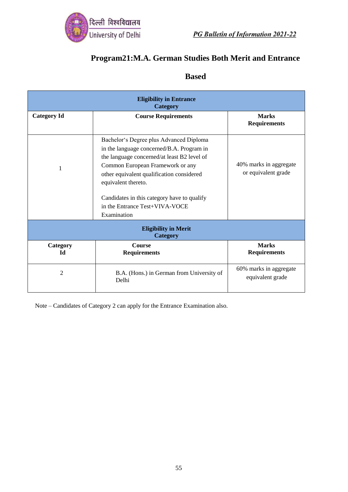

## **Program21:M.A. German Studies Both Merit and Entrance**

## **Based**

| <b>Eligibility in Entrance</b><br>Category     |                                                                                                                                                                                                                                                                                                                                             |                                               |  |
|------------------------------------------------|---------------------------------------------------------------------------------------------------------------------------------------------------------------------------------------------------------------------------------------------------------------------------------------------------------------------------------------------|-----------------------------------------------|--|
| <b>Category Id</b>                             | <b>Course Requirements</b>                                                                                                                                                                                                                                                                                                                  | <b>Marks</b><br><b>Requirements</b>           |  |
|                                                | Bachelor's Degree plus Advanced Diploma<br>in the language concerned/B.A. Program in<br>the language concerned/at least B2 level of<br>Common European Framework or any<br>other equivalent qualification considered<br>equivalent thereto.<br>Candidates in this category have to qualify<br>in the Entrance Test+VIVA-VOCE<br>Examination | 40% marks in aggregate<br>or equivalent grade |  |
| <b>Eligibility in Merit</b><br><b>Category</b> |                                                                                                                                                                                                                                                                                                                                             |                                               |  |
| Category<br><b>Id</b>                          | <b>Course</b><br><b>Requirements</b>                                                                                                                                                                                                                                                                                                        | <b>Marks</b><br><b>Requirements</b>           |  |
| $\overline{2}$                                 | B.A. (Hons.) in German from University of<br>Delhi                                                                                                                                                                                                                                                                                          | 60% marks in aggregate<br>equivalent grade    |  |

Note – Candidates of Category 2 can apply for the Entrance Examination also.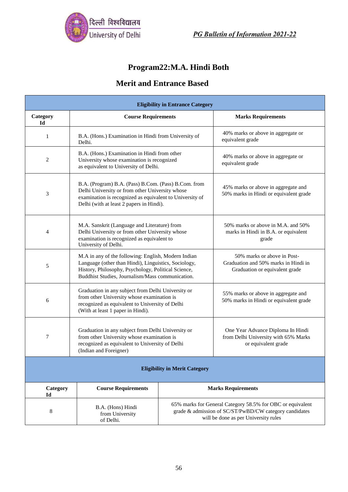

## **Program22:M.A. Hindi Both**

| <b>Eligibility in Entrance Category</b> |                                                                                                                                                                                                                        |                                                                                                                                                              |                                                                                                       |
|-----------------------------------------|------------------------------------------------------------------------------------------------------------------------------------------------------------------------------------------------------------------------|--------------------------------------------------------------------------------------------------------------------------------------------------------------|-------------------------------------------------------------------------------------------------------|
| Category<br>Id                          | <b>Course Requirements</b>                                                                                                                                                                                             |                                                                                                                                                              | <b>Marks Requirements</b>                                                                             |
| 1                                       | B.A. (Hons.) Examination in Hindi from University of<br>Delhi.                                                                                                                                                         |                                                                                                                                                              | 40% marks or above in aggregate or<br>equivalent grade                                                |
| 2                                       | B.A. (Hons.) Examination in Hindi from other<br>University whose examination is recognized<br>as equivalent to University of Delhi.                                                                                    |                                                                                                                                                              | 40% marks or above in aggregate or<br>equivalent grade                                                |
| 3                                       | B.A. (Program) B.A. (Pass) B.Com. (Pass) B.Com. from<br>Delhi University or from other University whose<br>examination is recognized as equivalent to University of<br>Delhi (with at least 2 papers in Hindi).        |                                                                                                                                                              | 45% marks or above in aggregate and<br>50% marks in Hindi or equivalent grade                         |
| 4                                       | M.A. Sanskrit (Language and Literature) from<br>Delhi University or from other University whose<br>examination is recognized as equivalent to<br>University of Delhi.                                                  |                                                                                                                                                              | 50% marks or above in M.A. and 50%<br>marks in Hindi in B.A. or equivalent<br>grade                   |
| 5                                       | M.A in any of the following: English, Modern Indian<br>Language (other than Hindi), Linguistics, Sociology,<br>History, Philosophy, Psychology, Political Science,<br>Buddhist Studies, Journalism/Mass communication. |                                                                                                                                                              | 50% marks or above in Post-<br>Graduation and 50% marks in Hindi in<br>Graduation or equivalent grade |
| 6                                       | Graduation in any subject from Delhi University or<br>from other University whose examination is<br>recognized as equivalent to University of Delhi<br>(With at least 1 paper in Hindi).                               |                                                                                                                                                              | 55% marks or above in aggregate and<br>50% marks in Hindi or equivalent grade                         |
| 7                                       | Graduation in any subject from Delhi University or<br>from other University whose examination is<br>recognized as equivalent to University of Delhi<br>(Indian and Foreigner)                                          |                                                                                                                                                              | One Year Advance Diploma In Hindi<br>from Delhi University with 65% Marks<br>or equivalent grade      |
| <b>Eligibility in Merit Category</b>    |                                                                                                                                                                                                                        |                                                                                                                                                              |                                                                                                       |
| Category<br>Id                          | <b>Course Requirements</b>                                                                                                                                                                                             | <b>Marks Requirements</b>                                                                                                                                    |                                                                                                       |
| 8                                       | B.A. (Hons) Hindi<br>from University<br>of Delhi.                                                                                                                                                                      | 65% marks for General Category 58.5% for OBC or equivalent<br>grade & admission of SC/ST/PwBD/CW category candidates<br>will be done as per University rules |                                                                                                       |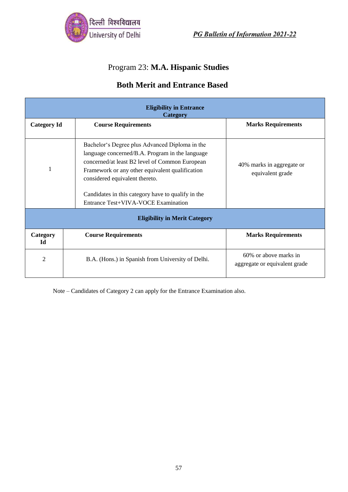

# Program 23: **M.A. Hispanic Studies**

#### **Both Merit and Entrance Based**

| <b>Eligibility in Entrance</b><br><b>Category</b> |                                                                                                                                                                                                                                                                                                                                       |                                                        |  |
|---------------------------------------------------|---------------------------------------------------------------------------------------------------------------------------------------------------------------------------------------------------------------------------------------------------------------------------------------------------------------------------------------|--------------------------------------------------------|--|
| <b>Category Id</b>                                | <b>Course Requirements</b>                                                                                                                                                                                                                                                                                                            | <b>Marks Requirements</b>                              |  |
| 1                                                 | Bachelor's Degree plus Advanced Diploma in the<br>language concerned/B.A. Program in the language<br>concerned/at least B2 level of Common European<br>Framework or any other equivalent qualification<br>considered equivalent thereto.<br>Candidates in this category have to qualify in the<br>Entrance Test+VIVA-VOCE Examination | 40% marks in aggregate or<br>equivalent grade          |  |
| <b>Eligibility in Merit Category</b>              |                                                                                                                                                                                                                                                                                                                                       |                                                        |  |
| Category<br><b>Id</b>                             | <b>Course Requirements</b>                                                                                                                                                                                                                                                                                                            | <b>Marks Requirements</b>                              |  |
| 2                                                 | B.A. (Hons.) in Spanish from University of Delhi.                                                                                                                                                                                                                                                                                     | 60% or above marks in<br>aggregate or equivalent grade |  |

Note – Candidates of Category 2 can apply for the Entrance Examination also.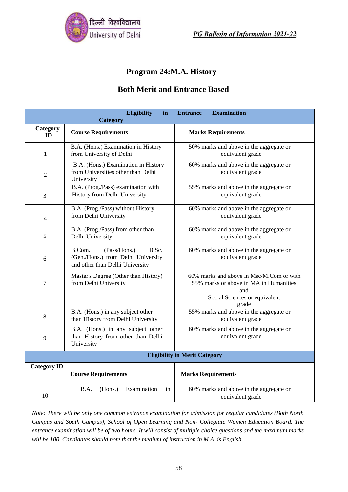

#### **Program 24:M.A. History**

#### **Both Merit and Entrance Based**

|                                      | <b>Eligibility</b><br>in<br>Category                                                                     | <b>Examination</b><br><b>Entrance</b>                                                                                               |
|--------------------------------------|----------------------------------------------------------------------------------------------------------|-------------------------------------------------------------------------------------------------------------------------------------|
| Category<br><b>ID</b>                | <b>Course Requirements</b>                                                                               | <b>Marks Requirements</b>                                                                                                           |
| 1                                    | B.A. (Hons.) Examination in History<br>from University of Delhi                                          | 50% marks and above in the aggregate or<br>equivalent grade                                                                         |
| $\overline{2}$                       | B.A. (Hons.) Examination in History<br>from Universities other than Delhi<br>University                  | 60% marks and above in the aggregate or<br>equivalent grade                                                                         |
| 3                                    | B.A. (Prog./Pass) examination with<br>History from Delhi University                                      | 55% marks and above in the aggregate or<br>equivalent grade                                                                         |
| $\overline{4}$                       | B.A. (Prog./Pass) without History<br>from Delhi University                                               | 60% marks and above in the aggregate or<br>equivalent grade                                                                         |
| 5                                    | B.A. (Prog./Pass) from other than<br>Delhi University                                                    | 60% marks and above in the aggregate or<br>equivalent grade                                                                         |
| 6                                    | B.Com.<br>(Pass/Hons.)<br>B.Sc.<br>(Gen./Hons.) from Delhi University<br>and other than Delhi University | 60% marks and above in the aggregate or<br>equivalent grade                                                                         |
| 7                                    | Master's Degree (Other than History)<br>from Delhi University                                            | 60% marks and above in Msc/M.Com or with<br>55% marks or above in MA in Humanities<br>and<br>Social Sciences or equivalent<br>grade |
| 8                                    | B.A. (Hons.) in any subject other<br>than History from Delhi University                                  | 55% marks and above in the aggregate or<br>equivalent grade                                                                         |
| 9                                    | B.A. (Hons.) in any subject other<br>than History from other than Delhi<br>University                    | 60% marks and above in the aggregate or<br>equivalent grade                                                                         |
| <b>Eligibility in Merit Category</b> |                                                                                                          |                                                                                                                                     |
| <b>Category ID</b>                   | <b>Course Requirements</b>                                                                               | <b>Marks Requirements</b>                                                                                                           |
| 10                                   | Examination<br>B.A.<br>(Hons.)<br>in H                                                                   | 60% marks and above in the aggregate or<br>equivalent grade                                                                         |

*Note: There will be only one common entrance examination for admission for regular candidates (Both North Campus and South Campus), School of Open Learning and Non- Collegiate Women Education Board. The entrance examination will be of two hours. It will consist of multiple choice questions and the maximum marks will be 100. Candidates should note that the medium of instruction in M.A. is English.*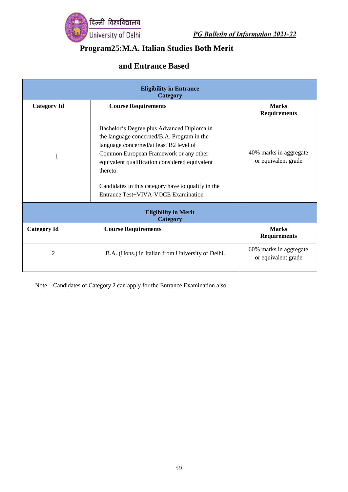

#### **Program25:M.A. Italian Studies Both Merit**

## **and Entrance Based**

| <b>Eligibility in Entrance</b><br>Category     |                                                                                                                                                                                                                                                                                                                                          |                                               |  |
|------------------------------------------------|------------------------------------------------------------------------------------------------------------------------------------------------------------------------------------------------------------------------------------------------------------------------------------------------------------------------------------------|-----------------------------------------------|--|
| <b>Category Id</b>                             | <b>Course Requirements</b>                                                                                                                                                                                                                                                                                                               | <b>Marks</b><br><b>Requirements</b>           |  |
| 1                                              | Bachelor's Degree plus Advanced Diploma in<br>the language concerned/B.A. Program in the<br>language concerned/at least B2 level of<br>Common European Framework or any other<br>equivalent qualification considered equivalent<br>thereto.<br>Candidates in this category have to qualify in the<br>Entrance Test+VIVA-VOCE Examination | 40% marks in aggregate<br>or equivalent grade |  |
| <b>Eligibility in Merit</b><br><b>Category</b> |                                                                                                                                                                                                                                                                                                                                          |                                               |  |
| <b>Category Id</b>                             | <b>Course Requirements</b>                                                                                                                                                                                                                                                                                                               | <b>Marks</b><br><b>Requirements</b>           |  |
| 2                                              | B.A. (Hons.) in Italian from University of Delhi.                                                                                                                                                                                                                                                                                        | 60% marks in aggregate<br>or equivalent grade |  |

Note – Candidates of Category 2 can apply for the Entrance Examination also.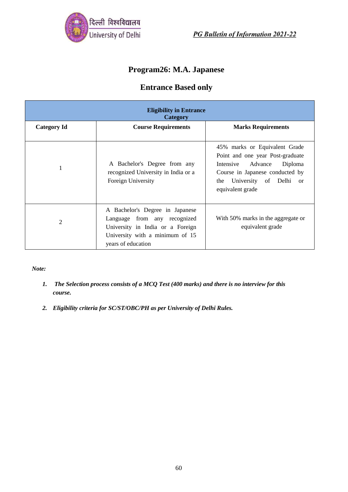

## **Program26: M.A. Japanese**

#### **Entrance Based only**

| <b>Eligibility in Entrance</b><br>Category |                                                                                                                                                              |                                                                                                                                                                                                         |  |
|--------------------------------------------|--------------------------------------------------------------------------------------------------------------------------------------------------------------|---------------------------------------------------------------------------------------------------------------------------------------------------------------------------------------------------------|--|
| <b>Category Id</b>                         | <b>Course Requirements</b>                                                                                                                                   | <b>Marks Requirements</b>                                                                                                                                                                               |  |
|                                            | A Bachelor's Degree from any<br>recognized University in India or a<br>Foreign University                                                                    | 45% marks or Equivalent Grade<br>Point and one year Post-graduate<br>Intensive Advance<br>Diploma<br>Course in Japanese conducted by<br>University of Delhi<br>the<br><sub>or</sub><br>equivalent grade |  |
| $\overline{2}$                             | A Bachelor's Degree in Japanese<br>Language from any recognized<br>University in India or a Foreign<br>University with a minimum of 15<br>years of education | With 50% marks in the aggregate or<br>equivalent grade                                                                                                                                                  |  |

*Note:*

- *1. The Selection process consists of a MCQ Test (400 marks) and there is no interview for this course.*
- *2. Eligibility criteria for SC/ST/OBC/PH as per University of Delhi Rules.*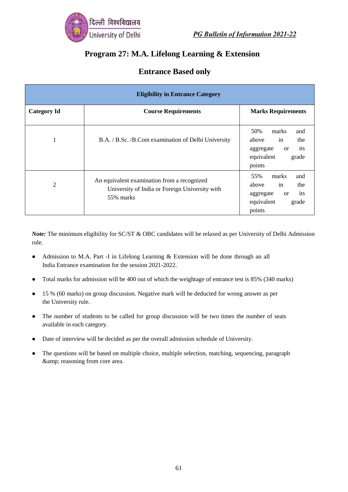

#### **Program 27: M.A. Lifelong Learning & Extension**

| <b>Eligibility in Entrance Category</b> |                                                                                                            |                                                                                                                 |  |
|-----------------------------------------|------------------------------------------------------------------------------------------------------------|-----------------------------------------------------------------------------------------------------------------|--|
| <b>Category Id</b>                      | <b>Course Requirements</b>                                                                                 | <b>Marks Requirements</b>                                                                                       |  |
|                                         | B.A. / B.Sc. / B.Com examination of Delhi University                                                       | 50%<br>and<br>marks<br>in<br>the<br>above<br>its<br>aggregate<br><b>or</b><br>equivalent<br>grade<br>points     |  |
| 2                                       | An equivalent examination from a recognized<br>University of India or Foreign University with<br>55% marks | 55%<br>marks<br>and<br>in<br>the<br>above<br>its<br>aggregate<br><sub>or</sub><br>equivalent<br>grade<br>points |  |

*Note:* The minimum eligibility for SC/ST & OBC candidates will be relaxed as per University of Delhi Admission rule.

- Admission to M.A. Part -I in Lifelong Learning & Extension will be done through an all India Entrance examination for the session 2021-2022.
- Total marks for admission will be 400 out of which the weightage of entrance test is 85% (340 marks)
- 15 % (60 marks) on group discussion. Negative mark will be deducted for wrong answer as per the University rule.
- The number of students to be called for group discussion will be two times the number of seats available in each category.
- Date of interview will be decided as per the overall admission schedule of University.
- The questions will be based on multiple choice, multiple selection, matching, sequencing, paragraph & amp; reasoning from core area.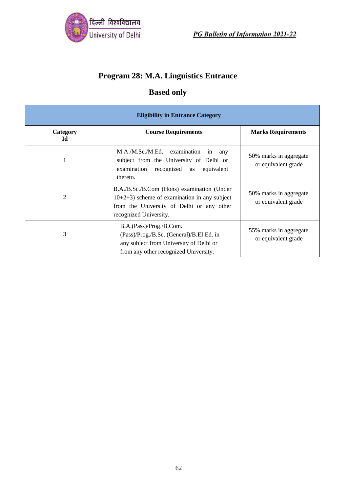

# **Program 28: M.A. Linguistics Entrance**

## **Based only**

| <b>Eligibility in Entrance Category</b> |                                                                                                                                                                      |                                               |  |
|-----------------------------------------|----------------------------------------------------------------------------------------------------------------------------------------------------------------------|-----------------------------------------------|--|
| Category<br>Id                          | <b>Course Requirements</b>                                                                                                                                           | <b>Marks Requirements</b>                     |  |
|                                         | M.A./M.Sc./M.Ed. examination<br>in<br>any<br>subject from the University of Delhi or<br>examination recognized as equivalent<br>thereto.                             | 50% marks in aggregate<br>or equivalent grade |  |
| 2                                       | B.A./B.Sc./B.Com (Hons) examination (Under<br>$10+2+3$ ) scheme of examination in any subject<br>from the University of Delhi or any other<br>recognized University. | 50% marks in aggregate<br>or equivalent grade |  |
| 3                                       | B.A.(Pass)/Prog./B.Com.<br>(Pass)/Prog./B.Sc. (General)/B.EI.Ed. in<br>any subject from University of Delhi or<br>from any other recognized University.              | 55% marks in aggregate<br>or equivalent grade |  |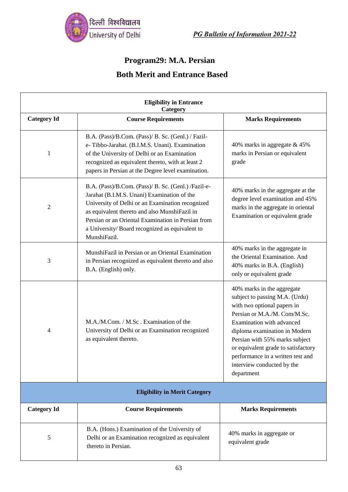

### **Program29: M.A. Persian**

| <b>Eligibility in Entrance</b><br>Category |                                                                                                                                                                                                                                                                                                                                 |                                                                                                                                                                                                                                                                                                                                                     |  |
|--------------------------------------------|---------------------------------------------------------------------------------------------------------------------------------------------------------------------------------------------------------------------------------------------------------------------------------------------------------------------------------|-----------------------------------------------------------------------------------------------------------------------------------------------------------------------------------------------------------------------------------------------------------------------------------------------------------------------------------------------------|--|
| <b>Category Id</b>                         | <b>Course Requirements</b>                                                                                                                                                                                                                                                                                                      | <b>Marks Requirements</b>                                                                                                                                                                                                                                                                                                                           |  |
| 1                                          | B.A. (Pass)/B.Com. (Pass)/ B. Sc. (Genl.) / Fazil-<br>e-Tibbo-Jarahat. (B.I.M.S. Unani). Examination<br>of the University of Delhi or an Examination<br>recognized as equivalent thereto, with at least 2<br>papers in Persian at the Degree level examination.                                                                 | 40% marks in aggregate & 45%<br>marks in Persian or equivalent<br>grade                                                                                                                                                                                                                                                                             |  |
| $\overline{2}$                             | B.A. (Pass)/B.Com. (Pass)/ B. Sc. (Genl.) /Fazil-e-<br>Jarahat (B.I.M.S. Unani) Examination of the<br>University of Delhi or an Examination recognized<br>as equivalent thereto and also MunshiFazil in<br>Persian or an Oriental Examination in Persian from<br>a University/Board recognized as equivalent to<br>MunshiFazil. | 40% marks in the aggregate at the<br>degree level examination and 45%<br>marks in the aggregate in oriental<br>Examination or equivalent grade                                                                                                                                                                                                      |  |
| 3                                          | MunshiFazil in Persian or an Oriental Examination<br>in Persian recognized as equivalent thereto and also<br>B.A. (English) only.                                                                                                                                                                                               | 40% marks in the aggregate in<br>the Oriental Examination. And<br>40% marks in B.A. (English)<br>only or equivalent grade                                                                                                                                                                                                                           |  |
| 4                                          | M.A./M.Com. / M.Sc. Examination of the<br>University of Delhi or an Examination recognized<br>as equivalent thereto.                                                                                                                                                                                                            | 40% marks in the aggregate<br>subject to passing M.A. (Urdu)<br>with two optional papers in<br>Persian or M.A./M. Com/M.Sc.<br>Examination with advanced<br>diploma examination in Modern<br>Persian with 55% marks subject<br>or equivalent grade to satisfactory<br>performance in a written test and<br>interview conducted by the<br>department |  |
| <b>Eligibility in Merit Category</b>       |                                                                                                                                                                                                                                                                                                                                 |                                                                                                                                                                                                                                                                                                                                                     |  |
| <b>Category Id</b>                         | <b>Course Requirements</b>                                                                                                                                                                                                                                                                                                      | <b>Marks Requirements</b>                                                                                                                                                                                                                                                                                                                           |  |
| 5                                          | B.A. (Hons.) Examination of the University of<br>Delhi or an Examination recognized as equivalent<br>thereto in Persian.                                                                                                                                                                                                        | 40% marks in aggregate or<br>equivalent grade                                                                                                                                                                                                                                                                                                       |  |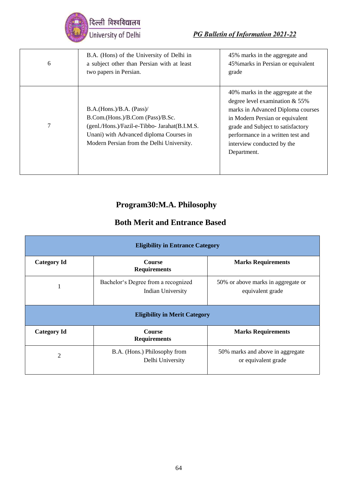

| 6 | B.A. (Hons) of the University of Delhi in<br>a subject other than Persian with at least<br>two papers in Persian.                                                                                     | 45% marks in the aggregate and<br>45% marks in Persian or equivalent<br>grade                                                                                                                                                                                         |
|---|-------------------------------------------------------------------------------------------------------------------------------------------------------------------------------------------------------|-----------------------------------------------------------------------------------------------------------------------------------------------------------------------------------------------------------------------------------------------------------------------|
| 7 | B.A.(Hons.)/B.A. (Pass)/<br>B.Com.(Hons.)/B.Com (Pass)/B.Sc.<br>(genl./Hons.)/Fazil-e-Tibbo- Jarahat(B.I.M.S.<br>Unani) with Advanced diploma Courses in<br>Modern Persian from the Delhi University. | 40% marks in the aggregate at the<br>degree level examination $& 55\%$<br>marks in Advanced Diploma courses<br>in Modern Persian or equivalent<br>grade and Subject to satisfactory<br>performance in a written test and<br>interview conducted by the<br>Department. |

# **Program30:M.A. Philosophy**

| <b>Eligibility in Entrance Category</b> |                                                                 |                                                         |  |
|-----------------------------------------|-----------------------------------------------------------------|---------------------------------------------------------|--|
| <b>Category Id</b>                      | <b>Course</b><br><b>Requirements</b>                            | <b>Marks Requirements</b>                               |  |
|                                         | Bachelor's Degree from a recognized<br><b>Indian University</b> | 50% or above marks in aggregate or<br>equivalent grade  |  |
| <b>Eligibility in Merit Category</b>    |                                                                 |                                                         |  |
| <b>Category Id</b>                      | <b>Course</b><br><b>Requirements</b>                            | <b>Marks Requirements</b>                               |  |
| 2                                       | B.A. (Hons.) Philosophy from<br>Delhi University                | 50% marks and above in aggregate<br>or equivalent grade |  |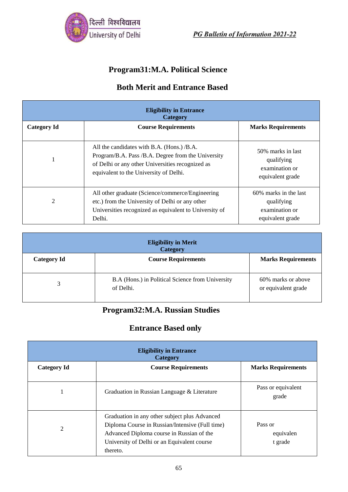

## **Program31:M.A. Political Science**

#### **Both Merit and Entrance Based**

| <b>Eligibility in Entrance</b><br>Category |                                                                                                                                                                                                |                                                                           |
|--------------------------------------------|------------------------------------------------------------------------------------------------------------------------------------------------------------------------------------------------|---------------------------------------------------------------------------|
| <b>Category Id</b>                         | <b>Course Requirements</b>                                                                                                                                                                     | <b>Marks Requirements</b>                                                 |
|                                            | All the candidates with B.A. (Hons.) /B.A.<br>Program/B.A. Pass /B.A. Degree from the University<br>of Delhi or any other Universities recognized as<br>equivalent to the University of Delhi. | 50% marks in last<br>qualifying<br>examination or<br>equivalent grade     |
| 2                                          | All other graduate (Science/commerce/Engineering)<br>etc.) from the University of Delhi or any other<br>Universities recognized as equivalent to University of<br>Delhi.                       | 60% marks in the last<br>qualifying<br>examination or<br>equivalent grade |

| <b>Eligibility in Merit</b><br><b>Category</b> |                                                               |                                           |
|------------------------------------------------|---------------------------------------------------------------|-------------------------------------------|
| <b>Category Id</b>                             | <b>Course Requirements</b>                                    | <b>Marks Requirements</b>                 |
|                                                | B.A (Hons.) in Political Science from University<br>of Delhi. | 60% marks or above<br>or equivalent grade |

#### **Program32:M.A. Russian Studies**

#### **Entrance Based only**

| <b>Eligibility in Entrance</b><br>Category |                                                                                                                                                                                                          |                                 |
|--------------------------------------------|----------------------------------------------------------------------------------------------------------------------------------------------------------------------------------------------------------|---------------------------------|
| <b>Category Id</b>                         | <b>Course Requirements</b>                                                                                                                                                                               | <b>Marks Requirements</b>       |
|                                            | Graduation in Russian Language & Literature                                                                                                                                                              | Pass or equivalent<br>grade     |
| 2                                          | Graduation in any other subject plus Advanced<br>Diploma Course in Russian/Intensive (Full time)<br>Advanced Diploma course in Russian of the<br>University of Delhi or an Equivalent course<br>thereto. | Pass or<br>equivalen<br>t grade |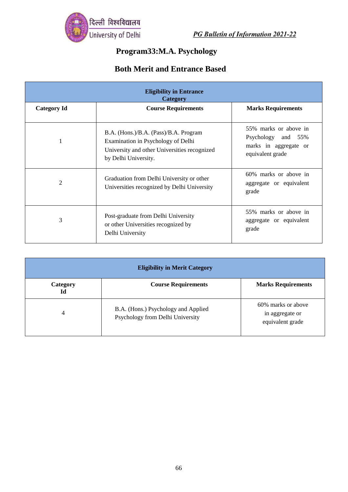

# **Program33:M.A. Psychology**

| <b>Eligibility in Entrance</b><br>Category |                                                                                                                                                     |                                                                                          |
|--------------------------------------------|-----------------------------------------------------------------------------------------------------------------------------------------------------|------------------------------------------------------------------------------------------|
| <b>Category Id</b>                         | <b>Course Requirements</b>                                                                                                                          | <b>Marks Requirements</b>                                                                |
|                                            | B.A. (Hons.)/B.A. (Pass)/B.A. Program<br>Examination in Psychology of Delhi<br>University and other Universities recognized<br>by Delhi University. | 55% marks or above in<br>Psychology and 55%<br>marks in aggregate or<br>equivalent grade |
| $\overline{2}$                             | Graduation from Delhi University or other<br>Universities recognized by Delhi University                                                            | 60% marks or above in<br>aggregate or equivalent<br>grade                                |
| 3                                          | Post-graduate from Delhi University<br>or other Universities recognized by<br>Delhi University                                                      | 55% marks or above in<br>aggregate or equivalent<br>grade                                |

| <b>Eligibility in Merit Category</b> |                                                                         |                                                           |
|--------------------------------------|-------------------------------------------------------------------------|-----------------------------------------------------------|
| Category<br>Id                       | <b>Course Requirements</b>                                              | <b>Marks Requirements</b>                                 |
| 4                                    | B.A. (Hons.) Psychology and Applied<br>Psychology from Delhi University | 60% marks or above<br>in aggregate or<br>equivalent grade |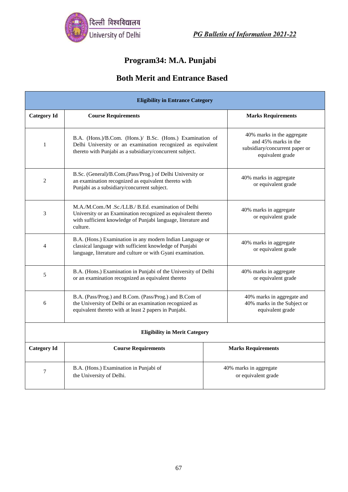

## **Program34: M.A. Punjabi**

| <b>Eligibility in Entrance Category</b> |                                                                                                                                                                                                  |                                                                                                          |  |
|-----------------------------------------|--------------------------------------------------------------------------------------------------------------------------------------------------------------------------------------------------|----------------------------------------------------------------------------------------------------------|--|
| <b>Category Id</b>                      | <b>Course Requirements</b>                                                                                                                                                                       | <b>Marks Requirements</b>                                                                                |  |
| 1                                       | B.A. (Hons.)/B.Com. (Hons.)/ B.Sc. (Hons.) Examination of<br>Delhi University or an examination recognized as equivalent<br>thereto with Punjabi as a subsidiary/concurrent subject.             | 40% marks in the aggregate<br>and 45% marks in the<br>subsidiary/concurrent paper or<br>equivalent grade |  |
| $\overline{2}$                          | B.Sc. (General)/B.Com.(Pass/Prog.) of Delhi University or<br>an examination recognized as equivalent thereto with<br>Punjabi as a subsidiary/concurrent subject.                                 | 40% marks in aggregate<br>or equivalent grade                                                            |  |
| 3                                       | M.A./M.Com./M.Sc./LLB./ B.Ed. examination of Delhi<br>University or an Examination recognized as equivalent thereto<br>with sufficient knowledge of Punjabi language, literature and<br>culture. | 40% marks in aggregate<br>or equivalent grade                                                            |  |
| 4                                       | B.A. (Hons.) Examination in any modern Indian Language or<br>classical language with sufficient knowledge of Punjabi<br>language, literature and culture or with Gyani examination.              | 40% marks in aggregate<br>or equivalent grade                                                            |  |
| 5                                       | B.A. (Hons.) Examination in Punjabi of the University of Delhi<br>or an examination recognized as equivalent thereto                                                                             | 40% marks in aggregate<br>or equivalent grade                                                            |  |
| 6                                       | B.A. (Pass/Prog.) and B.Com. (Pass/Prog.) and B.Com of<br>the University of Delhi or an examination recognized as<br>equivalent thereto with at least 2 papers in Punjabi.                       | 40% marks in aggregate and<br>40% marks in the Subject or<br>equivalent grade                            |  |
| <b>Eligibility in Merit Category</b>    |                                                                                                                                                                                                  |                                                                                                          |  |
| <b>Category Id</b>                      | <b>Course Requirements</b>                                                                                                                                                                       | <b>Marks Requirements</b>                                                                                |  |
| 7                                       | B.A. (Hons.) Examination in Punjabi of<br>the University of Delhi.                                                                                                                               | 40% marks in aggregate<br>or equivalent grade                                                            |  |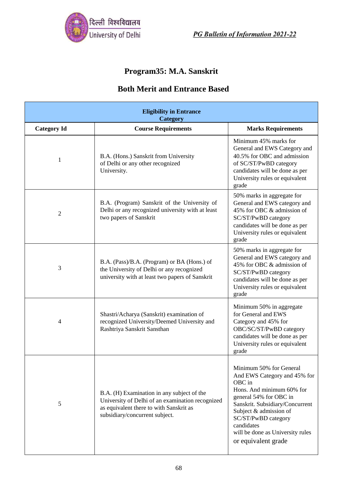

## **Program35: M.A. Sanskrit**

| <b>Eligibility in Entrance</b><br>Category |                                                                                                                                                                             |                                                                                                                                                                                                                                                                                       |
|--------------------------------------------|-----------------------------------------------------------------------------------------------------------------------------------------------------------------------------|---------------------------------------------------------------------------------------------------------------------------------------------------------------------------------------------------------------------------------------------------------------------------------------|
| <b>Category Id</b>                         | <b>Course Requirements</b>                                                                                                                                                  | <b>Marks Requirements</b>                                                                                                                                                                                                                                                             |
| 1                                          | B.A. (Hons.) Sanskrit from University<br>of Delhi or any other recognized<br>University.                                                                                    | Minimum 45% marks for<br>General and EWS Category and<br>40.5% for OBC and admission<br>of SC/ST/PwBD category<br>candidates will be done as per<br>University rules or equivalent<br>grade                                                                                           |
| $\overline{2}$                             | B.A. (Program) Sanskrit of the University of<br>Delhi or any recognized university with at least<br>two papers of Sanskrit                                                  | 50% marks in aggregate for<br>General and EWS category and<br>45% for OBC & admission of<br>SC/ST/PwBD category<br>candidates will be done as per<br>University rules or equivalent<br>grade                                                                                          |
| 3                                          | B.A. (Pass)/B.A. (Program) or BA (Hons.) of<br>the University of Delhi or any recognized<br>university with at least two papers of Sanskrit                                 | 50% marks in aggregate for<br>General and EWS category and<br>45% for OBC & admission of<br>SC/ST/PwBD category<br>candidates will be done as per<br>University rules or equivalent<br>grade                                                                                          |
| 4                                          | Shastri/Acharya (Sanskrit) examination of<br>recognized University/Deemed University and<br>Rashtriya Sanskrit Sansthan                                                     | Minimum 50% in aggregate<br>for General and EWS<br>Category and 45% for<br>OBC/SC/ST/PwBD category<br>candidates will be done as per<br>University rules or equivalent<br>grade                                                                                                       |
| 5                                          | B.A. (H) Examination in any subject of the<br>University of Delhi of an examination recognized<br>as equivalent there to with Sanskrit as<br>subsidiary/concurrent subject. | Minimum 50% for General<br>And EWS Category and 45% for<br>OBC in<br>Hons. And minimum 60% for<br>general 54% for OBC in<br>Sanskrit. Subsidiary/Concurrent<br>Subject & admission of<br>SC/ST/PwBD category<br>candidates<br>will be done as University rules<br>or equivalent grade |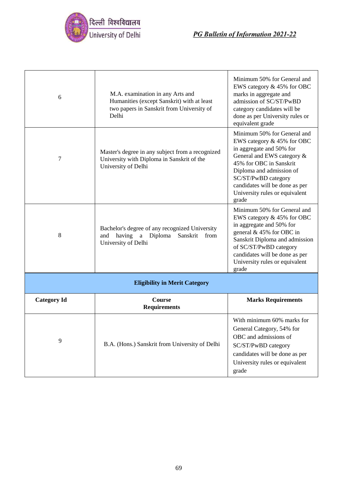

| 6                  | M.A. examination in any Arts and<br>Humanities (except Sanskrit) with at least<br>two papers in Sanskrit from University of<br>Delhi | Minimum 50% for General and<br>EWS category & 45% for OBC<br>marks in aggregate and<br>admission of SC/ST/PwBD<br>category candidates will be<br>done as per University rules or<br>equivalent grade                                                                           |  |
|--------------------|--------------------------------------------------------------------------------------------------------------------------------------|--------------------------------------------------------------------------------------------------------------------------------------------------------------------------------------------------------------------------------------------------------------------------------|--|
| 7                  | Master's degree in any subject from a recognized<br>University with Diploma in Sanskrit of the<br>University of Delhi                | Minimum 50% for General and<br>EWS category & 45% for OBC<br>in aggregate and 50% for<br>General and EWS category &<br>45% for OBC in Sanskrit<br>Diploma and admission of<br>SC/ST/PwBD category<br>candidates will be done as per<br>University rules or equivalent<br>grade |  |
| 8                  | Bachelor's degree of any recognized University<br>having<br>a Diploma<br>Sanskrit<br>and<br>from<br>University of Delhi              | Minimum 50% for General and<br>EWS category & 45% for OBC<br>in aggregate and 50% for<br>general & 45% for OBC in<br>Sanskrit Diploma and admission<br>of SC/ST/PwBD category<br>candidates will be done as per<br>University rules or equivalent<br>grade                     |  |
|                    | <b>Eligibility in Merit Category</b>                                                                                                 |                                                                                                                                                                                                                                                                                |  |
| <b>Category Id</b> | <b>Course</b><br><b>Requirements</b>                                                                                                 | <b>Marks Requirements</b>                                                                                                                                                                                                                                                      |  |
| 9                  | B.A. (Hons.) Sanskrit from University of Delhi                                                                                       | With minimum 60% marks for<br>General Category, 54% for<br>OBC and admissions of<br>SC/ST/PwBD category<br>candidates will be done as per<br>University rules or equivalent<br>grade                                                                                           |  |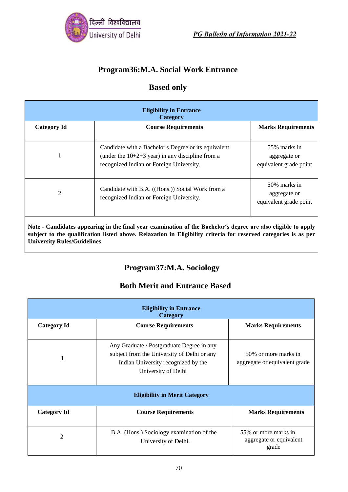

## **Program36:M.A. Social Work Entrance**

#### **Based only**

| <b>Eligibility in Entrance</b><br>Category                                                                    |                                                                                                                                                        |                                                        |
|---------------------------------------------------------------------------------------------------------------|--------------------------------------------------------------------------------------------------------------------------------------------------------|--------------------------------------------------------|
| <b>Category Id</b>                                                                                            | <b>Course Requirements</b>                                                                                                                             | <b>Marks Requirements</b>                              |
| 1                                                                                                             | Candidate with a Bachelor's Degree or its equivalent<br>(under the $10+2+3$ year) in any discipline from a<br>recognized Indian or Foreign University. | 55% marks in<br>aggregate or<br>equivalent grade point |
| 2                                                                                                             | Candidate with B.A. ((Hons.)) Social Work from a<br>recognized Indian or Foreign University.                                                           | 50% marks in<br>aggregate or<br>equivalent grade point |
| Note - Candidates appearing in the final year examination of the Bachelor's degree are also eligible to apply |                                                                                                                                                        |                                                        |

**Note - Candidates appearing in the final year examination of the Bachelor's degree are also eligible to apply subject to the qualification listed above. Relaxation in Eligibility criteria for reserved categories is as per University Rules/Guidelines**

## **Program37:M.A. Sociology**

| <b>Eligibility in Entrance</b><br>Category |                                                                                                                                                        |                                                          |  |  |
|--------------------------------------------|--------------------------------------------------------------------------------------------------------------------------------------------------------|----------------------------------------------------------|--|--|
| <b>Category Id</b>                         | <b>Course Requirements</b>                                                                                                                             | <b>Marks Requirements</b>                                |  |  |
| 1                                          | Any Graduate / Postgraduate Degree in any<br>subject from the University of Delhi or any<br>Indian University recognized by the<br>University of Delhi | 50% or more marks in<br>aggregate or equivalent grade    |  |  |
| <b>Eligibility in Merit Category</b>       |                                                                                                                                                        |                                                          |  |  |
| <b>Category Id</b>                         | <b>Course Requirements</b>                                                                                                                             | <b>Marks Requirements</b>                                |  |  |
| $\overline{2}$                             | B.A. (Hons.) Sociology examination of the<br>University of Delhi.                                                                                      | 55% or more marks in<br>aggregate or equivalent<br>grade |  |  |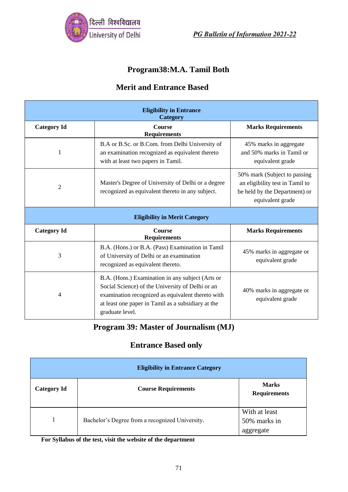

## **Program38:M.A. Tamil Both**

#### **Merit and Entrance Based**

| <b>Eligibility in Entrance</b><br>Category |                                                                                                                                                                                                                                    |                                                                                                                       |  |  |
|--------------------------------------------|------------------------------------------------------------------------------------------------------------------------------------------------------------------------------------------------------------------------------------|-----------------------------------------------------------------------------------------------------------------------|--|--|
| <b>Category Id</b>                         | Course<br><b>Requirements</b>                                                                                                                                                                                                      | <b>Marks Requirements</b>                                                                                             |  |  |
| 1                                          | B.A or B.Sc. or B.Com. from Delhi University of<br>an examination recognized as equivalent thereto<br>with at least two papers in Tamil.                                                                                           | 45% marks in aggregate<br>and 50% marks in Tamil or<br>equivalent grade                                               |  |  |
| 2                                          | Master's Degree of University of Delhi or a degree<br>recognized as equivalent thereto in any subject.                                                                                                                             | 50% mark (Subject to passing)<br>an eligibility test in Tamil to<br>be held by the Department) or<br>equivalent grade |  |  |
| <b>Eligibility in Merit Category</b>       |                                                                                                                                                                                                                                    |                                                                                                                       |  |  |
| <b>Category Id</b>                         | Course<br><b>Requirements</b>                                                                                                                                                                                                      | <b>Marks Requirements</b>                                                                                             |  |  |
| 3                                          | B.A. (Hons.) or B.A. (Pass) Examination in Tamil<br>of University of Delhi or an examination<br>recognized as equivalent thereto.                                                                                                  | 45% marks in aggregate or<br>equivalent grade                                                                         |  |  |
| 4                                          | B.A. (Hons.) Examination in any subject (Arts or<br>Social Science) of the University of Delhi or an<br>examination recognized as equivalent thereto with<br>at least one paper in Tamil as a subsidiary at the<br>graduate level. | 40% marks in aggregate or<br>equivalent grade                                                                         |  |  |

## **Program 39: Master of Journalism (MJ)**

## **Entrance Based only**

| <b>Eligibility in Entrance Category</b> |                                                 |                                            |  |
|-----------------------------------------|-------------------------------------------------|--------------------------------------------|--|
| <b>Category Id</b>                      | <b>Course Requirements</b>                      | <b>Marks</b><br><b>Requirements</b>        |  |
|                                         | Bachelor's Degree from a recognized University. | With at least<br>50% marks in<br>aggregate |  |

**For Syllabus of the test, visit the website of the department**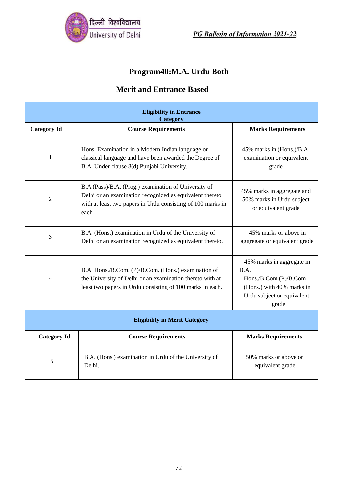

# **Program40:M.A. Urdu Both**

| <b>Eligibility in Entrance</b><br>Category |                                                                                                                                                                                          |                                                                                                                                |  |
|--------------------------------------------|------------------------------------------------------------------------------------------------------------------------------------------------------------------------------------------|--------------------------------------------------------------------------------------------------------------------------------|--|
| <b>Category Id</b>                         | <b>Course Requirements</b>                                                                                                                                                               | <b>Marks Requirements</b>                                                                                                      |  |
| $\mathbf{1}$                               | Hons. Examination in a Modern Indian language or<br>classical language and have been awarded the Degree of<br>B.A. Under clause 8(d) Punjabi University.                                 | 45% marks in (Hons.)/B.A.<br>examination or equivalent<br>grade                                                                |  |
| $\overline{2}$                             | B.A.(Pass)/B.A. (Prog.) examination of University of<br>Delhi or an examination recognized as equivalent thereto<br>with at least two papers in Urdu consisting of 100 marks in<br>each. | 45% marks in aggregate and<br>50% marks in Urdu subject<br>or equivalent grade                                                 |  |
| 3                                          | B.A. (Hons.) examination in Urdu of the University of<br>Delhi or an examination recognized as equivalent thereto.                                                                       | 45% marks or above in<br>aggregate or equivalent grade                                                                         |  |
| 4                                          | B.A. Hons./B.Com. (P)/B.Com. (Hons.) examination of<br>the University of Delhi or an examination thereto with at<br>least two papers in Urdu consisting of 100 marks in each.            | 45% marks in aggregate in<br>B.A.<br>Hons./B.Com.(P)/B.Com<br>(Hons.) with 40% marks in<br>Urdu subject or equivalent<br>grade |  |
| <b>Eligibility in Merit Category</b>       |                                                                                                                                                                                          |                                                                                                                                |  |
| <b>Category Id</b>                         | <b>Course Requirements</b>                                                                                                                                                               | <b>Marks Requirements</b>                                                                                                      |  |
| 5                                          | B.A. (Hons.) examination in Urdu of the University of<br>Delhi.                                                                                                                          | 50% marks or above or<br>equivalent grade                                                                                      |  |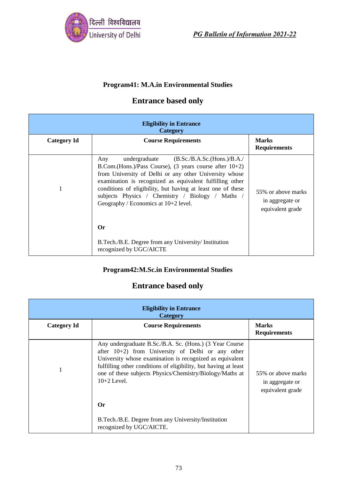

#### **Program41: M.A.in Environmental Studies**

## **Entrance based only**

| <b>Eligibility in Entrance</b><br>Category |                                                                                                                                                                                                                                                                                                                                                                                                                           |                                                           |
|--------------------------------------------|---------------------------------------------------------------------------------------------------------------------------------------------------------------------------------------------------------------------------------------------------------------------------------------------------------------------------------------------------------------------------------------------------------------------------|-----------------------------------------------------------|
| <b>Category Id</b>                         | <b>Course Requirements</b>                                                                                                                                                                                                                                                                                                                                                                                                | <b>Marks</b><br><b>Requirements</b>                       |
|                                            | undergraduate $(B.Sc./B.A.Sc.(Hons.)/B.A./$<br>Any<br>B.Com.(Hons.)/Pass Course), $(3 \text{ years} \text{ course after } 10+2)$<br>from University of Delhi or any other University whose<br>examination is recognized as equivalent fulfilling other<br>conditions of eligibility, but having at least one of these<br>subjects Physics / Chemistry / Biology / Maths /<br>Geography / Economics at $10+2$ level.<br>0r | 55% or above marks<br>in aggregate or<br>equivalent grade |
|                                            | B.Tech./B.E. Degree from any University/ Institution<br>recognized by UGC/AICTE                                                                                                                                                                                                                                                                                                                                           |                                                           |

### **Program42:M.Sc.in Environmental Studies**

# **Entrance based only**

| <b>Eligibility in Entrance</b><br>Category |                                                                                                                                                                                                                                                                                                                             |                                                           |
|--------------------------------------------|-----------------------------------------------------------------------------------------------------------------------------------------------------------------------------------------------------------------------------------------------------------------------------------------------------------------------------|-----------------------------------------------------------|
| <b>Category Id</b>                         | <b>Course Requirements</b>                                                                                                                                                                                                                                                                                                  | <b>Marks</b><br><b>Requirements</b>                       |
|                                            | Any undergraduate B.Sc./B.A. Sc. (Hons.) (3 Year Course<br>after $10+2$ ) from University of Delhi or any other<br>University whose examination is recognized as equivalent<br>fulfilling other conditions of eligibility, but having at least<br>one of these subjects Physics/Chemistry/Biology/Maths at<br>$10+2$ Level. | 55% or above marks<br>in aggregate or<br>equivalent grade |
|                                            | Or                                                                                                                                                                                                                                                                                                                          |                                                           |
|                                            | B.Tech./B.E. Degree from any University/Institution<br>recognized by UGC/AICTE.                                                                                                                                                                                                                                             |                                                           |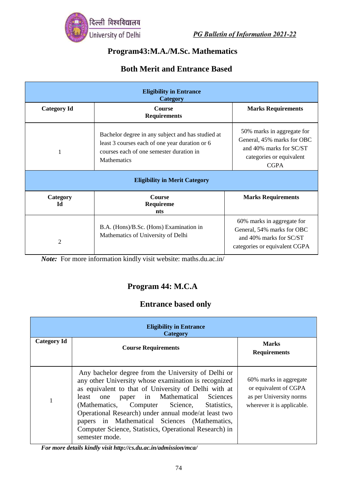

# **Program43:M.A./M.Sc. Mathematics**

## **Both Merit and Entrance Based**

| <b>Eligibility in Entrance</b><br>Category |                                                                                                                                                                       |                                                                                                                                |  |
|--------------------------------------------|-----------------------------------------------------------------------------------------------------------------------------------------------------------------------|--------------------------------------------------------------------------------------------------------------------------------|--|
| <b>Category Id</b>                         | Course<br><b>Requirements</b>                                                                                                                                         | <b>Marks Requirements</b>                                                                                                      |  |
| 1                                          | Bachelor degree in any subject and has studied at<br>least 3 courses each of one year duration or 6<br>courses each of one semester duration in<br><b>Mathematics</b> | 50% marks in aggregate for<br>General, 45% marks for OBC<br>and 40% marks for SC/ST<br>categories or equivalent<br><b>CGPA</b> |  |
| <b>Eligibility in Merit Category</b>       |                                                                                                                                                                       |                                                                                                                                |  |
| Category<br>Ы                              | Course<br>Requireme<br>nts                                                                                                                                            | <b>Marks Requirements</b>                                                                                                      |  |
| $\overline{2}$                             | B.A. (Hons)/B.Sc. (Hons) Examination in<br>Mathematics of University of Delhi                                                                                         | 60% marks in aggregate for<br>General, 54% marks for OBC<br>and 40% marks for SC/ST<br>categories or equivalent CGPA           |  |

*Note:* For more information kindly visit website: maths.du.ac.in/

## **Program 44: M.C.A**

### **Entrance based only**

| <b>Eligibility in Entrance</b><br><b>Category</b> |                                                                                                                                                                                                                                                                                                                                                                                                                                                        |                                                                                                          |
|---------------------------------------------------|--------------------------------------------------------------------------------------------------------------------------------------------------------------------------------------------------------------------------------------------------------------------------------------------------------------------------------------------------------------------------------------------------------------------------------------------------------|----------------------------------------------------------------------------------------------------------|
| <b>Category Id</b>                                | <b>Course Requirements</b>                                                                                                                                                                                                                                                                                                                                                                                                                             | <b>Marks</b><br><b>Requirements</b>                                                                      |
|                                                   | Any bachelor degree from the University of Delhi or<br>any other University whose examination is recognized<br>as equivalent to that of University of Delhi with at<br>least one paper in Mathematical Sciences<br>(Mathematics, Computer Science,<br>Statistics.<br>Operational Research) under annual mode/at least two<br>papers in Mathematical Sciences (Mathematics,<br>Computer Science, Statistics, Operational Research) in<br>semester mode. | 60% marks in aggregate<br>or equivalent of CGPA<br>as per University norms<br>wherever it is applicable. |

*For more details kindly visit<http://cs.du.ac.in/admission/mca/>*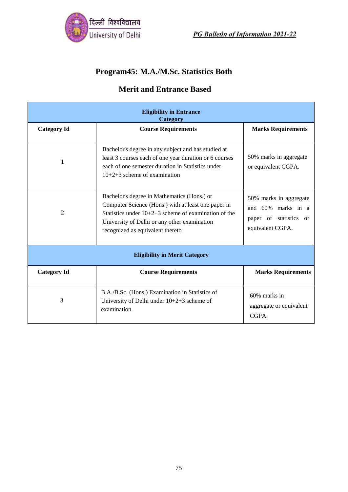

# **Program45: M.A./M.Sc. Statistics Both**

| <b>Eligibility in Entrance</b><br>Category |                                                                                                                                                                                                                                                  |                                                                                            |
|--------------------------------------------|--------------------------------------------------------------------------------------------------------------------------------------------------------------------------------------------------------------------------------------------------|--------------------------------------------------------------------------------------------|
| <b>Category Id</b>                         | <b>Course Requirements</b>                                                                                                                                                                                                                       | <b>Marks Requirements</b>                                                                  |
| 1                                          | Bachelor's degree in any subject and has studied at<br>least 3 courses each of one year duration or 6 courses<br>each of one semester duration in Statistics under<br>$10+2+3$ scheme of examination                                             | 50% marks in aggregate<br>or equivalent CGPA.                                              |
| $\overline{2}$                             | Bachelor's degree in Mathematics (Hons.) or<br>Computer Science (Hons.) with at least one paper in<br>Statistics under $10+2+3$ scheme of examination of the<br>University of Delhi or any other examination<br>recognized as equivalent thereto | 50% marks in aggregate<br>and 60% marks in a<br>paper of statistics or<br>equivalent CGPA. |
| <b>Eligibility in Merit Category</b>       |                                                                                                                                                                                                                                                  |                                                                                            |
| <b>Category Id</b>                         | <b>Course Requirements</b>                                                                                                                                                                                                                       | <b>Marks Requirements</b>                                                                  |
| 3                                          | B.A./B.Sc. (Hons.) Examination in Statistics of<br>University of Delhi under 10+2+3 scheme of<br>examination.                                                                                                                                    | 60% marks in<br>aggregate or equivalent<br>CGPA.                                           |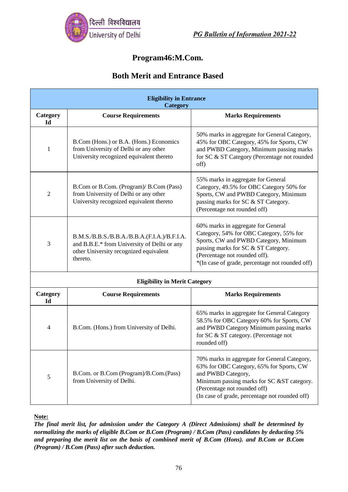

## **Program46:M.Com.**

### **Both Merit and Entrance Based**

| <b>Eligibility in Entrance</b><br>Category |                                                                                                                                                   |                                                                                                                                                                                                                                                   |  |
|--------------------------------------------|---------------------------------------------------------------------------------------------------------------------------------------------------|---------------------------------------------------------------------------------------------------------------------------------------------------------------------------------------------------------------------------------------------------|--|
| Category<br><b>Id</b>                      | <b>Course Requirements</b>                                                                                                                        | <b>Marks Requirements</b>                                                                                                                                                                                                                         |  |
| 1                                          | B.Com (Hons.) or B.A. (Hons.) Economics<br>from University of Delhi or any other<br>University recognized equivalent thereto                      | 50% marks in aggregate for General Category,<br>45% for OBC Category, 45% for Sports, CW<br>and PWBD Category, Minimum passing marks<br>for SC & ST Category (Percentage not rounded<br>off)                                                      |  |
| $\overline{2}$                             | B.Com or B.Com. (Program)/ B.Com (Pass)<br>from University of Delhi or any other<br>University recognized equivalent thereto                      | 55% marks in aggregate for General<br>Category, 49.5% for OBC Category 50% for<br>Sports, CW and PWBD Category, Minimum<br>passing marks for SC & ST Category.<br>(Percentage not rounded off)                                                    |  |
| 3                                          | B.M.S./B.B.S./B.B.A./B.B.A.(F.I.A.)/B.F.I.A.<br>and B.B.E.* from University of Delhi or any<br>other University recognized equivalent<br>thereto. | 60% marks in aggregate for General<br>Category, 54% for OBC Category, 55% for<br>Sports, CW and PWBD Category, Minimum<br>passing marks for SC & ST Category.<br>(Percentage not rounded off).<br>*(In case of grade, percentage not rounded off) |  |
|                                            | <b>Eligibility in Merit Category</b>                                                                                                              |                                                                                                                                                                                                                                                   |  |
| Category<br>Id                             | <b>Course Requirements</b>                                                                                                                        | <b>Marks Requirements</b>                                                                                                                                                                                                                         |  |
| 4                                          | B.Com. (Hons.) from University of Delhi.                                                                                                          | 65% marks in aggregate for General Category<br>58.5% for OBC Category 60% for Sports, CW<br>and PWBD Category Minimum passing marks<br>for SC & ST category. (Percentage not<br>rounded off)                                                      |  |
| $\sqrt{5}$                                 | B.Com. or B.Com (Program)/B.Com.(Pass)<br>from University of Delhi.                                                                               | 70% marks in aggregate for General Category,<br>63% for OBC Category, 65% for Sports, CW<br>and PWBD Category,<br>Minimum passing marks for SC &ST category.<br>(Percentage not rounded off)<br>(In case of grade, percentage not rounded off)    |  |

**Note:**

*The final merit list, for admission under the Category A (Direct Admissions) shall be determined by normalizing the marks of eligible B.Com or B.Com (Program) / B.Com (Pass) candidates by deducting 5% and preparing the merit list on the basis of combined merit of B.Com (Hons). and B.Com or B.Com (Program) / B.Com (Pass) after such deduction.*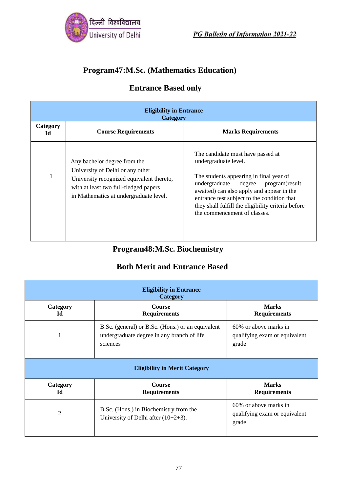

## **Program47:M.Sc. (Mathematics Education)**

## **Entrance Based only**

| <b>Eligibility in Entrance</b><br><b>Category</b> |                                                                                                                                                                                                  |                                                                                                                                                                                                                                                                                                                                  |  |
|---------------------------------------------------|--------------------------------------------------------------------------------------------------------------------------------------------------------------------------------------------------|----------------------------------------------------------------------------------------------------------------------------------------------------------------------------------------------------------------------------------------------------------------------------------------------------------------------------------|--|
| Category<br>Id                                    | <b>Course Requirements</b>                                                                                                                                                                       | <b>Marks Requirements</b>                                                                                                                                                                                                                                                                                                        |  |
|                                                   | Any bachelor degree from the<br>University of Delhi or any other<br>University recognized equivalent thereto,<br>with at least two full-fledged papers<br>in Mathematics at undergraduate level. | The candidate must have passed at<br>undergraduate level.<br>The students appearing in final year of<br>undergraduate<br>degree program(result<br>awaited) can also apply and appear in the<br>entrance test subject to the condition that<br>they shall fulfill the eligibility criteria before<br>the commencement of classes. |  |

# **Program48:M.Sc. Biochemistry**

| <b>Eligibility in Entrance</b><br>Category |                                                                                                             |                                                                 |  |
|--------------------------------------------|-------------------------------------------------------------------------------------------------------------|-----------------------------------------------------------------|--|
| Category<br>Id                             | <b>Course</b><br><b>Requirements</b>                                                                        | <b>Marks</b><br><b>Requirements</b>                             |  |
| 1                                          | B.Sc. (general) or B.Sc. (Hons.) or an equivalent<br>undergraduate degree in any branch of life<br>sciences | 60% or above marks in<br>qualifying exam or equivalent<br>grade |  |
|                                            | <b>Eligibility in Merit Category</b>                                                                        |                                                                 |  |
| Category<br>Id                             | <b>Course</b><br><b>Requirements</b>                                                                        | <b>Marks</b><br><b>Requirements</b>                             |  |
| 2                                          | B.Sc. (Hons.) in Biochemistry from the<br>University of Delhi after $(10+2+3)$ .                            | 60% or above marks in<br>qualifying exam or equivalent<br>grade |  |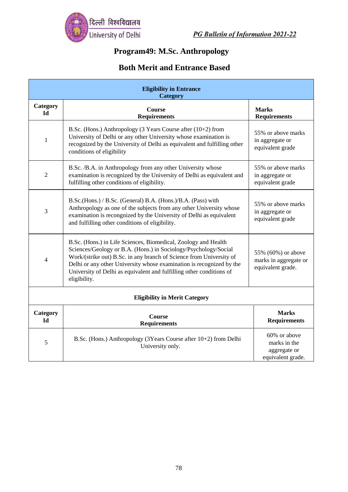

# **Program49: M.Sc. Anthropology**

| <b>Eligibility in Entrance</b><br>Category |                                                                                                                                                                                                                                                                                                                                                                          |                                                                   |  |
|--------------------------------------------|--------------------------------------------------------------------------------------------------------------------------------------------------------------------------------------------------------------------------------------------------------------------------------------------------------------------------------------------------------------------------|-------------------------------------------------------------------|--|
| Category<br>Id                             | Course<br><b>Requirements</b>                                                                                                                                                                                                                                                                                                                                            | <b>Marks</b><br><b>Requirements</b>                               |  |
| 1                                          | B.Sc. (Hons.) Anthropology (3 Years Course after (10+2) from<br>University of Delhi or any other University whose examination is<br>recognized by the University of Delhi as equivalent and fulfilling other<br>conditions of eligibility                                                                                                                                | 55% or above marks<br>in aggregate or<br>equivalent grade         |  |
| $\overline{2}$                             | B.Sc. /B.A. in Anthropology from any other University whose<br>examination is recognized by the University of Delhi as equivalent and<br>fulfilling other conditions of eligibility.                                                                                                                                                                                     | 55% or above marks<br>in aggregate or<br>equivalent grade         |  |
| 3                                          | B.Sc.(Hons.) / B.Sc. (General) B.A. (Hons.)/B.A. (Pass) with<br>Anthropology as one of the subjects from any other University whose<br>examination is recongnized by the University of Delhi as equivalent<br>and fulfilling other conditions of eligibility.                                                                                                            | 55% or above marks<br>in aggregate or<br>equivalent grade         |  |
| 4                                          | B.Sc. (Hons.) in Life Sciences, Biomedical, Zoology and Health<br>Sciences/Geology or B.A. (Hons.) in Sociology/Psychology/Social<br>Work/(strike out) B.Sc. in any branch of Science from University of<br>Delhi or any other University whose examination is recognized by the<br>University of Delhi as equivalent and fulfilling other conditions of<br>eligibility. | 55% (60%) or above<br>marks in aggregate or<br>equivalent grade.  |  |
| <b>Eligibility in Merit Category</b>       |                                                                                                                                                                                                                                                                                                                                                                          |                                                                   |  |
| <b>Category</b><br><b>Id</b>               | Course<br><b>Requirements</b>                                                                                                                                                                                                                                                                                                                                            | <b>Marks</b><br><b>Requirements</b>                               |  |
| 5                                          | B.Sc. (Hons.) Anthropology (3Years Course after 10+2) from Delhi<br>University only.                                                                                                                                                                                                                                                                                     | 60% or above<br>marks in the<br>aggregate or<br>equivalent grade. |  |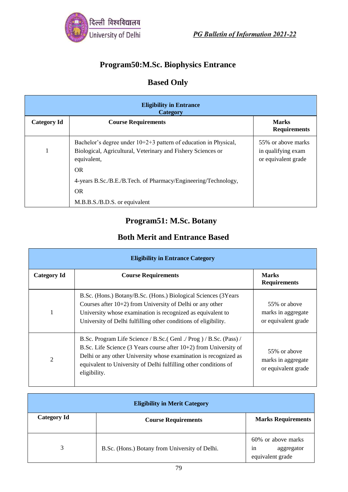

## **Program50:M.Sc. Biophysics Entrance**

# **Based Only**

| <b>Eligibility in Entrance</b><br>Category |                                                                                                                                                   |                                                                 |
|--------------------------------------------|---------------------------------------------------------------------------------------------------------------------------------------------------|-----------------------------------------------------------------|
| <b>Category Id</b>                         | <b>Course Requirements</b>                                                                                                                        | <b>Marks</b><br><b>Requirements</b>                             |
|                                            | Bachelor's degree under $10+2+3$ pattern of education in Physical,<br>Biological, Agricultural, Veterinary and Fishery Sciences or<br>equivalent, | 55% or above marks<br>in qualifying exam<br>or equivalent grade |
|                                            | <b>OR</b><br>4-years B.Sc./B.E./B.Tech. of Pharmacy/Engineering/Technology,<br><b>OR</b><br>M.B.B.S./B.D.S. or equivalent                         |                                                                 |

## **Program51: M.Sc. Botany**

| <b>Eligibility in Entrance Category</b> |                                                                                                                                                                                                                                                                                                     |                                                           |
|-----------------------------------------|-----------------------------------------------------------------------------------------------------------------------------------------------------------------------------------------------------------------------------------------------------------------------------------------------------|-----------------------------------------------------------|
| <b>Category Id</b>                      | <b>Course Requirements</b>                                                                                                                                                                                                                                                                          | <b>Marks</b><br><b>Requirements</b>                       |
| 1                                       | B.Sc. (Hons.) Botany/B.Sc. (Hons.) Biological Sciences (3Years<br>Courses after $10+2$ ) from University of Delhi or any other<br>University whose examination is recognized as equivalent to<br>University of Delhi fulfilling other conditions of eligibility.                                    | 55% or above<br>marks in aggregate<br>or equivalent grade |
| 2                                       | B.Sc. Program Life Science / B.Sc. (Genl. / Prog.) / B.Sc. (Pass) /<br>B.Sc. Life Science (3 Years course after $10+2$ ) from University of<br>Delhi or any other University whose examination is recognized as<br>equivalent to University of Delhi fulfilling other conditions of<br>eligibility. | 55% or above<br>marks in aggregate<br>or equivalent grade |

| <b>Eligibility in Merit Category</b> |                                                |                                                            |  |
|--------------------------------------|------------------------------------------------|------------------------------------------------------------|--|
| <b>Category Id</b>                   | <b>Course Requirements</b>                     | <b>Marks Requirements</b>                                  |  |
| 3                                    | B.Sc. (Hons.) Botany from University of Delhi. | 60% or above marks<br>aggregator<br>1n<br>equivalent grade |  |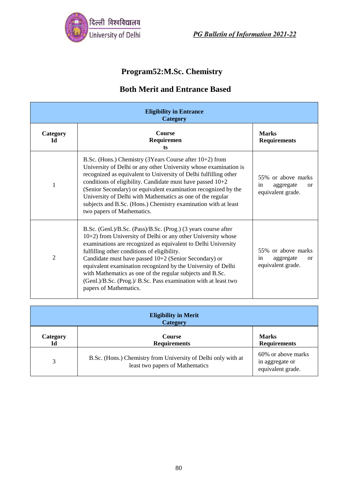

# **Program52:M.Sc. Chemistry**

| <b>Eligibility in Entrance</b><br><b>Category</b> |                                                                                                                                                                                                                                                                                                                                                                                                                                                                                                                                     |                                                                             |  |
|---------------------------------------------------|-------------------------------------------------------------------------------------------------------------------------------------------------------------------------------------------------------------------------------------------------------------------------------------------------------------------------------------------------------------------------------------------------------------------------------------------------------------------------------------------------------------------------------------|-----------------------------------------------------------------------------|--|
| Category<br>Id                                    | <b>Course</b><br>Requiremen<br>ts                                                                                                                                                                                                                                                                                                                                                                                                                                                                                                   | <b>Marks</b><br><b>Requirements</b>                                         |  |
| 1                                                 | B.Sc. (Hons.) Chemistry (3Years Course after 10+2) from<br>University of Delhi or any other University whose examination is<br>recognized as equivalent to University of Delhi fulfilling other<br>conditions of eligibility. Candidate must have passed $10+2$<br>(Senior Secondary) or equivalent examination recognized by the<br>University of Delhi with Mathematics as one of the regular<br>subjects and B.Sc. (Hons.) Chemistry examination with at least<br>two papers of Mathematics.                                     | 55% or above marks<br>in<br>aggregate<br><sub>or</sub><br>equivalent grade. |  |
| 2                                                 | B.Sc. (Genl.)/B.Sc. (Pass)/B.Sc. (Prog.) (3 years course after<br>10+2) from University of Delhi or any other University whose<br>examinations are recognized as equivalent to Delhi University<br>fulfilling other conditions of eligibility.<br>Candidate must have passed $10+2$ (Senior Secondary) or<br>equivalent examination recognized by the University of Delhi<br>with Mathematics as one of the regular subjects and B.Sc.<br>(Genl.)/B.Sc. (Prog.)/ B.Sc. Pass examination with at least two<br>papers of Mathematics. | 55% or above marks<br>aggregate<br>in<br><sub>or</sub><br>equivalent grade. |  |

| <b>Eligibility in Merit</b><br><b>Category</b>                                                |                                                                                                  |                                                            |  |
|-----------------------------------------------------------------------------------------------|--------------------------------------------------------------------------------------------------|------------------------------------------------------------|--|
| <b>Marks</b><br><b>Course</b><br>Category<br><b>Requirements</b><br><b>Requirements</b><br>Id |                                                                                                  |                                                            |  |
| 3                                                                                             | B.Sc. (Hons.) Chemistry from University of Delhi only with at<br>least two papers of Mathematics | 60% or above marks<br>in aggregate or<br>equivalent grade. |  |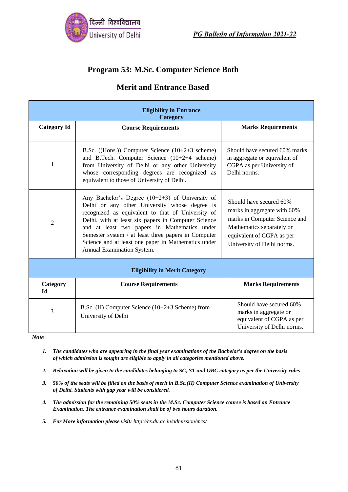

### **Program 53: M.Sc. Computer Science Both**

### **Merit and Entrance Based**

| <b>Eligibility in Entrance</b><br><b>Category</b> |                                                                                                                                                                                                                                                                                                                                                                                                            |                                                                                                                                                                                 |  |
|---------------------------------------------------|------------------------------------------------------------------------------------------------------------------------------------------------------------------------------------------------------------------------------------------------------------------------------------------------------------------------------------------------------------------------------------------------------------|---------------------------------------------------------------------------------------------------------------------------------------------------------------------------------|--|
| <b>Category Id</b>                                | <b>Course Requirements</b>                                                                                                                                                                                                                                                                                                                                                                                 | <b>Marks Requirements</b>                                                                                                                                                       |  |
| 1                                                 | B.Sc. ((Hons.)) Computer Science $(10+2+3$ scheme)<br>and B.Tech. Computer Science (10+2+4 scheme)<br>from University of Delhi or any other University<br>whose corresponding degrees are recognized as<br>equivalent to those of University of Delhi.                                                                                                                                                     | Should have secured 60% marks<br>in aggregate or equivalent of<br>CGPA as per University of<br>Delhi norms.                                                                     |  |
| 2                                                 | Any Bachelor's Degree $(10+2+3)$ of University of<br>Delhi or any other University whose degree is<br>recognized as equivalent to that of University of<br>Delhi, with at least six papers in Computer Science<br>and at least two papers in Mathematics under<br>Semester system / at least three papers in Computer<br>Science and at least one paper in Mathematics under<br>Annual Examination System. | Should have secured 60%<br>marks in aggregate with 60%<br>marks in Computer Science and<br>Mathematics separately or<br>equivalent of CGPA as per<br>University of Delhi norms. |  |
| <b>Eligibility in Merit Category</b>              |                                                                                                                                                                                                                                                                                                                                                                                                            |                                                                                                                                                                                 |  |
| Category<br>Id                                    | <b>Course Requirements</b>                                                                                                                                                                                                                                                                                                                                                                                 | <b>Marks Requirements</b>                                                                                                                                                       |  |
| 3                                                 | B.Sc. (H) Computer Science $(10+2+3)$ Scheme) from<br>University of Delhi                                                                                                                                                                                                                                                                                                                                  | Should have secured 60%<br>marks in aggregate or<br>equivalent of CGPA as per<br>University of Delhi norms.                                                                     |  |

*Note*

- *1. The candidates who are appearing in the final year examinations of the Bachelor's degree on the basis of which admission is sought are eligible to apply in all categories mentioned above.*
- *2. Relaxation will be given to the candidates belonging to SC, ST and OBC category as per the University rules*
- *3. 50% of the seats will be filled on the basis of merit in B.Sc.(H) Computer Science examination of University of Delhi. Students with gap year will be considered.*
- *4. The admission for the remaining 50% seats in the M.Sc. Computer Science course is based on Entrance Examination. The entrance examination shall be of two hours duration.*
- *5. For More information please visit: <http://cs.du.ac.in/admission/mcs/>*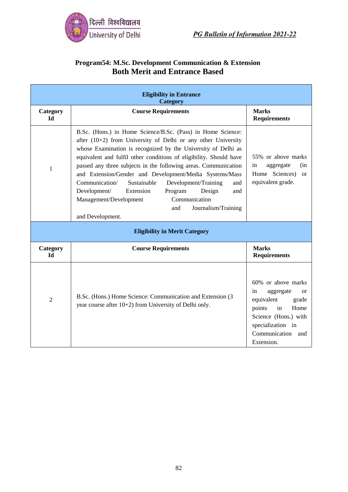

### **Program54: M.Sc. Development Communication & Extension Both Merit and Entrance Based**

| <b>Eligibility in Entrance</b><br>Category |                                                                                                                                                                                                                                                                                                                                                                                                                                                                                                                                                                                                                           |                                                                                                                                                                                     |  |
|--------------------------------------------|---------------------------------------------------------------------------------------------------------------------------------------------------------------------------------------------------------------------------------------------------------------------------------------------------------------------------------------------------------------------------------------------------------------------------------------------------------------------------------------------------------------------------------------------------------------------------------------------------------------------------|-------------------------------------------------------------------------------------------------------------------------------------------------------------------------------------|--|
| Category<br>$Id$                           | <b>Course Requirements</b>                                                                                                                                                                                                                                                                                                                                                                                                                                                                                                                                                                                                | <b>Marks</b><br><b>Requirements</b>                                                                                                                                                 |  |
| 1                                          | B.Sc. (Hons.) in Home Science/B.Sc. (Pass) in Home Science:<br>after $(10+2)$ from University of Delhi or any other University<br>whose Examination is recognized by the University of Delhi as<br>equivalent and fulfil other conditions of eligibility. Should have<br>passed any three subjects in the following areas. Communication<br>and Extension/Gender and Development/Media Systems/Mass<br>Development/Training<br>Communication/<br>Sustainable<br>and<br>Development/<br>Program<br>Extension<br>Design<br>and<br>Communication<br>Management/Development<br>Journalism/Training<br>and<br>and Development. | 55% or above marks<br>in<br>(in<br>aggregate<br>Home Sciences)<br><sub>or</sub><br>equivalent grade.                                                                                |  |
|                                            | <b>Eligibility in Merit Category</b>                                                                                                                                                                                                                                                                                                                                                                                                                                                                                                                                                                                      |                                                                                                                                                                                     |  |
| Category<br><b>Id</b>                      | <b>Course Requirements</b>                                                                                                                                                                                                                                                                                                                                                                                                                                                                                                                                                                                                | <b>Marks</b><br><b>Requirements</b>                                                                                                                                                 |  |
| $\overline{2}$                             | B.Sc. (Hons.) Home Science: Communication and Extension (3<br>year course after 10+2) from University of Delhi only.                                                                                                                                                                                                                                                                                                                                                                                                                                                                                                      | 60% or above marks<br>aggregate<br>in<br>$\alpha$<br>equivalent<br>grade<br>points<br>Home<br>in<br>Science (Hons.) with<br>specialization in<br>Communication<br>and<br>Extension. |  |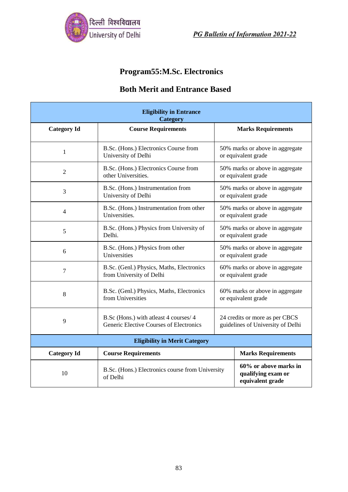

# **Program55:M.Sc. Electronics**

| <b>Eligibility in Entrance</b><br><b>Category</b> |                                                                                    |                                                                     |                                                                 |  |
|---------------------------------------------------|------------------------------------------------------------------------------------|---------------------------------------------------------------------|-----------------------------------------------------------------|--|
| <b>Category Id</b>                                | <b>Course Requirements</b>                                                         |                                                                     | <b>Marks Requirements</b>                                       |  |
| $\mathbf{1}$                                      | B.Sc. (Hons.) Electronics Course from<br>University of Delhi                       | 50% marks or above in aggregate<br>or equivalent grade              |                                                                 |  |
| $\overline{2}$                                    | B.Sc. (Hons.) Electronics Course from<br>other Universities.                       |                                                                     | 50% marks or above in aggregate<br>or equivalent grade          |  |
| 3                                                 | B.Sc. (Hons.) Instrumentation from<br>University of Delhi                          |                                                                     | 50% marks or above in aggregate<br>or equivalent grade          |  |
| 4                                                 | B.Sc. (Hons.) Instrumentation from other<br>Universities.                          | 50% marks or above in aggregate<br>or equivalent grade              |                                                                 |  |
| 5                                                 | B.Sc. (Hons.) Physics from University of<br>Delhi.                                 | 50% marks or above in aggregate<br>or equivalent grade              |                                                                 |  |
| 6                                                 | B.Sc. (Hons.) Physics from other<br>Universities                                   | 50% marks or above in aggregate<br>or equivalent grade              |                                                                 |  |
| $\tau$                                            | B.Sc. (Genl.) Physics, Maths, Electronics<br>from University of Delhi              | 60% marks or above in aggregate<br>or equivalent grade              |                                                                 |  |
| 8                                                 | B.Sc. (Genl.) Physics, Maths, Electronics<br>from Universities                     | 60% marks or above in aggregate<br>or equivalent grade              |                                                                 |  |
| 9                                                 | B.Sc (Hons.) with at least 4 courses/ 4<br>Generic Elective Courses of Electronics | 24 credits or more as per CBCS<br>guidelines of University of Delhi |                                                                 |  |
| <b>Eligibility in Merit Category</b>              |                                                                                    |                                                                     |                                                                 |  |
| <b>Category Id</b>                                | <b>Course Requirements</b>                                                         |                                                                     | <b>Marks Requirements</b>                                       |  |
| 10                                                | B.Sc. (Hons.) Electronics course from University<br>of Delhi                       |                                                                     | 60% or above marks in<br>qualifying exam or<br>equivalent grade |  |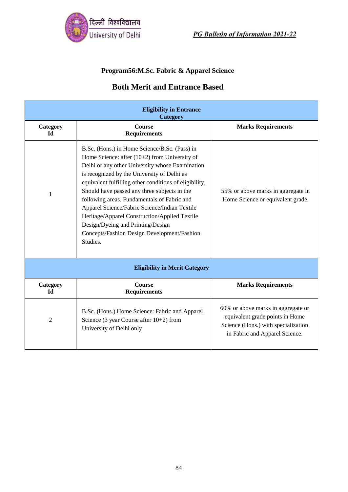

#### **Program56:M.Sc. Fabric & Apparel Science**

| <b>Eligibility in Entrance</b><br><b>Category</b> |                                                                                                                                                                                                                                                                                                                                                                                                                                                                                                                                                               |                                                                                                                                                |  |  |
|---------------------------------------------------|---------------------------------------------------------------------------------------------------------------------------------------------------------------------------------------------------------------------------------------------------------------------------------------------------------------------------------------------------------------------------------------------------------------------------------------------------------------------------------------------------------------------------------------------------------------|------------------------------------------------------------------------------------------------------------------------------------------------|--|--|
| Category<br>Ы                                     | Course<br><b>Requirements</b>                                                                                                                                                                                                                                                                                                                                                                                                                                                                                                                                 | <b>Marks Requirements</b>                                                                                                                      |  |  |
| 1                                                 | B.Sc. (Hons.) in Home Science/B.Sc. (Pass) in<br>Home Science: after $(10+2)$ from University of<br>Delhi or any other University whose Examination<br>is recognized by the University of Delhi as<br>equivalent fulfilling other conditions of eligibility.<br>Should have passed any three subjects in the<br>following areas. Fundamentals of Fabric and<br>Apparel Science/Fabric Science/Indian Textile<br>Heritage/Apparel Construction/Applied Textile<br>Design/Dyeing and Printing/Design<br>Concepts/Fashion Design Development/Fashion<br>Studies. | 55% or above marks in aggregate in<br>Home Science or equivalent grade.                                                                        |  |  |
|                                                   | <b>Eligibility in Merit Category</b>                                                                                                                                                                                                                                                                                                                                                                                                                                                                                                                          |                                                                                                                                                |  |  |
| Category<br>Id                                    | <b>Course</b><br><b>Requirements</b>                                                                                                                                                                                                                                                                                                                                                                                                                                                                                                                          | <b>Marks Requirements</b>                                                                                                                      |  |  |
| 2                                                 | B.Sc. (Hons.) Home Science: Fabric and Apparel<br>Science (3 year Course after $10+2$ ) from<br>University of Delhi only                                                                                                                                                                                                                                                                                                                                                                                                                                      | 60% or above marks in aggregate or<br>equivalent grade points in Home<br>Science (Hons.) with specialization<br>in Fabric and Apparel Science. |  |  |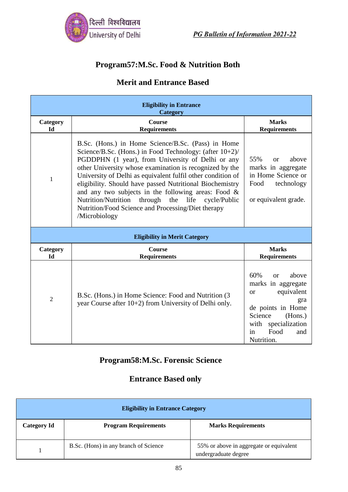

## **Program57:M.Sc. Food & Nutrition Both**

## **Merit and Entrance Based**

| <b>Eligibility in Entrance</b><br><b>Category</b> |                                                                                                                                                                                                                                                                                                                                                                                                                                                                                                                                                         |                                                                                                                                                                                       |  |
|---------------------------------------------------|---------------------------------------------------------------------------------------------------------------------------------------------------------------------------------------------------------------------------------------------------------------------------------------------------------------------------------------------------------------------------------------------------------------------------------------------------------------------------------------------------------------------------------------------------------|---------------------------------------------------------------------------------------------------------------------------------------------------------------------------------------|--|
| Category<br>Id                                    | Course<br><b>Requirements</b>                                                                                                                                                                                                                                                                                                                                                                                                                                                                                                                           | <b>Marks</b><br><b>Requirements</b>                                                                                                                                                   |  |
| $\mathbf{1}$                                      | B.Sc. (Hons.) in Home Science/B.Sc. (Pass) in Home<br>Science/B.Sc. (Hons.) in Food Technology: (after 10+2)/<br>PGDDPHN (1 year), from University of Delhi or any<br>other University whose examination is recognized by the<br>University of Delhi as equivalent fulfil other condition of<br>eligibility. Should have passed Nutritional Biochemistry<br>and any two subjects in the following areas: Food $\&$<br>through<br>Nutrition/Nutrition<br>the life<br>cycle/Public<br>Nutrition/Food Science and Processing/Diet therapy<br>/Microbiology | 55%<br>above<br>$\alpha$<br>marks in aggregate<br>in Home Science or<br>Food<br>technology<br>or equivalent grade.                                                                    |  |
|                                                   | <b>Eligibility in Merit Category</b>                                                                                                                                                                                                                                                                                                                                                                                                                                                                                                                    |                                                                                                                                                                                       |  |
| Category<br>Id                                    | Course<br><b>Requirements</b>                                                                                                                                                                                                                                                                                                                                                                                                                                                                                                                           | <b>Marks</b><br><b>Requirements</b>                                                                                                                                                   |  |
| $\overline{2}$                                    | B.Sc. (Hons.) in Home Science: Food and Nutrition (3)<br>year Course after 10+2) from University of Delhi only.                                                                                                                                                                                                                                                                                                                                                                                                                                         | 60%<br>above<br>$\alpha$<br>marks in aggregate<br>equivalent<br><b>or</b><br>gra<br>de points in Home<br>Science<br>(Hons.)<br>with specialization<br>Food<br>in<br>and<br>Nutrition. |  |

## **Program58:M.Sc. Forensic Science**

## **Entrance Based only**

| <b>Eligibility in Entrance Category</b> |                                       |                                                                 |  |
|-----------------------------------------|---------------------------------------|-----------------------------------------------------------------|--|
| <b>Category Id</b>                      | <b>Program Requirements</b>           | <b>Marks Requirements</b>                                       |  |
|                                         | B.Sc. (Hons) in any branch of Science | 55% or above in aggregate or equivalent<br>undergraduate degree |  |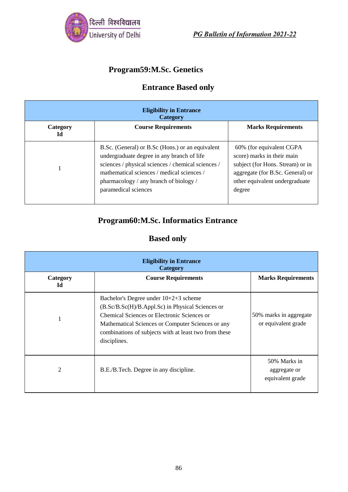

# **Program59:M.Sc. Genetics**

## **Entrance Based only**

| <b>Eligibility in Entrance</b><br><b>Category</b> |                                                                                                                                                                                                                                                                      |                                                                                                                                                                            |  |  |
|---------------------------------------------------|----------------------------------------------------------------------------------------------------------------------------------------------------------------------------------------------------------------------------------------------------------------------|----------------------------------------------------------------------------------------------------------------------------------------------------------------------------|--|--|
| Category<br>Id                                    | <b>Course Requirements</b>                                                                                                                                                                                                                                           | <b>Marks Requirements</b>                                                                                                                                                  |  |  |
|                                                   | B.Sc. (General) or B.Sc (Hons.) or an equivalent<br>undergraduate degree in any branch of life<br>sciences / physical sciences / chemical sciences /<br>mathematical sciences / medical sciences /<br>pharmacology / any branch of biology /<br>paramedical sciences | 60% (for equivalent CGPA<br>score) marks in their main<br>subject (for Hons. Stream) or in<br>aggregate (for B.Sc. General) or<br>other equivalent undergraduate<br>degree |  |  |

## **Program60:M.Sc. Informatics Entrance**

## **Based only**

| <b>Eligibility in Entrance</b><br>Category |                                                                                                                                                                                                                                                                        |                                                  |  |
|--------------------------------------------|------------------------------------------------------------------------------------------------------------------------------------------------------------------------------------------------------------------------------------------------------------------------|--------------------------------------------------|--|
| Category<br>Id                             | <b>Course Requirements</b>                                                                                                                                                                                                                                             | <b>Marks Requirements</b>                        |  |
|                                            | Bachelor's Degree under 10+2+3 scheme<br>(B.Sc/B.Sc(H)/B.Appl.Sc) in Physical Sciences or<br>Chemical Sciences or Electronic Sciences or<br>Mathematical Sciences or Computer Sciences or any<br>combinations of subjects with at least two from these<br>disciplines. | 50% marks in aggregate<br>or equivalent grade    |  |
| 2                                          | B.E./B.Tech. Degree in any discipline.                                                                                                                                                                                                                                 | 50% Marks in<br>aggregate or<br>equivalent grade |  |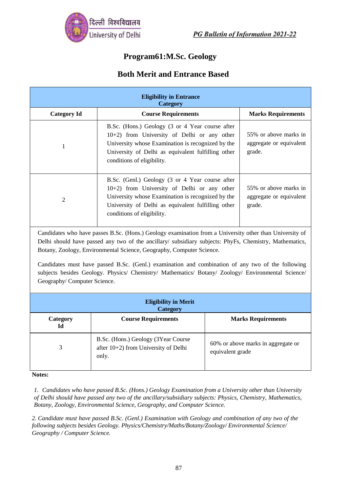

## **Program61:M.Sc. Geology**

## **Both Merit and Entrance Based**

| <b>Eligibility in Entrance</b><br><b>Category</b>                                                                                                                                                                                                                                                                                                                                                                                                                                                                                   |                                                                                                                                                                                                                                                                                                       |                           |                                                            |  |
|-------------------------------------------------------------------------------------------------------------------------------------------------------------------------------------------------------------------------------------------------------------------------------------------------------------------------------------------------------------------------------------------------------------------------------------------------------------------------------------------------------------------------------------|-------------------------------------------------------------------------------------------------------------------------------------------------------------------------------------------------------------------------------------------------------------------------------------------------------|---------------------------|------------------------------------------------------------|--|
| <b>Category Id</b>                                                                                                                                                                                                                                                                                                                                                                                                                                                                                                                  | <b>Course Requirements</b>                                                                                                                                                                                                                                                                            |                           | <b>Marks Requirements</b>                                  |  |
| 1                                                                                                                                                                                                                                                                                                                                                                                                                                                                                                                                   | B.Sc. (Hons.) Geology (3 or 4 Year course after<br>10+2) from University of Delhi or any other<br>University whose Examination is recognized by the<br>University of Delhi as equivalent fulfilling other<br>conditions of eligibility.                                                               |                           | 55% or above marks in<br>aggregate or equivalent<br>grade. |  |
| $\overline{2}$                                                                                                                                                                                                                                                                                                                                                                                                                                                                                                                      | B.Sc. (Genl.) Geology (3 or 4 Year course after<br>55% or above marks in<br>10+2) from University of Delhi or any other<br>University whose Examination is recognized by the<br>aggregate or equivalent<br>University of Delhi as equivalent fulfilling other<br>grade.<br>conditions of eligibility. |                           |                                                            |  |
| Candidates who have passes B.Sc. (Hons.) Geology examination from a University other than University of<br>Delhi should have passed any two of the ancillary/ subsidiary subjects: PhyFs, Chemistry, Mathematics,<br>Botany, Zoology, Environmental Science, Geography, Computer Science.<br>Candidates must have passed B.Sc. (Genl.) examination and combination of any two of the following<br>subjects besides Geology. Physics/ Chemistry/ Mathematics/ Botany/ Zoology/ Environmental Science/<br>Geography/Computer Science. |                                                                                                                                                                                                                                                                                                       |                           |                                                            |  |
| <b>Eligibility in Merit</b><br>Category                                                                                                                                                                                                                                                                                                                                                                                                                                                                                             |                                                                                                                                                                                                                                                                                                       |                           |                                                            |  |
| Category<br>Id                                                                                                                                                                                                                                                                                                                                                                                                                                                                                                                      | <b>Course Requirements</b>                                                                                                                                                                                                                                                                            | <b>Marks Requirements</b> |                                                            |  |
| 3                                                                                                                                                                                                                                                                                                                                                                                                                                                                                                                                   | B.Sc. (Hons.) Geology (3Year Course<br>after 10+2) from University of Delhi<br>only.                                                                                                                                                                                                                  | equivalent grade          | 60% or above marks in aggregate or                         |  |

**Notes:**

*1. Candidates who have passed B.Sc. (Hons.) Geology Examination from a University other than University of Delhi should have passed any two of the ancillary/subsidiary subjects: Physics, Chemistry, Mathematics, Botany, Zoology, Environmental Science, Geography, and Computer Science.*

*2. Candidate must have passed B.Sc. (Genl.) Examination with Geology and combination of any two of the following subjects besides Geology. Physics/Chemistry/Maths/Botany/Zoology/ Environmental Science/ Geography / Computer Science.*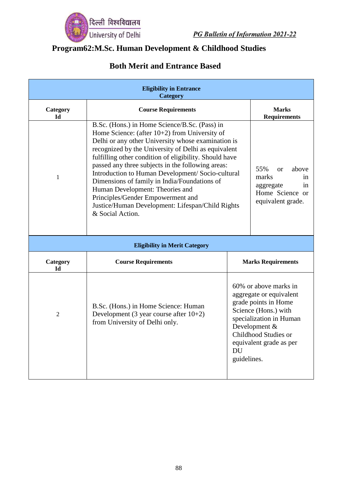

# **Program62:M.Sc. Human Development & Childhood Studies**

| <b>Eligibility in Entrance</b><br><b>Category</b> |                                                                                                                                                                                                                                                                                                                                                                                                                                                                                                                                                                                    |                          |                                                                                                                                                                                                        |
|---------------------------------------------------|------------------------------------------------------------------------------------------------------------------------------------------------------------------------------------------------------------------------------------------------------------------------------------------------------------------------------------------------------------------------------------------------------------------------------------------------------------------------------------------------------------------------------------------------------------------------------------|--------------------------|--------------------------------------------------------------------------------------------------------------------------------------------------------------------------------------------------------|
| Category<br>Id                                    | <b>Course Requirements</b>                                                                                                                                                                                                                                                                                                                                                                                                                                                                                                                                                         |                          | <b>Marks</b><br><b>Requirements</b>                                                                                                                                                                    |
| 1                                                 | B.Sc. (Hons.) in Home Science/B.Sc. (Pass) in<br>Home Science: (after $10+2$ ) from University of<br>Delhi or any other University whose examination is<br>recognized by the University of Delhi as equivalent<br>fulfilling other condition of eligibility. Should have<br>passed any three subjects in the following areas:<br>Introduction to Human Development/ Socio-cultural<br>Dimensions of family in India/Foundations of<br>Human Development: Theories and<br>Principles/Gender Empowerment and<br>Justice/Human Development: Lifespan/Child Rights<br>& Social Action. |                          | 55%<br>above<br>$\alpha$<br>marks<br>in<br>in<br>aggregate<br>Home Science or<br>equivalent grade.                                                                                                     |
|                                                   | <b>Eligibility in Merit Category</b>                                                                                                                                                                                                                                                                                                                                                                                                                                                                                                                                               |                          |                                                                                                                                                                                                        |
| Category<br><b>Id</b>                             | <b>Course Requirements</b>                                                                                                                                                                                                                                                                                                                                                                                                                                                                                                                                                         |                          | <b>Marks Requirements</b>                                                                                                                                                                              |
| $\overline{2}$                                    | B.Sc. (Hons.) in Home Science: Human<br>Development (3 year course after $10+2$ )<br>from University of Delhi only.                                                                                                                                                                                                                                                                                                                                                                                                                                                                | <b>DU</b><br>guidelines. | 60% or above marks in<br>aggregate or equivalent<br>grade points in Home<br>Science (Hons.) with<br>specialization in Human<br>Development &<br><b>Childhood Studies or</b><br>equivalent grade as per |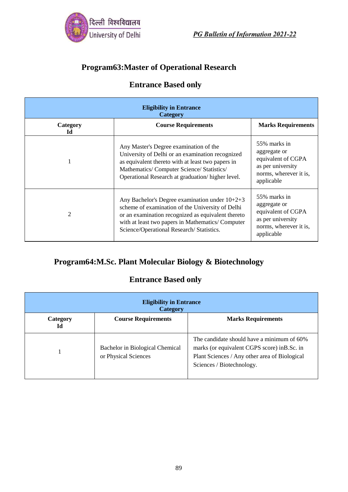

## **Program63:Master of Operational Research**

## **Entrance Based only**

| <b>Eligibility in Entrance</b><br><b>Category</b> |                                                                                                                                                                                                                                                             |                                                                                                                 |  |
|---------------------------------------------------|-------------------------------------------------------------------------------------------------------------------------------------------------------------------------------------------------------------------------------------------------------------|-----------------------------------------------------------------------------------------------------------------|--|
| Category<br>Ы                                     | <b>Course Requirements</b>                                                                                                                                                                                                                                  | <b>Marks Requirements</b>                                                                                       |  |
|                                                   | Any Master's Degree examination of the<br>University of Delhi or an examination recognized<br>as equivalent thereto with at least two papers in<br>Mathematics/Computer Science/Statistics/<br>Operational Research at graduation/higher level.             | 55% marks in<br>aggregate or<br>equivalent of CGPA<br>as per university<br>norms, wherever it is,<br>applicable |  |
| $\mathfrak{D}$                                    | Any Bachelor's Degree examination under $10+2+3$<br>scheme of examination of the University of Delhi<br>or an examination recognized as equivalent thereto<br>with at least two papers in Mathematics/Computer<br>Science/Operational Research/ Statistics. | 55% marks in<br>aggregate or<br>equivalent of CGPA<br>as per university<br>norms, wherever it is,<br>applicable |  |

## **Program64:M.Sc. Plant Molecular Biology & Biotechnology**

## **Entrance Based only**

| <b>Eligibility in Entrance</b><br><b>Category</b> |                                                         |                                                                                                                                                                          |  |
|---------------------------------------------------|---------------------------------------------------------|--------------------------------------------------------------------------------------------------------------------------------------------------------------------------|--|
| Category<br>Id                                    | <b>Course Requirements</b>                              | <b>Marks Requirements</b>                                                                                                                                                |  |
|                                                   | Bachelor in Biological Chemical<br>or Physical Sciences | The candidate should have a minimum of 60%<br>marks (or equivalent CGPS score) in B.Sc. in<br>Plant Sciences / Any other area of Biological<br>Sciences / Biotechnology. |  |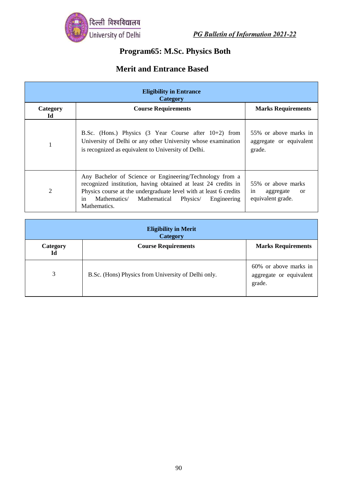

# **Program65: M.Sc. Physics Both**

| <b>Eligibility in Entrance</b><br><b>Category</b> |                                                                                                                                                                                                                                                                               |                                                                             |
|---------------------------------------------------|-------------------------------------------------------------------------------------------------------------------------------------------------------------------------------------------------------------------------------------------------------------------------------|-----------------------------------------------------------------------------|
| Category<br>Ы                                     | <b>Course Requirements</b>                                                                                                                                                                                                                                                    | <b>Marks Requirements</b>                                                   |
| $\mathbf{1}$                                      | B.Sc. (Hons.) Physics $(3 \text{ Year Course after } 10+2)$ from<br>University of Delhi or any other University whose examination<br>is recognized as equivalent to University of Delhi.                                                                                      | 55% or above marks in<br>aggregate or equivalent<br>grade.                  |
| $\overline{2}$                                    | Any Bachelor of Science or Engineering/Technology from a<br>recognized institution, having obtained at least 24 credits in<br>Physics course at the undergraduate level with at least 6 credits<br>Mathematics/ Mathematical<br>Engineering<br>Physics/<br>in<br>Mathematics. | 55% or above marks<br>aggregate<br>in<br><sub>or</sub><br>equivalent grade. |

| <b>Eligibility in Merit</b><br><b>Category</b> |                                                     |                                                            |
|------------------------------------------------|-----------------------------------------------------|------------------------------------------------------------|
| Category<br>Id                                 | <b>Course Requirements</b>                          | <b>Marks Requirements</b>                                  |
| 3                                              | B.Sc. (Hons) Physics from University of Delhi only. | 60% or above marks in<br>aggregate or equivalent<br>grade. |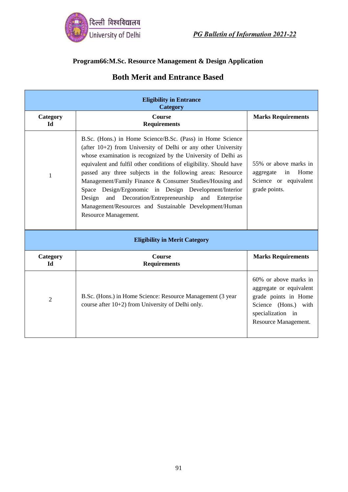

#### **Program66:M.Sc. Resource Management & Design Application**

| <b>Eligibility in Entrance</b><br><b>Category</b> |                                                                                                                                                                                                                                                                                                                                                                                                                                                                                                                                                                                                        |                                                                                                                                               |
|---------------------------------------------------|--------------------------------------------------------------------------------------------------------------------------------------------------------------------------------------------------------------------------------------------------------------------------------------------------------------------------------------------------------------------------------------------------------------------------------------------------------------------------------------------------------------------------------------------------------------------------------------------------------|-----------------------------------------------------------------------------------------------------------------------------------------------|
| Category<br>ЫI                                    | <b>Course</b><br><b>Requirements</b>                                                                                                                                                                                                                                                                                                                                                                                                                                                                                                                                                                   | <b>Marks Requirements</b>                                                                                                                     |
| 1                                                 | B.Sc. (Hons.) in Home Science/B.Sc. (Pass) in Home Science<br>(after $10+2$ ) from University of Delhi or any other University<br>whose examination is recognized by the University of Delhi as<br>equivalent and fulfil other conditions of eligibility. Should have<br>passed any three subjects in the following areas: Resource<br>Management/Family Finance & Consumer Studies/Housing and<br>Space Design/Ergonomic in Design Development/Interior<br>and Decoration/Entrepreneurship and Enterprise<br>Design<br>Management/Resources and Sustainable Development/Human<br>Resource Management. | 55% or above marks in<br>Home<br>in<br>aggregate<br>Science or equivalent<br>grade points.                                                    |
|                                                   | <b>Eligibility in Merit Category</b>                                                                                                                                                                                                                                                                                                                                                                                                                                                                                                                                                                   |                                                                                                                                               |
| Category<br>Id                                    | Course<br><b>Requirements</b>                                                                                                                                                                                                                                                                                                                                                                                                                                                                                                                                                                          | <b>Marks Requirements</b>                                                                                                                     |
| $\overline{2}$                                    | B.Sc. (Hons.) in Home Science: Resource Management (3 year<br>course after 10+2) from University of Delhi only.                                                                                                                                                                                                                                                                                                                                                                                                                                                                                        | 60% or above marks in<br>aggregate or equivalent<br>grade points in Home<br>Science (Hons.) with<br>specialization in<br>Resource Management. |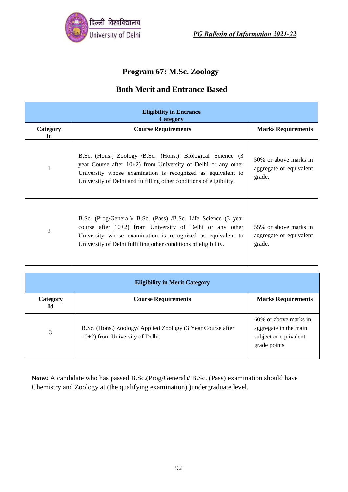

## **Program 67: M.Sc. Zoology**

## **Both Merit and Entrance Based**

| <b>Eligibility in Entrance</b><br>Category |                                                                                                                                                                                                                                                                      |                                                            |
|--------------------------------------------|----------------------------------------------------------------------------------------------------------------------------------------------------------------------------------------------------------------------------------------------------------------------|------------------------------------------------------------|
| Category<br>Id                             | <b>Course Requirements</b>                                                                                                                                                                                                                                           | <b>Marks Requirements</b>                                  |
| 1                                          | B.Sc. (Hons.) Zoology /B.Sc. (Hons.) Biological Science (3<br>year Course after $10+2$ ) from University of Delhi or any other<br>University whose examination is recognized as equivalent to<br>University of Delhi and fulfilling other conditions of eligibility. | 50% or above marks in<br>aggregate or equivalent<br>grade. |
| 2                                          | B.Sc. (Prog/General)/ B.Sc. (Pass) /B.Sc. Life Science (3 year<br>course after $10+2$ ) from University of Delhi or any other<br>University whose examination is recognized as equivalent to<br>University of Delhi fulfilling other conditions of eligibility.      | 55% or above marks in<br>aggregate or equivalent<br>grade. |

| <b>Eligibility in Merit Category</b> |                                                                                                |                                                                                         |
|--------------------------------------|------------------------------------------------------------------------------------------------|-----------------------------------------------------------------------------------------|
| Category<br>Id                       | <b>Course Requirements</b>                                                                     | <b>Marks Requirements</b>                                                               |
| 3                                    | B.Sc. (Hons.) Zoology/ Applied Zoology (3 Year Course after<br>10+2) from University of Delhi. | 60% or above marks in<br>aggregate in the main<br>subject or equivalent<br>grade points |

**Notes:** A candidate who has passed B.Sc.(Prog/General)/ B.Sc. (Pass) examination should have Chemistry and Zoology at (the qualifying examination) )undergraduate level.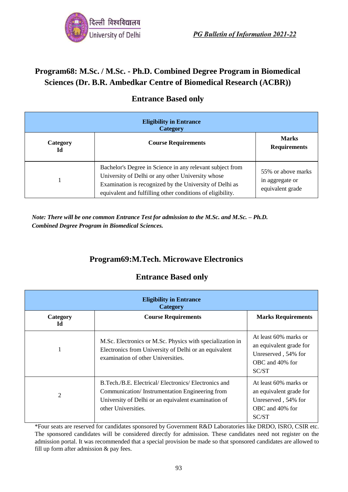

## **Program68: M.Sc. / M.Sc. - Ph.D. Combined Degree Program in Biomedical Sciences (Dr. B.R. Ambedkar Centre of Biomedical Research (ACBR))**

| <b>Eligibility in Entrance</b><br><b>Category</b> |                                                                                                                                                                                                                                         |                                                           |
|---------------------------------------------------|-----------------------------------------------------------------------------------------------------------------------------------------------------------------------------------------------------------------------------------------|-----------------------------------------------------------|
| Category<br>Id                                    | <b>Course Requirements</b>                                                                                                                                                                                                              | <b>Marks</b><br><b>Requirements</b>                       |
|                                                   | Bachelor's Degree in Science in any relevant subject from<br>University of Delhi or any other University whose<br>Examination is recognized by the University of Delhi as<br>equivalent and fulfilling other conditions of eligibility. | 55% or above marks<br>in aggregate or<br>equivalent grade |

### **Entrance Based only**

*Note: There will be one common Entrance Test for admission to the M.Sc. and M.Sc. – Ph.D. Combined Degree Program in Biomedical Sciences.*

## **Program69:M.Tech. Microwave Electronics**

### **Entrance Based only**

| <b>Eligibility in Entrance</b><br>Category |                                                                                                                                                                                     |                                                                                                     |
|--------------------------------------------|-------------------------------------------------------------------------------------------------------------------------------------------------------------------------------------|-----------------------------------------------------------------------------------------------------|
| Category<br>Id                             | <b>Course Requirements</b>                                                                                                                                                          | <b>Marks Requirements</b>                                                                           |
|                                            | M.Sc. Electronics or M.Sc. Physics with specialization in<br>Electronics from University of Delhi or an equivalent<br>examination of other Universities.                            | At least 60% marks or<br>an equivalent grade for<br>Unreserved, 54% for<br>OBC and 40% for<br>SC/ST |
| 2                                          | B.Tech./B.E. Electrical/Electronics/Electronics and<br>Communication/Instrumentation Engineering from<br>University of Delhi or an equivalent examination of<br>other Universities. | At least 60% marks or<br>an equivalent grade for<br>Unreserved, 54% for<br>OBC and 40% for<br>SC/ST |

\*Four seats are reserved for candidates sponsored by Government R&D Laboratories like DRDO, ISRO, CSIR etc. The sponsored candidates will be considered directly for admission. These candidates need not register on the admission portal. It was recommended that a special provision be made so that sponsored candidates are allowed to fill up form after admission & pay fees.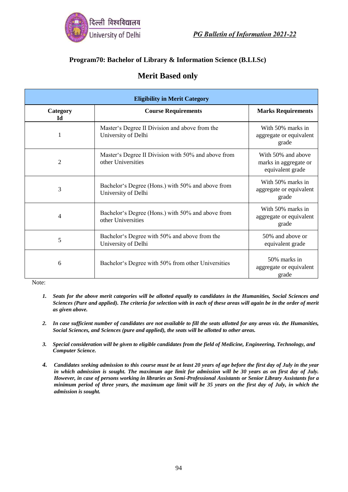

#### **Program70: Bachelor of Library & Information Science (B.LI.Sc)**

### **Merit Based only**

| <b>Eligibility in Merit Category</b> |                                                                           |                                                                 |
|--------------------------------------|---------------------------------------------------------------------------|-----------------------------------------------------------------|
| Category<br>Ы                        | <b>Course Requirements</b>                                                | <b>Marks Requirements</b>                                       |
|                                      | Master's Degree II Division and above from the<br>University of Delhi     | With 50% marks in<br>aggregate or equivalent<br>grade           |
| 2                                    | Master's Degree II Division with 50% and above from<br>other Universities | With 50% and above<br>marks in aggregate or<br>equivalent grade |
| 3                                    | Bachelor's Degree (Hons.) with 50% and above from<br>University of Delhi  | With 50% marks in<br>aggregate or equivalent<br>grade           |
| $\overline{4}$                       | Bachelor's Degree (Hons.) with 50% and above from<br>other Universities   | With 50% marks in<br>aggregate or equivalent<br>grade           |
| 5                                    | Bachelor's Degree with 50% and above from the<br>University of Delhi      | 50% and above or<br>equivalent grade                            |
| 6                                    | Bachelor's Degree with 50% from other Universities                        | 50% marks in<br>aggregate or equivalent<br>grade                |

Note:

- *1. Seats for the above merit categories will be allotted equally to candidates in the Humanities, Social Sciences and Sciences (Pure and applied). The criteria for selection with in each of these areas will again be in the order of merit as given above.*
- *2. In case sufficient number of candidates are not available to fill the seats allotted for any areas viz. the Humanities, Social Sciences, and Sciences (pure and applied), the seats will be allotted to other areas.*
- *3. Special consideration will be given to eligible candidates from the field of Medicine, Engineering, Technology, and Computer Science.*
- *4. Candidates seeking admission to this course must be at least 20 years of age before the first day of July in the year in which admission is sought. The maximum age limit for admission will be 30 years as on first day of July. However, in case of persons working in libraries as Semi-Professional Assistants or Senior Library Assistants for a minimum period of three years, the maximum age limit will be 35 years on the first day of July, in which the admission is sought.*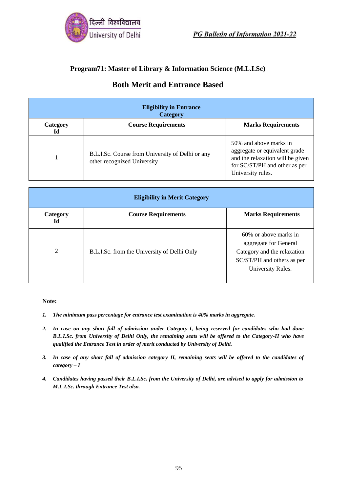

#### **Program71: Master of Library & Information Science (M.L.I.Sc)**

### **Both Merit and Entrance Based**

| <b>Eligibility in Entrance</b><br>Category |                                                                                 |                                                                                                                                                   |
|--------------------------------------------|---------------------------------------------------------------------------------|---------------------------------------------------------------------------------------------------------------------------------------------------|
| Category<br>Id                             | <b>Course Requirements</b>                                                      | <b>Marks Requirements</b>                                                                                                                         |
|                                            | B.L.I.Sc. Course from University of Delhi or any<br>other recognized University | 50% and above marks in<br>aggregate or equivalent grade<br>and the relaxation will be given<br>for SC/ST/PH and other as per<br>University rules. |

| <b>Eligibility in Merit Category</b> |                                             |                                                                                                                                  |
|--------------------------------------|---------------------------------------------|----------------------------------------------------------------------------------------------------------------------------------|
| Category<br>Id                       | <b>Course Requirements</b>                  | <b>Marks Requirements</b>                                                                                                        |
| 2                                    | B.L.I.Sc. from the University of Delhi Only | 60% or above marks in<br>aggregate for General<br>Category and the relaxation<br>SC/ST/PH and others as per<br>University Rules. |

#### **Note:**

- *1. The minimum pass percentage for entrance test examination is 40% marks in aggregate.*
- *2. In case on any short fall of admission under Category-I, being reserved for candidates who had done B.L.I.Sc. from University of Delhi Only, the remaining seats will be offered to the Category-II who have qualified the Entrance Test in order of merit conducted by University of Delhi.*
- *3. In case of any short fall of admission category II, remaining seats will be offered to the candidates of category – I*
- *4. Candidates having passed their B.L.I.Sc. from the University of Delhi, are advised to apply for admission to M.L.I.Sc. through Entrance Test also.*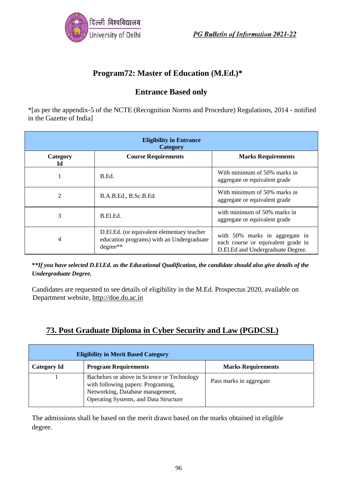

## **Program72: Master of Education (M.Ed.)\***

### **Entrance Based only**

\*[as per the appendix-5 of the NCTE (Recognition Norms and Procedure) Regulations, 2014 - notified in the Gazette of India]

| <b>Eligibility in Entrance</b><br>Category |                                                                                                     |                                                                                                           |
|--------------------------------------------|-----------------------------------------------------------------------------------------------------|-----------------------------------------------------------------------------------------------------------|
| Category<br>Id                             | <b>Course Requirements</b>                                                                          | <b>Marks Requirements</b>                                                                                 |
|                                            | B.Ed.                                                                                               | With minimum of 50% marks in<br>aggregate or equivalent grade                                             |
| 2                                          | B.A.B.Ed., B.Sc.B.Ed.                                                                               | With minimum of 50% marks in<br>aggregate or equivalent grade                                             |
| 3                                          | B.El.Ed.                                                                                            | with minimum of 50% marks in<br>aggregate or equivalent grade                                             |
| 4                                          | D.El.Ed. (or equivalent elementary teacher<br>education programs) with an Undergraduate<br>degree** | with 50% marks in aggregate in<br>each course or equivalent grade in<br>D.El.Ed and Undergraduate Degree. |

**\****\*If you have selected D.El.Ed. as the Educational Qualification, the candidate should also give details of the Undergraduate Degree.*

Candidates are requested to see details of eligibility in the M.Ed. Prospectus 2020, available on Department website, [http://doe.du.ac.in](http://doe.du.ac.in/)

## **73. Post Graduate Diploma in Cyber Security and Law (PGDCSL)**

| <b>Eligibility in Merit Based Category</b> |                                                                                                                                                                |                           |
|--------------------------------------------|----------------------------------------------------------------------------------------------------------------------------------------------------------------|---------------------------|
| <b>Category Id</b>                         | <b>Program Requirements</b>                                                                                                                                    | <b>Marks Requirements</b> |
|                                            | Bachelors or above in Science or Technology<br>with following papers: Programing,<br>Networking, Database management,<br>Operating Systems, and Data Structure | Pass marks in aggregate   |

The admissions shall be based on the merit drawn based on the marks obtained in eligible degree.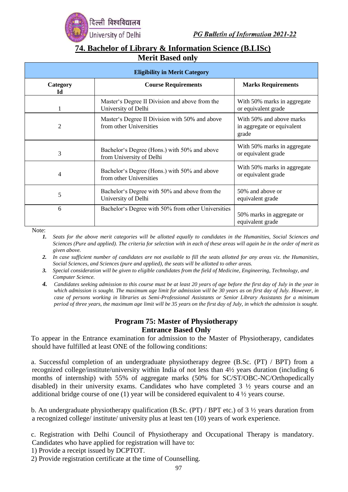

### **74. Bachelor of Library & Information Science (B.LISc) Merit Based only**

| <b>Eligibility in Merit Category</b> |                                                                           |                                                                 |
|--------------------------------------|---------------------------------------------------------------------------|-----------------------------------------------------------------|
| Category<br>Id                       | <b>Course Requirements</b>                                                | <b>Marks Requirements</b>                                       |
| 1                                    | Master's Degree II Division and above from the<br>University of Delhi     | With 50% marks in aggregate<br>or equivalent grade              |
| $\overline{2}$                       | Master's Degree II Division with 50% and above<br>from other Universities | With 50% and above marks<br>in aggregate or equivalent<br>grade |
| 3                                    | Bachelor's Degree (Hons.) with 50% and above<br>from University of Delhi  | With 50% marks in aggregate<br>or equivalent grade              |
| 4                                    | Bachelor's Degree (Hons.) with 50% and above<br>from other Universities   | With 50% marks in aggregate<br>or equivalent grade              |
| 5                                    | Bachelor's Degree with 50% and above from the<br>University of Delhi      | 50% and above or<br>equivalent grade                            |
| 6                                    | Bachelor's Degree with 50% from other Universities                        | 50% marks in aggregate or<br>equivalent grade                   |

Note:

- *1. Seats for the above merit categories will be allotted equally to candidates in the Humanities, Social Sciences and Sciences (Pure and applied). The criteria for selection with in each of these areas will again be in the order of merit as given above.*
- *2. In case sufficient number of candidates are not available to fill the seats allotted for any areas viz. the Humanities, Social Sciences, and Sciences (pure and applied), the seats will be allotted to other areas.*
- *3. Special consideration will be given to eligible candidates from the field of Medicine, Engineering, Technology, and Computer Science.*
- *4. Candidates seeking admission to this course must be at least 20 years of age before the first day of July in the year in which admission is sought. The maximum age limit for admission will be 30 years as on first day of July. However, in case of persons working in libraries as Semi-Professional Assistants or Senior Library Assistants for a minimum period of three years, the maximum age limit will be 35 years on the first day of July, in which the admission is sought.*

#### **Program 75: Master of Physiotherapy Entrance Based Only**

To appear in the Entrance examination for admission to the Master of Physiotherapy, candidates should have fulfilled at least ONE of the following conditions:

a. Successful completion of an undergraduate physiotherapy degree (B.Sc. (PT) / BPT) from a recognized college/institute/university within India of not less than 4½ years duration (including 6 months of internship) with 55% of aggregate marks (50% for SC/ST/OBC-NC/Orthopedically disabled) in their university exams. Candidates who have completed 3 ½ years course and an additional bridge course of one (1) year will be considered equivalent to 4 ½ years course.

b. An undergraduate physiotherapy qualification (B.Sc. (PT) / BPT etc.) of 3 ½ years duration from a recognized college/ institute/ university plus at least ten (10) years of work experience.

c. Registration with Delhi Council of Physiotherapy and Occupational Therapy is mandatory. Candidates who have applied for registration will have to:

1) Provide a receipt issued by DCPTOT.

2) Provide registration certificate at the time of Counselling.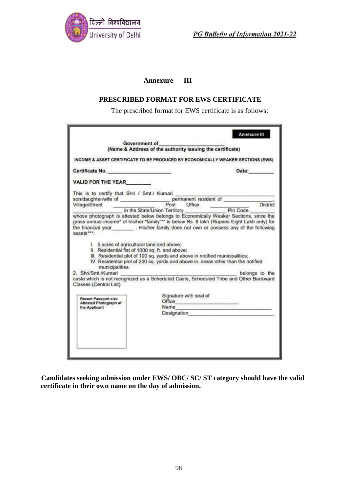

#### **Annexure — III**

#### **PRESCRIBED FORMAT FOR EWS CERTIFICATE**

The prescribed format for EWS certificate is as follows:

|                                                                                                                                                                                                | Government of                                                                                                         |                                              |
|------------------------------------------------------------------------------------------------------------------------------------------------------------------------------------------------|-----------------------------------------------------------------------------------------------------------------------|----------------------------------------------|
|                                                                                                                                                                                                | (Name & Address of the authority issuing the certificate)                                                             |                                              |
|                                                                                                                                                                                                |                                                                                                                       |                                              |
|                                                                                                                                                                                                | INCOME & ASSET CERTIFICATE TO BE PRODUCED BY ECONOMICALLY WEAKER SECTIONS (EWS)                                       |                                              |
| Certificate No.                                                                                                                                                                                |                                                                                                                       | Date:                                        |
| VALID FOR THE YEAR                                                                                                                                                                             |                                                                                                                       |                                              |
| This is to certify that Shri / Smt./ Kumari                                                                                                                                                    |                                                                                                                       |                                              |
|                                                                                                                                                                                                |                                                                                                                       |                                              |
|                                                                                                                                                                                                |                                                                                                                       | District                                     |
|                                                                                                                                                                                                | in the State/Union Territory<br>whose photograph is attested below belongs to Economically Weaker Sections, since the | Pin Code                                     |
| the financial year  His/her family does not own or possess any of the following<br>assets****<br>I. 5 acres of agricultural land and above;<br>II. Residential flat of 1000 sq. ft. and above; | III. Residential plot of 100 sq. yards and above in notified municipalities;                                          |                                              |
| municipalities.<br>2. Shri/Smt./Kumari                                                                                                                                                         | IV. Residential plot of 200 sq. yards and above in. areas other than the notified                                     |                                              |
| Classes (Central List).                                                                                                                                                                        | caste which is not recognized as a Scheduled Caste, Scheduled Tribe and Other Backward                                |                                              |
|                                                                                                                                                                                                | Signature with seal of                                                                                                |                                              |
| <b>Recent Passport size</b><br>Attested Photograph of                                                                                                                                          | Office <b>Office</b>                                                                                                  |                                              |
| the Applicant                                                                                                                                                                                  | Name                                                                                                                  | the control of the control of the control of |
|                                                                                                                                                                                                | Designation <b>Designation</b>                                                                                        | belongs to the                               |
|                                                                                                                                                                                                |                                                                                                                       |                                              |
|                                                                                                                                                                                                |                                                                                                                       |                                              |
|                                                                                                                                                                                                |                                                                                                                       |                                              |

**Candidates seeking admission under EWS/ OBC/ SC/ ST category should have the valid certificate in their own name on the day of admission.**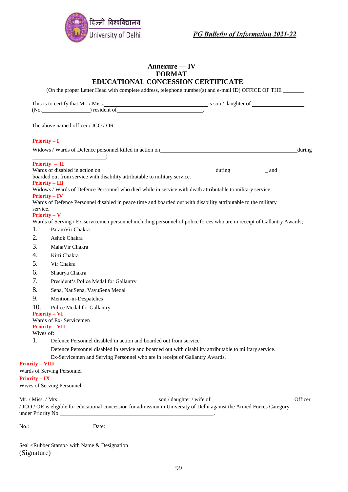

#### **Annexure — IV FORMAT EDUCATIONAL CONCESSION CERTIFICATE**

(On the proper Letter Head with complete address, telephone number(s) and e-mail ID) OFFICE OF THE

|                        | The above named officer / JCO / OR<br>$\qquad \qquad$                       |                                                                                                                                                                                                                                        |         |
|------------------------|-----------------------------------------------------------------------------|----------------------------------------------------------------------------------------------------------------------------------------------------------------------------------------------------------------------------------------|---------|
|                        | $Priority - I$                                                              |                                                                                                                                                                                                                                        |         |
|                        |                                                                             | Widows / Wards of Defence personnel killed in action on<br><u>Letter and the contract of the contract of the contract of the contract of the contract of the contract of the contract of the contract of the contract of the contr</u> | during  |
|                        | Priority $-$ II                                                             |                                                                                                                                                                                                                                        |         |
|                        | boarded out from service with disability attributable to military service.  |                                                                                                                                                                                                                                        |         |
|                        | <b>Priority – III</b>                                                       |                                                                                                                                                                                                                                        |         |
|                        | $Priority - IV$                                                             | Widows / Wards of Defence Personnel who died while in service with death attributable to military service.                                                                                                                             |         |
|                        |                                                                             | Wards of Defence Personnel disabled in peace time and boarded out with disability attributable to the military                                                                                                                         |         |
| service.               |                                                                             |                                                                                                                                                                                                                                        |         |
|                        | $Priority - V$                                                              | Wards of Serving / Ex-servicemen personnel including personnel of police forces who are in receipt of Gallantry Awards;                                                                                                                |         |
| 1.                     | ParamVir Chakra                                                             |                                                                                                                                                                                                                                        |         |
| 2.                     | Ashok Chakra                                                                |                                                                                                                                                                                                                                        |         |
| 3.                     | MahaVir Chakra                                                              |                                                                                                                                                                                                                                        |         |
| 4.                     | Kirti Chakra                                                                |                                                                                                                                                                                                                                        |         |
| 5.                     | Vir Chakra                                                                  |                                                                                                                                                                                                                                        |         |
| 6.                     | Shaurya Chakra                                                              |                                                                                                                                                                                                                                        |         |
| 7.                     | President's Police Medal for Gallantry                                      |                                                                                                                                                                                                                                        |         |
| 8.                     | Sena, NauSena, VayuSena Medal                                               |                                                                                                                                                                                                                                        |         |
| 9.                     | Mention-in-Despatches                                                       |                                                                                                                                                                                                                                        |         |
| 10.                    | Police Medal for Gallantry.                                                 |                                                                                                                                                                                                                                        |         |
|                        | <b>Priority – VI</b>                                                        |                                                                                                                                                                                                                                        |         |
|                        | Wards of Ex- Servicemen<br><b>Priority – VII</b>                            |                                                                                                                                                                                                                                        |         |
| Wives of:              |                                                                             |                                                                                                                                                                                                                                        |         |
| 1.                     | Defence Personnel disabled in action and boarded out from service.          |                                                                                                                                                                                                                                        |         |
|                        |                                                                             | Defence Personnel disabled in service and boarded out with disability attributable to military service.                                                                                                                                |         |
|                        | Ex-Servicemen and Serving Personnel who are in receipt of Gallantry Awards. |                                                                                                                                                                                                                                        |         |
| <b>Priority - VIII</b> |                                                                             |                                                                                                                                                                                                                                        |         |
|                        | Wards of Serving Personnel                                                  |                                                                                                                                                                                                                                        |         |
| $Priority - IX$        | Wives of Serving Personnel                                                  |                                                                                                                                                                                                                                        |         |
|                        |                                                                             |                                                                                                                                                                                                                                        |         |
|                        |                                                                             |                                                                                                                                                                                                                                        | Officer |
|                        |                                                                             | / JCO / OR is eligible for educational concession for admission in University of Delhi against the Armed Forces Category                                                                                                               |         |
|                        | under Priority No.                                                          |                                                                                                                                                                                                                                        |         |
|                        | No.:<br>Date:                                                               |                                                                                                                                                                                                                                        |         |

Seal <Rubber Stamp> with Name & Designation (Signature)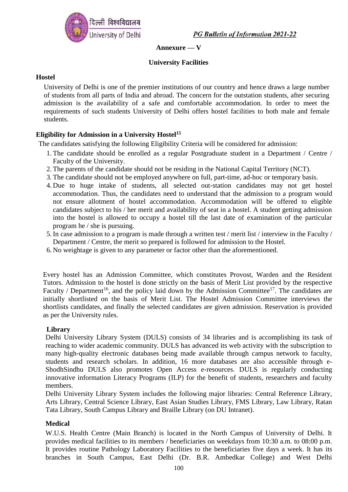

#### **Annexure — V**

#### **University Facilities**

#### **Hostel**

University of Delhi is one of the premier institutions of our country and hence draws a large number of students from all parts of India and abroad. The concern for the outstation students, after securing admission is the availability of a safe and comfortable accommodation. In order to meet the requirements of such students University of Delhi offers hostel facilities to both male and female students.

#### **Eligibility for Admission in a University Hostel<sup>15</sup>**

The candidates satisfying the following Eligibility Criteria will be considered for admission:

- 1. The candidate should be enrolled as a regular Postgraduate student in a Department / Centre / Faculty of the University.
- 2. The parents of the candidate should not be residing in the National Capital Territory (NCT).
- 3. The candidate should not be employed anywhere on full, part-time, ad-hoc or temporary basis.
- 4. Due to huge intake of students, all selected out-station candidates may not get hostel accommodation. Thus, the candidates need to understand that the admission to a program would not ensure allotment of hostel accommodation. Accommodation will be offered to eligible candidates subject to his / her merit and availability of seat in a hostel. A student getting admission into the hostel is allowed to occupy a hostel till the last date of examination of the particular program he / she is pursuing.
- 5. In case admission to a program is made through a written test / merit list / interview in the Faculty / Department / Centre, the merit so prepared is followed for admission to the Hostel.
- 6. No weightage is given to any parameter or factor other than the aforementioned.

Every hostel has an Admission Committee, which constitutes Provost, Warden and the Resident Tutors. Admission to the hostel is done strictly on the basis of Merit List provided by the respective Faculty / Department<sup>16</sup>, and the policy laid down by the Admission Committee<sup>17</sup>. The candidates are initially shortlisted on the basis of Merit List. The Hostel Admission Committee interviews the shortlists candidates, and finally the selected candidates are given admission. Reservation is provided as per the University rules.

#### **Library**

Delhi University Library System (DULS) consists of 34 libraries and is accomplishing its task of reaching to wider academic community. DULS has advanced its web activity with the subscription to many high-quality electronic databases being made available through campus network to faculty, students and research scholars. In addition, 16 more databases are also accessible through e-ShodhSindhu DULS also promotes Open Access e-resources. DULS is regularly conducting innovative information Literacy Programs (ILP) for the benefit of students, researchers and faculty members.

Delhi University Library System includes the following major libraries: Central Reference Library, Arts Library, Central Science Library, East Asian Studies Library, FMS Library, Law Library, Ratan Tata Library, South Campus Library and Braille Library (on DU Intranet).

#### **Medical**

W.U.S. Health Centre (Main Branch) is located in the North Campus of University of Delhi. It provides medical facilities to its members / beneficiaries on weekdays from 10:30 a.m. to 08:00 p.m. It provides routine Pathology Laboratory Facilities to the beneficiaries five days a week. It has its branches in South Campus, East Delhi (Dr. B.R. Ambedkar College) and West Delhi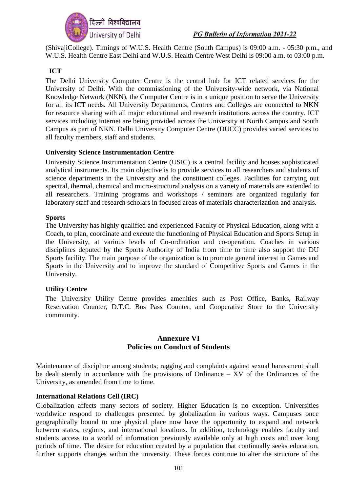

(ShivajiCollege). Timings of W.U.S. Health Centre (South Campus) is 09:00 a.m. - 05:30 p.m., and W.U.S. Health Centre East Delhi and W.U.S. Health Centre West Delhi is 09:00 a.m. to 03:00 p.m.

#### **ICT**

The Delhi University Computer Centre is the central hub for ICT related services for the University of Delhi. With the commissioning of the University-wide network, via National Knowledge Network (NKN), the Computer Centre is in a unique position to serve the University for all its ICT needs. All University Departments, Centres and Colleges are connected to NKN for resource sharing with all major educational and research institutions across the country. ICT services including Internet are being provided across the University at North Campus and South Campus as part of NKN. Delhi University Computer Centre (DUCC) provides varied services to all faculty members, staff and students.

#### **University Science Instrumentation Centre**

University Science Instrumentation Centre (USIC) is a central facility and houses sophisticated analytical instruments. Its main objective is to provide services to all researchers and students of science departments in the University and the constituent colleges. Facilities for carrying out spectral, thermal, chemical and micro-structural analysis on a variety of materials are extended to all researchers. Training programs and workshops / seminars are organized regularly for laboratory staff and research scholars in focused areas of materials characterization and analysis.

#### **Sports**

The University has highly qualified and experienced Faculty of Physical Education, along with a Coach, to plan, coordinate and execute the functioning of Physical Education and Sports Setup in the University, at various levels of Co-ordination and co-operation. Coaches in various disciplines deputed by the Sports Authority of India from time to time also support the DU Sports facility. The main purpose of the organization is to promote general interest in Games and Sports in the University and to improve the standard of Competitive Sports and Games in the University.

#### **Utility Centre**

The University Utility Centre provides amenities such as Post Office, Banks, Railway Reservation Counter, D.T.C. Bus Pass Counter, and Cooperative Store to the University community.

#### **Annexure VI Policies on Conduct of Students**

Maintenance of discipline among students; ragging and complaints against sexual harassment shall be dealt sternly in accordance with the provisions of Ordinance – XV of the Ordinances of the University, as amended from time to time.

#### **International Relations Cell (IRC)**

Globalization affects many sectors of society. Higher Education is no exception. Universities worldwide respond to challenges presented by globalization in various ways. Campuses once geographically bound to one physical place now have the opportunity to expand and network between states, regions, and international locations. In addition, technology enables faculty and students access to a world of information previously available only at high costs and over long periods of time. The desire for education created by a population that continually seeks education, further supports changes within the university. These forces continue to alter the structure of the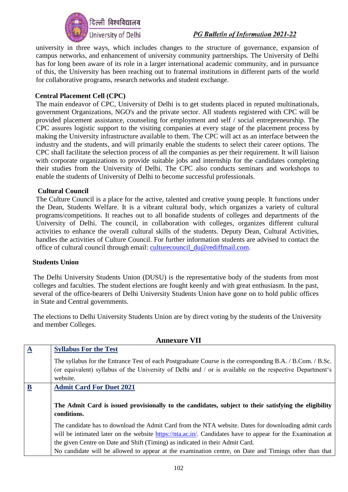

university in three ways, which includes changes to the structure of governance, expansion of campus networks, and enhancement of university community partnerships. The University of Delhi has for long been aware of its role in a larger international academic community, and in pursuance of this, the University has been reaching out to fraternal institutions in different parts of the world for collaborative programs, research networks and student exchange.

#### **Central Placement Cell (CPC)**

The main endeavor of CPC, University of Delhi is to get students placed in reputed multinationals, government Organizations, NGO's and the private sector. All students registered with CPC will be provided placement assistance, counseling for employment and self / social entrepreneurship. The CPC assures logistic support to the visiting companies at every stage of the placement process by making the University infrastructure available to them. The CPC will act as an interface between the industry and the students, and will primarily enable the students to select their career options. The CPC shall facilitate the selection process of all the companies as per their requirement. It will liaison with corporate organizations to provide suitable jobs and internship for the candidates completing their studies from the University of Delhi. The CPC also conducts seminars and workshops to enable the students of University of Delhi to become successful professionals.

#### **Cultural Council**

The Culture Council is a place for the active, talented and creative young people. It functions under the Dean, Students Welfare. It is a vibrant cultural body, which organizes a variety of cultural programs/competitions. It reaches out to all bonafide students of colleges and departments of the University of Delhi. The council, in collaboration with colleges, organizes different cultural activities to enhance the overall cultural skills of the students. Deputy Dean, Cultural Activities, handles the activities of Culture Council. For further information students are advised to contact the office of cultural council through email: [culturecouncil\\_du@rediffmail.com.](mailto:culturecouncil_du@rediffmail.com)

#### **Students Union**

The Delhi University Students Union (DUSU) is the representative body of the students from most colleges and faculties. The student elections are fought keenly and with great enthusiasm. In the past, several of the office-bearers of Delhi University Students Union have gone on to hold public offices in State and Central governments.

The elections to Delhi University Students Union are by direct voting by the students of the University and member Colleges.

| <b>Annexure VII</b> |                                                                                                                                                                                                                                   |
|---------------------|-----------------------------------------------------------------------------------------------------------------------------------------------------------------------------------------------------------------------------------|
| $\Delta$            | <b>Syllabus For the Test</b>                                                                                                                                                                                                      |
|                     | The syllabus for the Entrance Test of each Postgraduate Course is the corresponding B.A. / B.Com. / B.Sc.<br>(or equivalent) syllabus of the University of Delhi and / or is available on the respective Department's<br>website. |
| B                   | <b>Admit Card For Duet 2021</b>                                                                                                                                                                                                   |
|                     | The Admit Card is issued provisionally to the candidates, subject to their satisfying the eligibility<br>conditions.                                                                                                              |
|                     | The candidate has to download the Admit Card from the NTA website. Dates for downloading admit cards<br>will be intimated later on the website https://nta.ac.in/. Candidates have to appear for the Examination at               |
|                     | the given Centre on Date and Shift (Timing) as indicated in their Admit Card.                                                                                                                                                     |
|                     | No candidate will be allowed to appear at the examination centre, on Date and Timings other than that                                                                                                                             |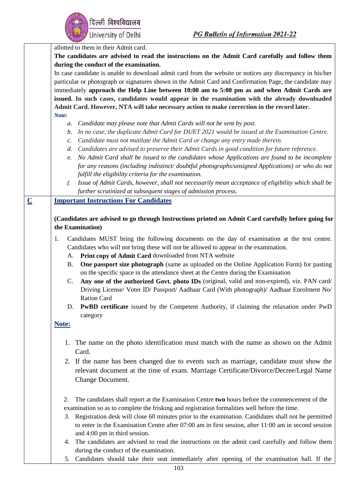|                | allotted to them in their Admit card.                                                                          |
|----------------|----------------------------------------------------------------------------------------------------------------|
|                | The candidates are advised to read the instructions on the Admit Card carefully and follow them                |
|                | during the conduct of the examination.                                                                         |
|                | In case candidate is unable to download admit card from the website or notices any discrepancy in his/her      |
|                | particular or photograph or signatures shown in the Admit Card and Confirmation Page, the candidate may        |
|                |                                                                                                                |
|                | immediately approach the Help Line between 10:00 am to 5:00 pm as and when Admit Cards are                     |
|                | issued. In such cases, candidates would appear in the examination with the already downloaded                  |
|                | Admit Card. However, NTA will take necessary action to make correction in the record later.                    |
|                | Note:                                                                                                          |
|                | Candidate may please note that Admit Cards will not be sent by post.<br>а.                                     |
|                | In no case, the duplicate Admit Card for DUET 2021 would be issued at the Examination Centre.<br>b.            |
|                | Candidate must not mutilate the Admit Card or change any entry made therein.<br>$\mathcal{C}$ .                |
|                | Candidates are advised to preserve their Admit Cards in good condition for future reference.<br>d.             |
|                | No Admit Card shall be issued to the candidates whose Applications are found to be incomplete<br>e.            |
|                | for any reasons (including indistinct/doubtful photographs/unsigned Applications) or who do not                |
|                |                                                                                                                |
|                | fulfill the eligibility criteria for the examination.                                                          |
|                | Issue of Admit Cards, however, shall not necessarily mean acceptance of eligibility which shall be<br>f.       |
|                | further scrutinized at subsequent stages of admission process.                                                 |
| $\overline{C}$ | <b>Important Instructions For Candidates</b>                                                                   |
|                |                                                                                                                |
|                | (Candidates are advised to go through Instructions printed on Admit Card carefully before going for            |
|                | the Examination)                                                                                               |
|                |                                                                                                                |
|                | Candidates MUST bring the following documents on the day of examination at the test centre.<br>1.              |
|                | Candidates who will not bring these will not be allowed to appear in the examination.                          |
|                | Print copy of Admit Card downloaded from NTA website<br>А.                                                     |
|                | <b>One passport size photograph</b> (same as uploaded on the Online Application Form) for pasting<br><b>B.</b> |
|                | on the specific space in the attendance sheet at the Centre during the Examination                             |
|                | C.<br>Any one of the authorized Govt. photo IDs (original, valid and non-expired), viz. PAN card/              |
|                | Driving License/ Voter ID/ Passport/ Aadhaar Card (With photograph)/ Aadhaar Enrolment No/                     |
|                | <b>Ration Card</b>                                                                                             |
|                |                                                                                                                |
|                | PwBD certificate issued by the Competent Authority, if claiming the relaxation under PwD<br>D.                 |
|                | category                                                                                                       |
|                | Note:                                                                                                          |
|                |                                                                                                                |
|                | 1. The name on the photo identification must match with the name as shown on the Admit                         |
|                | Card.                                                                                                          |
|                |                                                                                                                |
|                | 2. If the name has been changed due to events such as marriage, candidate must show the                        |
|                | relevant document at the time of exam. Marriage Certificate/Divorce/Decree/Legal Name                          |
|                | Change Document.                                                                                               |
|                |                                                                                                                |
|                |                                                                                                                |
|                | The candidates shall report at the Examination Centre two hours before the commencement of the<br>2.           |
|                | examination so as to complete the frisking and registration formalities well before the time.                  |
|                | Registration desk will close 60 minutes prior to the examination. Candidates shall not be permitted<br>3.      |
|                | to enter in the Examination Centre after 07:00 am in first session, after 11:00 am in second session           |
|                | and 4:00 pm in third session.                                                                                  |
|                | The candidates are advised to read the instructions on the admit card carefully and follow them<br>4.          |
|                | during the conduct of the examination.                                                                         |
|                | Candidates should take their seat immediately after opening of the examination hall. If the<br>5.              |
|                |                                                                                                                |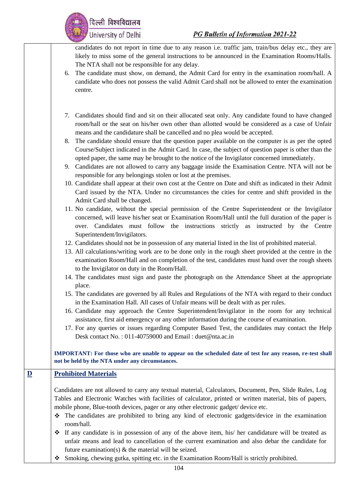

candidates do not report in time due to any reason i.e. traffic jam, train/bus delay etc., they are likely to miss some of the general instructions to be announced in the Examination Rooms/Halls. The NTA shall not be responsible for any delay.

- 6. The candidate must show, on demand, the Admit Card for entry in the examination room/hall. A candidate who does not possess the valid Admit Card shall not be allowed to enter the examination centre.
- 7. Candidates should find and sit on their allocated seat only. Any candidate found to have changed room/hall or the seat on his/her own other than allotted would be considered as a case of Unfair means and the candidature shall be cancelled and no plea would be accepted.
- 8. The candidate should ensure that the question paper available on the computer is as per the opted Course/Subject indicated in the Admit Card. In case, the subject of question paper is other than the opted paper, the same may be brought to the notice of the Invigilator concerned immediately.
- 9. Candidates are not allowed to carry any baggage inside the Examination Centre. NTA will not be responsible for any belongings stolen or lost at the premises.
- 10. Candidate shall appear at their own cost at the Centre on Date and shift as indicated in their Admit Card issued by the NTA. Under no circumstances the cities for centre and shift provided in the Admit Card shall be changed.
- 11. No candidate, without the special permission of the Centre Superintendent or the Invigilator concerned, will leave his/her seat or Examination Room/Hall until the full duration of the paper is over. Candidates must follow the instructions strictly as instructed by the Centre Superintendent/Invigilators.
- 12. Candidates should not be in possession of any material listed in the list of prohibited material.
- 13. All calculations/writing work are to be done only in the rough sheet provided at the centre in the examination Room/Hall and on completion of the test, candidates must hand over the rough sheets to the Invigilator on duty in the Room/Hall.
- 14. The candidates must sign and paste the photograph on the Attendance Sheet at the appropriate place.
- 15. The candidates are governed by all Rules and Regulations of the NTA with regard to their conduct in the Examination Hall. All cases of Unfair means will be dealt with as per rules.
- 16. Candidate may approach the Centre Superintendent/Invigilator in the room for any technical assistance, first aid emergency or any other information during the course of examination.
- 17. For any queries or issues regarding Computer Based Test, the candidates may contact the Help Desk contact No.: 011-40759000 and Email: duet@nta.ac.in

**IMPORTANT: For those who are unable to appear on the scheduled date of test for any reason, re-test shall not be held by the NTA under any circumstances.** 

### **D Prohibited Materials**

Candidates are not allowed to carry any textual material, Calculators, Document, Pen, Slide Rules, Log Tables and Electronic Watches with facilities of calculator, printed or written material, bits of papers, mobile phone, Blue-tooth devices, pager or any other electronic gadget/ device etc.

- ❖ The candidates are prohibited to bring any kind of electronic gadgets/device in the examination room/hall.
- ❖ If any candidate is in possession of any of the above item, his/ her candidature will be treated as unfair means and lead to cancellation of the current examination and also debar the candidate for future examination(s)  $\&$  the material will be seized.
- ❖ Smoking, chewing gutka, spitting etc. in the Examination Room/Hall is strictly prohibited.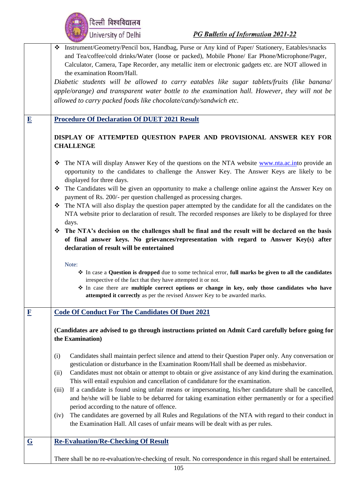|                         | दिल्ली विश्वविद्यालय<br>University of Delhi<br><b>PG Bulletin of Information 2021-22</b>                                                                                                                                                                                                                                                                                                                                                                                                                                                                                                                                                                                                                                                                                                                                                                                                                                                                                                                                                                                                                                                                                                                                                                        |
|-------------------------|-----------------------------------------------------------------------------------------------------------------------------------------------------------------------------------------------------------------------------------------------------------------------------------------------------------------------------------------------------------------------------------------------------------------------------------------------------------------------------------------------------------------------------------------------------------------------------------------------------------------------------------------------------------------------------------------------------------------------------------------------------------------------------------------------------------------------------------------------------------------------------------------------------------------------------------------------------------------------------------------------------------------------------------------------------------------------------------------------------------------------------------------------------------------------------------------------------------------------------------------------------------------|
|                         | Instrument/Geometry/Pencil box, Handbag, Purse or Any kind of Paper/ Stationery, Eatables/snacks<br>❖<br>and Tea/coffee/cold drinks/Water (loose or packed), Mobile Phone/ Ear Phone/Microphone/Pager,<br>Calculator, Camera, Tape Recorder, any metallic item or electronic gadgets etc. are NOT allowed in<br>the examination Room/Hall.<br>Diabetic students will be allowed to carry eatables like sugar tablets/fruits (like banana/<br>apple/orange) and transparent water bottle to the examination hall. However, they will not be<br>allowed to carry packed foods like chocolate/candy/sandwich etc.                                                                                                                                                                                                                                                                                                                                                                                                                                                                                                                                                                                                                                                  |
| $\overline{\mathbf{E}}$ | <b>Procedure Of Declaration Of DUET 2021 Result</b><br>DISPLAY OF ATTEMPTED QUESTION PAPER AND PROVISIONAL ANSWER KEY FOR<br><b>CHALLENGE</b>                                                                                                                                                                                                                                                                                                                                                                                                                                                                                                                                                                                                                                                                                                                                                                                                                                                                                                                                                                                                                                                                                                                   |
|                         | The NTA will display Answer Key of the questions on the NTA website www.nta.ac.into provide an<br>❖<br>opportunity to the candidates to challenge the Answer Key. The Answer Keys are likely to be<br>displayed for three days.<br>The Candidates will be given an opportunity to make a challenge online against the Answer Key on<br>❖<br>payment of Rs. 200/- per question challenged as processing charges.<br>The NTA will also display the question paper attempted by the candidate for all the candidates on the<br>❖<br>NTA website prior to declaration of result. The recorded responses are likely to be displayed for three<br>days.<br>The NTA's decision on the challenges shall be final and the result will be declared on the basis<br>❖<br>of final answer keys. No grievances/representation with regard to Answer Key(s) after<br>declaration of result will be entertained<br>Note:<br>In case a Question is dropped due to some technical error, full marks be given to all the candidates<br>irrespective of the fact that they have attempted it or not.<br>* In case there are multiple correct options or change in key, only those candidates who have<br>attempted it correctly as per the revised Answer Key to be awarded marks. |
| $\mathbf{F}$            | <b>Code Of Conduct For The Candidates Of Duet 2021</b><br>(Candidates are advised to go through instructions printed on Admit Card carefully before going for<br>the Examination)                                                                                                                                                                                                                                                                                                                                                                                                                                                                                                                                                                                                                                                                                                                                                                                                                                                                                                                                                                                                                                                                               |
|                         | Candidates shall maintain perfect silence and attend to their Question Paper only. Any conversation or<br>(i)<br>gesticulation or disturbance in the Examination Room/Hall shall be deemed as misbehavior.<br>Candidates must not obtain or attempt to obtain or give assistance of any kind during the examination.<br>(ii)<br>This will entail expulsion and cancellation of candidature for the examination.<br>If a candidate is found using unfair means or impersonating, his/her candidature shall be cancelled,<br>(iii)<br>and he/she will be liable to be debarred for taking examination either permanently or for a specified                                                                                                                                                                                                                                                                                                                                                                                                                                                                                                                                                                                                                       |
|                         | period according to the nature of offence.<br>The candidates are governed by all Rules and Regulations of the NTA with regard to their conduct in<br>(iv)<br>the Examination Hall. All cases of unfair means will be dealt with as per rules.                                                                                                                                                                                                                                                                                                                                                                                                                                                                                                                                                                                                                                                                                                                                                                                                                                                                                                                                                                                                                   |
| $\overline{G}$          | <b>Re-Evaluation/Re-Checking Of Result</b><br>There shall be no re-evaluation/re-checking of result. No correspondence in this regard shall be entertained.                                                                                                                                                                                                                                                                                                                                                                                                                                                                                                                                                                                                                                                                                                                                                                                                                                                                                                                                                                                                                                                                                                     |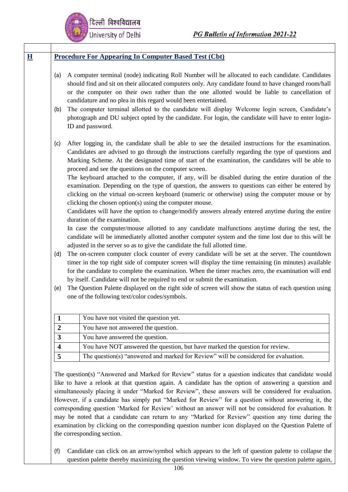| (a)                     | A computer terminal (node) indicating Roll Number will be allocated to each candidate. Candidates<br>should find and sit on their allocated computers only. Any candidate found to have changed room/hall<br>or the computer on their own rather than the one allotted would be liable to cancellation of                                                                                                                                                                                                                                                                                                                                                                                                                                                                                                                                                                                                                                                                                                                                                                                          |
|-------------------------|----------------------------------------------------------------------------------------------------------------------------------------------------------------------------------------------------------------------------------------------------------------------------------------------------------------------------------------------------------------------------------------------------------------------------------------------------------------------------------------------------------------------------------------------------------------------------------------------------------------------------------------------------------------------------------------------------------------------------------------------------------------------------------------------------------------------------------------------------------------------------------------------------------------------------------------------------------------------------------------------------------------------------------------------------------------------------------------------------|
| (b)                     | candidature and no plea in this regard would been entertained.<br>The computer terminal allotted to the candidate will display Welcome login screen, Candidate's<br>photograph and DU subject opted by the candidate. For login, the candidate will have to enter login-<br>ID and password.                                                                                                                                                                                                                                                                                                                                                                                                                                                                                                                                                                                                                                                                                                                                                                                                       |
| (c)                     | After logging in, the candidate shall be able to see the detailed instructions for the examination.<br>Candidates are advised to go through the instructions carefully regarding the type of questions and<br>Marking Scheme. At the designated time of start of the examination, the candidates will be able to<br>proceed and see the questions on the computer screen.<br>The keyboard attached to the computer, if any, will be disabled during the entire duration of the<br>examination. Depending on the type of question, the answers to questions can either be entered by<br>clicking on the virtual on-screen keyboard (numeric or otherwise) using the computer mouse or by<br>clicking the chosen option(s) using the computer mouse.<br>Candidates will have the option to change/modify answers already entered anytime during the entire<br>duration of the examination.<br>In case the computer/mouse allotted to any candidate malfunctions anytime during the test, the<br>candidate will be immediately allotted another computer system and the time lost due to this will be |
|                         | adjusted in the server so as to give the candidate the full allotted time.                                                                                                                                                                                                                                                                                                                                                                                                                                                                                                                                                                                                                                                                                                                                                                                                                                                                                                                                                                                                                         |
| (d)                     | The on-screen computer clock counter of every candidate will be set at the server. The countdown<br>timer in the top right side of computer screen will display the time remaining (in minutes) available<br>for the candidate to complete the examination. When the timer reaches zero, the examination will end<br>by itself. Candidate will not be required to end or submit the examination.                                                                                                                                                                                                                                                                                                                                                                                                                                                                                                                                                                                                                                                                                                   |
| (e)                     | The Question Palette displayed on the right side of screen will show the status of each question using<br>one of the following text/color codes/symbols.                                                                                                                                                                                                                                                                                                                                                                                                                                                                                                                                                                                                                                                                                                                                                                                                                                                                                                                                           |
| 1                       | You have not visited the question yet.                                                                                                                                                                                                                                                                                                                                                                                                                                                                                                                                                                                                                                                                                                                                                                                                                                                                                                                                                                                                                                                             |
| $\overline{2}$          | You have not answered the question.                                                                                                                                                                                                                                                                                                                                                                                                                                                                                                                                                                                                                                                                                                                                                                                                                                                                                                                                                                                                                                                                |
| 3                       | You have answered the question.                                                                                                                                                                                                                                                                                                                                                                                                                                                                                                                                                                                                                                                                                                                                                                                                                                                                                                                                                                                                                                                                    |
| $\overline{\mathbf{4}}$ | You have NOT answered the question, but have marked the question for review.                                                                                                                                                                                                                                                                                                                                                                                                                                                                                                                                                                                                                                                                                                                                                                                                                                                                                                                                                                                                                       |
| 5                       | The question(s) "answered and marked for Review" will be considered for evaluation.                                                                                                                                                                                                                                                                                                                                                                                                                                                                                                                                                                                                                                                                                                                                                                                                                                                                                                                                                                                                                |

like to have a relook at that question again. A candidate has the option of answering a question and simultaneously placing it under "Marked for Review", these answers will be considered for evaluation. However, if a candidate has simply put "Marked for Review" for a question without answering it, the corresponding question 'Marked for Review' without an answer will not be considered for evaluation. It may be noted that a candidate can return to any "Marked for Review" question any time during the examination by clicking on the corresponding question number icon displayed on the Question Palette of the corresponding section.

(f) Candidate can click on an arrow/symbol which appears to the left of question palette to collapse the question palette thereby maximizing the question viewing window. To view the question palette again,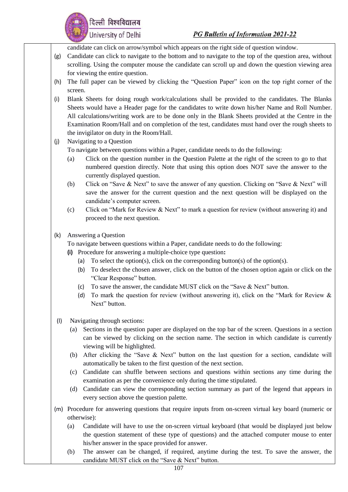

candidate can click on arrow/symbol which appears on the right side of question window.

- (g) Candidate can click to navigate to the bottom and to navigate to the top of the question area, without scrolling. Using the computer mouse the candidate can scroll up and down the question viewing area for viewing the entire question.
- (h) The full paper can be viewed by clicking the "Question Paper" icon on the top right corner of the screen.
- (i) Blank Sheets for doing rough work/calculations shall be provided to the candidates. The Blanks Sheets would have a Header page for the candidates to write down his/her Name and Roll Number. All calculations/writing work are to be done only in the Blank Sheets provided at the Centre in the Examination Room/Hall and on completion of the test, candidates must hand over the rough sheets to the invigilator on duty in the Room/Hall.
- (j) Navigating to a Question To navigate between questions within a Paper, candidate needs to do the following:
	- (a) Click on the question number in the Question Palette at the right of the screen to go to that
	- numbered question directly. Note that using this option does NOT save the answer to the currently displayed question. (b) Click on "Save & Next" to save the answer of any question. Clicking on "Save & Next" will
	- save the answer for the current question and the next question will be displayed on the candidate's computer screen.
	- (c) Click on "Mark for Review & Next" to mark a question for review (without answering it) and proceed to the next question.
- (k) Answering a Question

दिल्ली विश्वविद्यालय

University of Delhi

To navigate between questions within a Paper, candidate needs to do the following:

- **(i)** Procedure for answering a multiple-choice type question**:**
	- (a) To select the option(s), click on the corresponding button(s) of the option(s).
	- (b) To deselect the chosen answer, click on the button of the chosen option again or click on the "Clear Response" button.
	- (c) To save the answer, the candidate MUST click on the "Save & Next" button.
	- (d) To mark the question for review (without answering it), click on the "Mark for Review & Next" button.
- (l) Navigating through sections:
	- (a) Sections in the question paper are displayed on the top bar of the screen. Questions in a section can be viewed by clicking on the section name. The section in which candidate is currently viewing will be highlighted.
	- (b) After clicking the "Save & Next" button on the last question for a section, candidate will automatically be taken to the first question of the next section.
	- (c) Candidate can shuffle between sections and questions within sections any time during the examination as per the convenience only during the time stipulated.
	- (d) Candidate can view the corresponding section summary as part of the legend that appears in every section above the question palette.
- (m) Procedure for answering questions that require inputs from on-screen virtual key board (numeric or otherwise):
	- (a) Candidate will have to use the on-screen virtual keyboard (that would be displayed just below the question statement of these type of questions) and the attached computer mouse to enter his/her answer in the space provided for answer.
	- (b) The answer can be changed, if required, anytime during the test. To save the answer, the candidate MUST click on the "Save & Next" button.